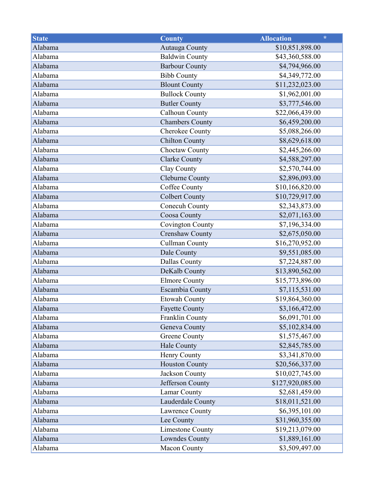| <b>State</b> | <b>County</b>           | $\star$<br><b>Allocation</b> |
|--------------|-------------------------|------------------------------|
| Alabama      | Autauga County          | \$10,851,898.00              |
| Alabama      | <b>Baldwin County</b>   | \$43,360,588.00              |
| Alabama      | <b>Barbour County</b>   | \$4,794,966.00               |
| Alabama      | <b>Bibb County</b>      | \$4,349,772.00               |
| Alabama      | <b>Blount County</b>    | \$11,232,023.00              |
| Alabama      | <b>Bullock County</b>   | \$1,962,001.00               |
| Alabama      | <b>Butler County</b>    | \$3,777,546.00               |
| Alabama      | Calhoun County          | \$22,066,439.00              |
| Alabama      | <b>Chambers County</b>  | \$6,459,200.00               |
| Alabama      | Cherokee County         | \$5,088,266.00               |
| Alabama      | <b>Chilton County</b>   | \$8,629,618.00               |
| Alabama      | Choctaw County          | \$2,445,266.00               |
| Alabama      | <b>Clarke County</b>    | \$4,588,297.00               |
| Alabama      | Clay County             | \$2,570,744.00               |
| Alabama      | Cleburne County         | \$2,896,093.00               |
| Alabama      | Coffee County           | \$10,166,820.00              |
| Alabama      | <b>Colbert County</b>   | \$10,729,917.00              |
| Alabama      | Conecuh County          | \$2,343,873.00               |
| Alabama      | Coosa County            | \$2,071,163.00               |
| Alabama      | <b>Covington County</b> | \$7,196,334.00               |
| Alabama      | <b>Crenshaw County</b>  | \$2,675,050.00               |
| Alabama      | <b>Cullman County</b>   | \$16,270,952.00              |
| Alabama      | Dale County             | \$9,551,085.00               |
| Alabama      | Dallas County           | \$7,224,887.00               |
| Alabama      | DeKalb County           | \$13,890,562.00              |
| Alabama      | <b>Elmore County</b>    | \$15,773,896.00              |
| Alabama      | <b>Escambia County</b>  | \$7,115,531.00               |
| Alabama      | <b>Etowah County</b>    | \$19,864,360.00              |
| Alabama      | <b>Fayette County</b>   | \$3,166,472.00               |
| Alabama      | Franklin County         | \$6,091,701.00               |
| Alabama      | Geneva County           | \$5,102,834.00               |
| Alabama      | <b>Greene County</b>    | \$1,575,467.00               |
| Alabama      | Hale County             | \$2,845,785.00               |
| Alabama      | <b>Henry County</b>     | \$3,341,870.00               |
| Alabama      | <b>Houston County</b>   | \$20,566,337.00              |
| Alabama      | Jackson County          | \$10,027,745.00              |
| Alabama      | Jefferson County        | \$127,920,085.00             |
| Alabama      | Lamar County            | \$2,681,459.00               |
| Alabama      | Lauderdale County       | \$18,011,521.00              |
| Alabama      | Lawrence County         | \$6,395,101.00               |
| Alabama      | Lee County              | \$31,960,355.00              |
| Alabama      | <b>Limestone County</b> | \$19,213,079.00              |
| Alabama      | Lowndes County          | \$1,889,161.00               |
| Alabama      | <b>Macon County</b>     | \$3,509,497.00               |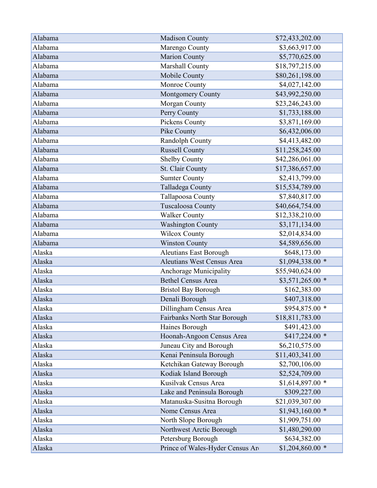| Alabama | <b>Madison County</b>            | \$72,433,202.00   |
|---------|----------------------------------|-------------------|
| Alabama | Marengo County                   | \$3,663,917.00    |
| Alabama | <b>Marion County</b>             | \$5,770,625.00    |
| Alabama | Marshall County                  | \$18,797,215.00   |
| Alabama | Mobile County                    | \$80,261,198.00   |
| Alabama | Monroe County                    | \$4,027,142.00    |
| Alabama | Montgomery County                | \$43,992,250.00   |
| Alabama | Morgan County                    | \$23,246,243.00   |
| Alabama | Perry County                     | \$1,733,188.00    |
| Alabama | Pickens County                   | \$3,871,169.00    |
| Alabama | Pike County                      | \$6,432,006.00    |
| Alabama | Randolph County                  | \$4,413,482.00    |
| Alabama | <b>Russell County</b>            | \$11,258,245.00   |
| Alabama | Shelby County                    | \$42,286,061.00   |
| Alabama | St. Clair County                 | \$17,386,657.00   |
| Alabama | <b>Sumter County</b>             | \$2,413,799.00    |
| Alabama | Talladega County                 | \$15,534,789.00   |
| Alabama | Tallapoosa County                | \$7,840,817.00    |
| Alabama | Tuscaloosa County                | \$40,664,754.00   |
| Alabama | <b>Walker County</b>             | \$12,338,210.00   |
| Alabama | <b>Washington County</b>         | \$3,171,134.00    |
| Alabama | <b>Wilcox County</b>             | \$2,014,834.00    |
| Alabama | <b>Winston County</b>            | \$4,589,656.00    |
| Alaska  | <b>Aleutians East Borough</b>    | \$648,173.00      |
| Alaska  | Aleutians West Census Area       | $$1,094,338.00$ * |
| Alaska  | Anchorage Municipality           | \$55,940,624.00   |
| Alaska  | <b>Bethel Census Area</b>        | $$3,571,265.00*$  |
| Alaska  | <b>Bristol Bay Borough</b>       | \$162,383.00      |
| Alaska  | Denali Borough                   | \$407,318.00      |
| Alaska  | Dillingham Census Area           | \$954,875.00 *    |
| Alaska  | Fairbanks North Star Borough     | \$18,811,783.00   |
| Alaska  | Haines Borough                   | \$491,423.00      |
| Alaska  | Hoonah-Angoon Census Area        | $$417,224.00*$    |
| Alaska  | Juneau City and Borough          | \$6,210,575.00    |
| Alaska  | Kenai Peninsula Borough          | \$11,403,341.00   |
| Alaska  | Ketchikan Gateway Borough        | \$2,700,106.00    |
| Alaska  | Kodiak Island Borough            | \$2,524,709.00    |
| Alaska  | Kusilvak Census Area             | $$1,614,897.00$ * |
| Alaska  | Lake and Peninsula Borough       | \$309,227.00      |
| Alaska  | Matanuska-Susitna Borough        | \$21,039,307.00   |
| Alaska  | Nome Census Area                 | $$1,943,160.00*$  |
| Alaska  | North Slope Borough              | \$1,909,751.00    |
| Alaska  | Northwest Arctic Borough         | \$1,480,290.00    |
| Alaska  | Petersburg Borough               | \$634,382.00      |
| Alaska  | Prince of Wales-Hyder Census Are | $$1,204,860.00$ * |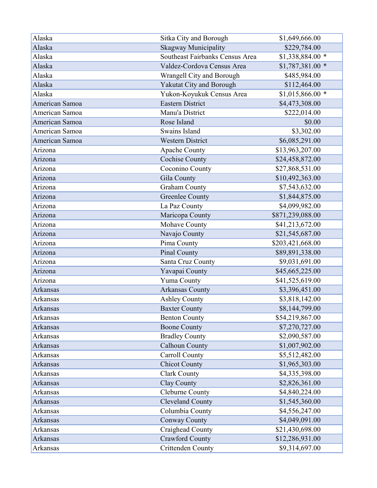| Alaska          | Sitka City and Borough          | \$1,649,666.00    |
|-----------------|---------------------------------|-------------------|
| Alaska          | <b>Skagway Municipality</b>     | \$229,784.00      |
| Alaska          | Southeast Fairbanks Census Area | $$1,338,884.00$ * |
| Alaska          | Valdez-Cordova Census Area      | $$1,787,381.00$ * |
| Alaska          | Wrangell City and Borough       | \$485,984.00      |
| Alaska          | Yakutat City and Borough        | \$112,464.00      |
| Alaska          | Yukon-Koyukuk Census Area       | $$1,015,866.00$ * |
| American Samoa  | <b>Eastern District</b>         | \$4,473,308.00    |
| American Samoa  | Manu'a District                 | \$222,014.00      |
| American Samoa  | Rose Island                     | \$0.00            |
| American Samoa  | Swains Island                   | \$3,302.00        |
| American Samoa  | <b>Western District</b>         | \$6,085,291.00    |
| Arizona         | <b>Apache County</b>            | \$13,963,207.00   |
| Arizona         | <b>Cochise County</b>           | \$24,458,872.00   |
| Arizona         | Coconino County                 | \$27,868,531.00   |
| Arizona         | Gila County                     | \$10,492,363.00   |
| Arizona         | <b>Graham County</b>            | \$7,543,632.00    |
| Arizona         | <b>Greenlee County</b>          | \$1,844,875.00    |
| Arizona         | La Paz County                   | \$4,099,982.00    |
| Arizona         | Maricopa County                 | \$871,239,088.00  |
| Arizona         | Mohave County                   | \$41,213,672.00   |
| Arizona         | Navajo County                   | \$21,545,687.00   |
| Arizona         | Pima County                     | \$203,421,668.00  |
| Arizona         | Pinal County                    | \$89,891,338.00   |
| Arizona         | Santa Cruz County               | \$9,031,691.00    |
| Arizona         | Yavapai County                  | \$45,665,225.00   |
| Arizona         | <b>Yuma County</b>              | \$41,525,619.00   |
| Arkansas        | <b>Arkansas County</b>          | \$3,396,451.00    |
| Arkansas        | <b>Ashley County</b>            | \$3,818,142.00    |
| <b>Arkansas</b> | <b>Baxter County</b>            | \$8,144,799.00    |
| <b>Arkansas</b> | <b>Benton County</b>            | \$54,219,867.00   |
| <b>Arkansas</b> | <b>Boone County</b>             | \$7,270,727.00    |
| Arkansas        | <b>Bradley County</b>           | \$2,090,587.00    |
| Arkansas        | <b>Calhoun County</b>           | \$1,007,902.00    |
| Arkansas        | <b>Carroll County</b>           | \$5,512,482.00    |
| <b>Arkansas</b> | <b>Chicot County</b>            | \$1,965,303.00    |
| Arkansas        | <b>Clark County</b>             | \$4,335,398.00    |
| <b>Arkansas</b> | Clay County                     | \$2,826,361.00    |
| Arkansas        | Cleburne County                 | \$4,840,224.00    |
| <b>Arkansas</b> | <b>Cleveland County</b>         | \$1,545,360.00    |
| Arkansas        | Columbia County                 | \$4,556,247.00    |
| Arkansas        | Conway County                   | \$4,049,091.00    |
| Arkansas        | Craighead County                | \$21,430,698.00   |
| <b>Arkansas</b> | <b>Crawford County</b>          | \$12,286,931.00   |
| Arkansas        | Crittenden County               | \$9,314,697.00    |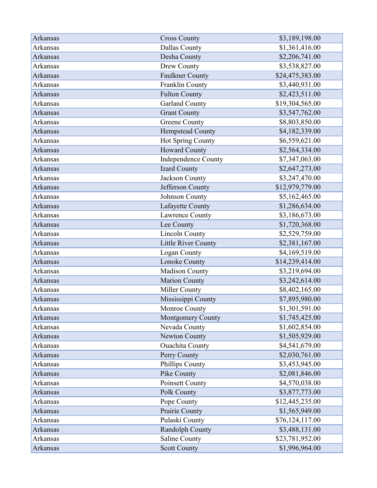| Arkansas        | <b>Cross County</b>        | \$3,189,198.00  |
|-----------------|----------------------------|-----------------|
| Arkansas        | <b>Dallas County</b>       | \$1,361,416.00  |
| <b>Arkansas</b> | Desha County               | \$2,206,741.00  |
| Arkansas        | Drew County                | \$3,538,827.00  |
| <b>Arkansas</b> | <b>Faulkner County</b>     | \$24,475,383.00 |
| Arkansas        | Franklin County            | \$3,440,931.00  |
| <b>Arkansas</b> | <b>Fulton County</b>       | \$2,423,511.00  |
| <b>Arkansas</b> | <b>Garland County</b>      | \$19,304,565.00 |
| <b>Arkansas</b> | <b>Grant County</b>        | \$3,547,762.00  |
| <b>Arkansas</b> | <b>Greene County</b>       | \$8,803,850.00  |
| Arkansas        | <b>Hempstead County</b>    | \$4,182,339.00  |
| Arkansas        | Hot Spring County          | \$6,559,621.00  |
| <b>Arkansas</b> | Howard County              | \$2,564,334.00  |
| Arkansas        | <b>Independence County</b> | \$7,347,063.00  |
| <b>Arkansas</b> | Izard County               | \$2,647,273.00  |
| Arkansas        | Jackson County             | \$3,247,470.00  |
| <b>Arkansas</b> | Jefferson County           | \$12,979,779.00 |
| <b>Arkansas</b> | Johnson County             | \$5,162,465.00  |
| Arkansas        | Lafayette County           | \$1,286,634.00  |
| <b>Arkansas</b> | Lawrence County            | \$3,186,673.00  |
| Arkansas        | Lee County                 | \$1,720,368.00  |
| Arkansas        | <b>Lincoln County</b>      | \$2,529,759.00  |
| <b>Arkansas</b> | Little River County        | \$2,381,167.00  |
| Arkansas        | Logan County               | \$4,169,519.00  |
| <b>Arkansas</b> | Lonoke County              | \$14,239,414.00 |
| <b>Arkansas</b> | Madison County             | \$3,219,694.00  |
| <b>Arkansas</b> | <b>Marion County</b>       | \$3,242,614.00  |
| <b>Arkansas</b> | Miller County              | \$8,402,165.00  |
| Arkansas        | Mississippi County         | \$7,895,980.00  |
| Arkansas        | Monroe County              | \$1,301,591.00  |
| <b>Arkansas</b> | Montgomery County          | \$1,745,425.00  |
| Arkansas        | Nevada County              | \$1,602,854.00  |
| <b>Arkansas</b> | Newton County              | \$1,505,929.00  |
| <b>Arkansas</b> | <b>Ouachita County</b>     | \$4,541,679.00  |
| <b>Arkansas</b> | Perry County               | \$2,030,761.00  |
| Arkansas        | Phillips County            | \$3,453,945.00  |
| <b>Arkansas</b> | Pike County                | \$2,081,846.00  |
| Arkansas        | Poinsett County            | \$4,570,038.00  |
| Arkansas        | Polk County                | \$3,877,773.00  |
| <b>Arkansas</b> | Pope County                | \$12,445,235.00 |
| Arkansas        | Prairie County             | \$1,565,949.00  |
| Arkansas        | Pulaski County             | \$76,124,117.00 |
| Arkansas        | Randolph County            | \$3,488,131.00  |
| Arkansas        | Saline County              | \$23,781,952.00 |
| Arkansas        | <b>Scott County</b>        | \$1,996,964.00  |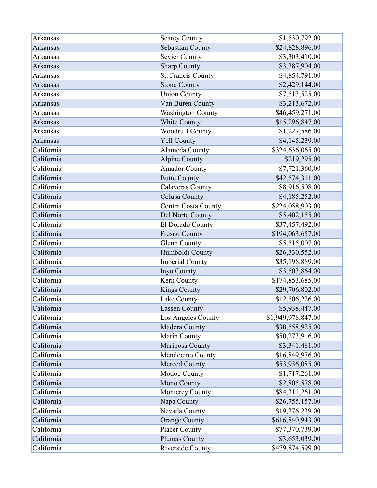| Arkansas        | <b>Searcy County</b>     | \$1,530,792.00     |
|-----------------|--------------------------|--------------------|
| <b>Arkansas</b> | Sebastian County         | \$24,828,896.00    |
| Arkansas        | <b>Sevier County</b>     | \$3,303,410.00     |
| <b>Arkansas</b> | <b>Sharp County</b>      | \$3,387,904.00     |
| <b>Arkansas</b> | St. Francis County       | \$4,854,791.00     |
| <b>Arkansas</b> | <b>Stone County</b>      | \$2,429,144.00     |
| <b>Arkansas</b> | <b>Union County</b>      | \$7,513,525.00     |
| <b>Arkansas</b> | Van Buren County         | \$3,213,672.00     |
| <b>Arkansas</b> | <b>Washington County</b> | \$46,459,271.00    |
| <b>Arkansas</b> | White County             | \$15,296,847.00    |
| Arkansas        | <b>Woodruff County</b>   | \$1,227,586.00     |
| <b>Arkansas</b> | <b>Yell County</b>       | \$4,145,239.00     |
| California      | Alameda County           | \$324,636,065.00   |
| California      | <b>Alpine County</b>     | \$219,295.00       |
| California      | <b>Amador County</b>     | \$7,721,360.00     |
| California      | <b>Butte County</b>      | \$42,574,311.00    |
| California      | <b>Calaveras County</b>  | \$8,916,508.00     |
| California      | <b>Colusa County</b>     | \$4,185,252.00     |
| California      | Contra Costa County      | \$224,058,903.00   |
| California      | Del Norte County         | \$5,402,155.00     |
| California      | El Dorado County         | \$37,457,492.00    |
| California      | Fresno County            | \$194,063,657.00   |
| California      | <b>Glenn County</b>      | \$5,515,007.00     |
| California      | Humboldt County          | \$26,330,552.00    |
| California      | <b>Imperial County</b>   | \$35,198,889.00    |
| California      | Inyo County              | \$3,503,864.00     |
| California      | Kern County              | \$174,853,685.00   |
| California      | <b>Kings County</b>      | \$29,706,802.00    |
| California      | Lake County              | \$12,506,226.00    |
| California      | <b>Lassen County</b>     | \$5,938,447.00     |
| California      | Los Angeles County       | \$1,949,978,847.00 |
| California      | Madera County            | \$30,558,925.00    |
| California      | Marin County             | \$50,273,916.00    |
| California      | Mariposa County          | \$3,341,481.00     |
| California      | Mendocino County         | \$16,849,976.00    |
| California      | Merced County            | \$53,936,085.00    |
| California      | Modoc County             | \$1,717,261.00     |
| California      | Mono County              | \$2,805,578.00     |
| California      | Monterey County          | \$84,311,261.00    |
| California      | Napa County              | \$26,755,157.00    |
| California      | Nevada County            | \$19,376,239.00    |
| California      | <b>Orange County</b>     | \$616,840,943.00   |
| California      | <b>Placer County</b>     | \$77,370,739.00    |
| California      | Plumas County            | \$3,653,039.00     |
| California      | Riverside County         | \$479,874,599.00   |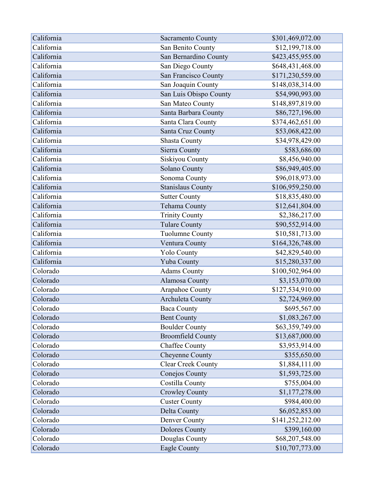| California | Sacramento County         | \$301,469,072.00 |
|------------|---------------------------|------------------|
| California | San Benito County         | \$12,199,718.00  |
| California | San Bernardino County     | \$423,455,955.00 |
| California | San Diego County          | \$648,431,468.00 |
| California | San Francisco County      | \$171,230,559.00 |
| California | San Joaquin County        | \$148,038,314.00 |
| California | San Luis Obispo County    | \$54,990,993.00  |
| California | San Mateo County          | \$148,897,819.00 |
| California | Santa Barbara County      | \$86,727,196.00  |
| California | Santa Clara County        | \$374,462,651.00 |
| California | Santa Cruz County         | \$53,068,422.00  |
| California | <b>Shasta County</b>      | \$34,978,429.00  |
| California | Sierra County             | \$583,686.00     |
| California | Siskiyou County           | \$8,456,940.00   |
| California | Solano County             | \$86,949,405.00  |
| California | Sonoma County             | \$96,018,973.00  |
| California | <b>Stanislaus County</b>  | \$106,959,250.00 |
| California | <b>Sutter County</b>      | \$18,835,480.00  |
| California | Tehama County             | \$12,641,804.00  |
| California | <b>Trinity County</b>     | \$2,386,217.00   |
| California | <b>Tulare County</b>      | \$90,552,914.00  |
| California | <b>Tuolumne County</b>    | \$10,581,713.00  |
| California | Ventura County            | \$164,326,748.00 |
| California | <b>Yolo County</b>        | \$42,829,540.00  |
| California | Yuba County               | \$15,280,337.00  |
| Colorado   | <b>Adams County</b>       | \$100,502,964.00 |
| Colorado   | Alamosa County            | \$3,153,070.00   |
| Colorado   | <b>Arapahoe County</b>    | \$127,534,910.00 |
| Colorado   | <b>Archuleta County</b>   | \$2,724,969.00   |
| Colorado   | <b>Baca County</b>        | \$695,567.00     |
| Colorado   | <b>Bent County</b>        | \$1,083,267.00   |
| Colorado   | <b>Boulder County</b>     | \$63,359,749.00  |
| Colorado   | <b>Broomfield County</b>  | \$13,687,000.00  |
| Colorado   | <b>Chaffee County</b>     | \$3,953,914.00   |
| Colorado   | Cheyenne County           | \$355,650.00     |
| Colorado   | <b>Clear Creek County</b> | \$1,884,111.00   |
| Colorado   | Conejos County            | \$1,593,725.00   |
| Colorado   | Costilla County           | \$755,004.00     |
| Colorado   | <b>Crowley County</b>     | \$1,177,278.00   |
| Colorado   | <b>Custer County</b>      | \$984,400.00     |
| Colorado   | Delta County              | \$6,052,853.00   |
| Colorado   | Denver County             | \$141,252,212.00 |
| Colorado   | <b>Dolores County</b>     | \$399,160.00     |
| Colorado   | Douglas County            | \$68,207,548.00  |
| Colorado   | Eagle County              | \$10,707,773.00  |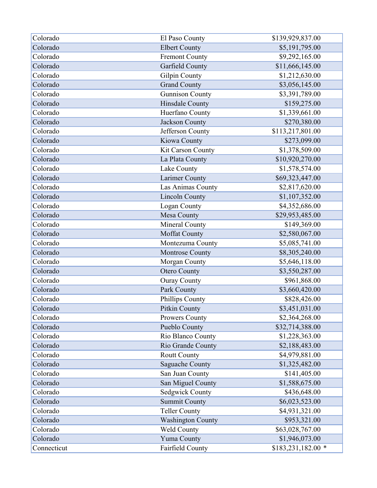| Colorado    | El Paso County           | \$139,929,837.00   |
|-------------|--------------------------|--------------------|
| Colorado    | <b>Elbert County</b>     | \$5,191,795.00     |
| Colorado    | <b>Fremont County</b>    | \$9,292,165.00     |
| Colorado    | Garfield County          | \$11,666,145.00    |
| Colorado    | Gilpin County            | \$1,212,630.00     |
| Colorado    | <b>Grand County</b>      | \$3,056,145.00     |
| Colorado    | <b>Gunnison County</b>   | \$3,391,789.00     |
| Colorado    | Hinsdale County          | \$159,275.00       |
| Colorado    | Huerfano County          | \$1,339,661.00     |
| Colorado    | Jackson County           | \$270,380.00       |
| Colorado    | Jefferson County         | \$113,217,801.00   |
| Colorado    | Kiowa County             | \$273,099.00       |
| Colorado    | Kit Carson County        | \$1,378,509.00     |
| Colorado    | La Plata County          | \$10,920,270.00    |
| Colorado    | Lake County              | \$1,578,574.00     |
| Colorado    | Larimer County           | \$69,323,447.00    |
| Colorado    | Las Animas County        | \$2,817,620.00     |
| Colorado    | <b>Lincoln County</b>    | \$1,107,352.00     |
| Colorado    | Logan County             | \$4,352,686.00     |
| Colorado    | Mesa County              | \$29,953,485.00    |
| Colorado    | Mineral County           | \$149,369.00       |
| Colorado    | <b>Moffat County</b>     | \$2,580,067.00     |
| Colorado    | Montezuma County         | \$5,085,741.00     |
| Colorado    | <b>Montrose County</b>   | \$8,305,240.00     |
| Colorado    | Morgan County            | \$5,646,118.00     |
| Colorado    | <b>Otero County</b>      | \$3,550,287.00     |
| Colorado    | <b>Ouray County</b>      | \$961,868.00       |
| Colorado    | Park County              | \$3,660,420.00     |
| Colorado    | Phillips County          | \$828,426.00       |
| Colorado    | Pitkin County            | \$3,451,031.00     |
| Colorado    | Prowers County           | \$2,364,268.00     |
| Colorado    | Pueblo County            | \$32,714,388.00    |
| Colorado    | Rio Blanco County        | \$1,228,363.00     |
| Colorado    | Rio Grande County        | \$2,188,483.00     |
| Colorado    | <b>Routt County</b>      | \$4,979,881.00     |
| Colorado    | Saguache County          | \$1,325,482.00     |
| Colorado    | San Juan County          | \$141,405.00       |
| Colorado    | San Miguel County        | \$1,588,675.00     |
| Colorado    | Sedgwick County          | \$436,648.00       |
| Colorado    | <b>Summit County</b>     | \$6,023,523.00     |
| Colorado    | <b>Teller County</b>     | \$4,931,321.00     |
| Colorado    | <b>Washington County</b> | \$953,321.00       |
| Colorado    | <b>Weld County</b>       | \$63,028,767.00    |
| Colorado    | Yuma County              | \$1,946,073.00     |
| Connecticut | Fairfield County         | \$183,231,182.00 * |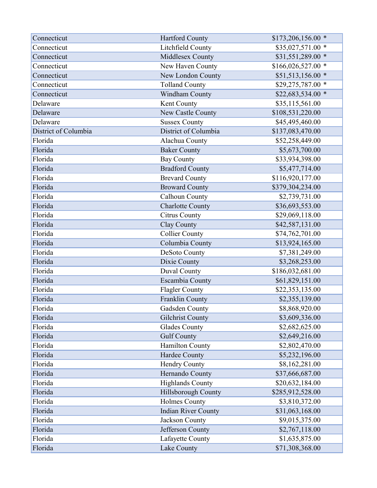| Connecticut          | <b>Hartford County</b>     | $$173,206,156.00$ * |
|----------------------|----------------------------|---------------------|
| Connecticut          | Litchfield County          | \$35,027,571.00 *   |
| Connecticut          | Middlesex County           | \$31,551,289.00 *   |
| Connecticut          | New Haven County           | $$166,026,527.00$ * |
| Connecticut          | New London County          | \$51,513,156.00 *   |
| Connecticut          | <b>Tolland County</b>      | \$29,275,787.00 *   |
| Connecticut          | Windham County             | \$22,683,534.00 *   |
| Delaware             | Kent County                | \$35,115,561.00     |
| Delaware             | New Castle County          | \$108,531,220.00    |
| Delaware             | <b>Sussex County</b>       | \$45,495,460.00     |
| District of Columbia | District of Columbia       | \$137,083,470.00    |
| Florida              | Alachua County             | \$52,258,449.00     |
| Florida              | <b>Baker County</b>        | \$5,673,700.00      |
| Florida              | <b>Bay County</b>          | \$33,934,398.00     |
| Florida              | <b>Bradford County</b>     | \$5,477,714.00      |
| Florida              | <b>Brevard County</b>      | \$116,920,177.00    |
| Florida              | <b>Broward County</b>      | \$379,304,234.00    |
| Florida              | Calhoun County             | \$2,739,731.00      |
| Florida              | <b>Charlotte County</b>    | \$36,693,553.00     |
| Florida              | <b>Citrus County</b>       | \$29,069,118.00     |
| Florida              | Clay County                | \$42,587,131.00     |
| Florida              | <b>Collier County</b>      | \$74,762,701.00     |
| Florida              | Columbia County            | \$13,924,165.00     |
| Florida              | DeSoto County              | \$7,381,249.00      |
| Florida              | Dixie County               | \$3,268,253.00      |
| Florida              | Duval County               | \$186,032,681.00    |
| Florida              | Escambia County            | \$61,829,151.00     |
| Florida              | <b>Flagler County</b>      | \$22,353,135.00     |
| Florida              | Franklin County            | \$2,355,139.00      |
| Florida              | Gadsden County             | \$8,868,920.00      |
| Florida              | <b>Gilchrist County</b>    | \$3,609,336.00      |
| Florida              | <b>Glades County</b>       | \$2,682,625.00      |
| Florida              | <b>Gulf County</b>         | \$2,649,216.00      |
| Florida              | Hamilton County            | \$2,802,470.00      |
| Florida              | Hardee County              | \$5,232,196.00      |
| Florida              | Hendry County              | \$8,162,281.00      |
| Florida              | Hernando County            | \$37,666,687.00     |
| Florida              | <b>Highlands County</b>    | \$20,632,184.00     |
| Florida              | Hillsborough County        | \$285,912,528.00    |
| Florida              | <b>Holmes County</b>       | \$3,810,372.00      |
| Florida              | <b>Indian River County</b> | \$31,063,168.00     |
| Florida              | Jackson County             | \$9,015,375.00      |
| Florida              | Jefferson County           | \$2,767,118.00      |
| Florida              | Lafayette County           | \$1,635,875.00      |
| Florida              | Lake County                | \$71,308,368.00     |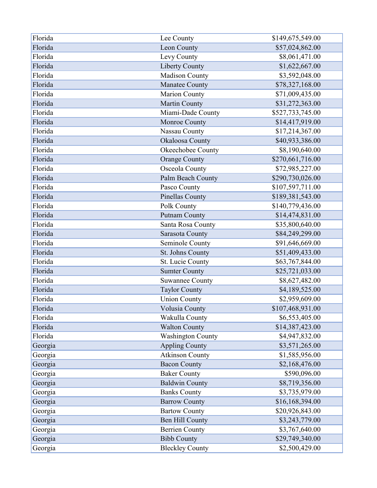| Florida | Lee County               | \$149,675,549.00 |
|---------|--------------------------|------------------|
| Florida | Leon County              | \$57,024,862.00  |
| Florida | Levy County              | \$8,061,471.00   |
| Florida | <b>Liberty County</b>    | \$1,622,667.00   |
| Florida | <b>Madison County</b>    | \$3,592,048.00   |
| Florida | Manatee County           | \$78,327,168.00  |
| Florida | Marion County            | \$71,009,435.00  |
| Florida | Martin County            | \$31,272,363.00  |
| Florida | Miami-Dade County        | \$527,733,745.00 |
| Florida | Monroe County            | \$14,417,919.00  |
| Florida | Nassau County            | \$17,214,367.00  |
| Florida | Okaloosa County          | \$40,933,386.00  |
| Florida | Okeechobee County        | \$8,190,640.00   |
| Florida | <b>Orange County</b>     | \$270,661,716.00 |
| Florida | Osceola County           | \$72,985,227.00  |
| Florida | Palm Beach County        | \$290,730,026.00 |
| Florida | Pasco County             | \$107,597,711.00 |
| Florida | Pinellas County          | \$189,381,543.00 |
| Florida | Polk County              | \$140,779,436.00 |
| Florida | <b>Putnam County</b>     | \$14,474,831.00  |
| Florida | Santa Rosa County        | \$35,800,640.00  |
| Florida | Sarasota County          | \$84,249,299.00  |
| Florida | Seminole County          | \$91,646,669.00  |
| Florida | St. Johns County         | \$51,409,433.00  |
| Florida | St. Lucie County         | \$63,767,844.00  |
| Florida | <b>Sumter County</b>     | \$25,721,033.00  |
| Florida | <b>Suwannee County</b>   | \$8,627,482.00   |
| Florida | <b>Taylor County</b>     | \$4,189,525.00   |
| Florida | <b>Union County</b>      | \$2,959,609.00   |
| Florida | Volusia County           | \$107,468,931.00 |
| Florida | Wakulla County           | \$6,553,405.00   |
| Florida | <b>Walton County</b>     | \$14,387,423.00  |
| Florida | <b>Washington County</b> | \$4,947,832.00   |
| Georgia | <b>Appling County</b>    | \$3,571,265.00   |
| Georgia | <b>Atkinson County</b>   | \$1,585,956.00   |
| Georgia | <b>Bacon County</b>      | \$2,168,476.00   |
| Georgia | <b>Baker County</b>      | \$590,096.00     |
| Georgia | <b>Baldwin County</b>    | \$8,719,356.00   |
| Georgia | <b>Banks County</b>      | \$3,735,979.00   |
| Georgia | <b>Barrow County</b>     | \$16,168,394.00  |
| Georgia | <b>Bartow County</b>     | \$20,926,843.00  |
| Georgia | Ben Hill County          | \$3,243,779.00   |
| Georgia | <b>Berrien County</b>    | \$3,767,640.00   |
| Georgia | <b>Bibb County</b>       | \$29,749,340.00  |
| Georgia | <b>Bleckley County</b>   | \$2,500,429.00   |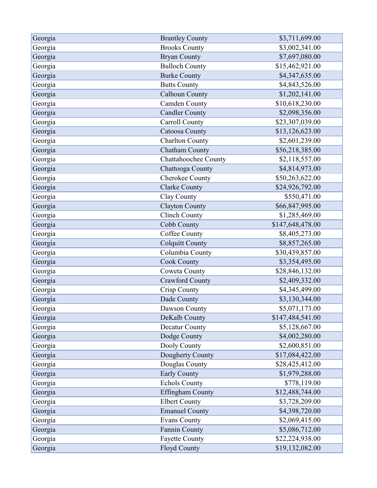| Georgia | <b>Brantley County</b>      | \$3,711,699.00   |
|---------|-----------------------------|------------------|
| Georgia | <b>Brooks County</b>        | \$3,002,341.00   |
| Georgia | <b>Bryan County</b>         | \$7,697,080.00   |
| Georgia | <b>Bulloch County</b>       | \$15,462,921.00  |
| Georgia | <b>Burke County</b>         | \$4,347,635.00   |
| Georgia | <b>Butts County</b>         | \$4,843,526.00   |
| Georgia | <b>Calhoun County</b>       | \$1,202,141.00   |
| Georgia | <b>Camden County</b>        | \$10,618,230.00  |
| Georgia | <b>Candler County</b>       | \$2,098,356.00   |
| Georgia | <b>Carroll County</b>       | \$23,307,039.00  |
| Georgia | Catoosa County              | \$13,126,623.00  |
| Georgia | <b>Charlton County</b>      | \$2,601,239.00   |
| Georgia | <b>Chatham County</b>       | \$56,218,385.00  |
| Georgia | <b>Chattahoochee County</b> | \$2,118,557.00   |
| Georgia | Chattooga County            | \$4,814,973.00   |
| Georgia | Cherokee County             | \$50,263,622.00  |
| Georgia | <b>Clarke County</b>        | \$24,926,792.00  |
| Georgia | Clay County                 | \$550,471.00     |
| Georgia | <b>Clayton County</b>       | \$66,847,995.00  |
| Georgia | <b>Clinch County</b>        | \$1,285,469.00   |
| Georgia | Cobb County                 | \$147,648,478.00 |
| Georgia | Coffee County               | \$8,405,273.00   |
| Georgia | <b>Colquitt County</b>      | \$8,857,265.00   |
| Georgia | Columbia County             | \$30,439,857.00  |
| Georgia | <b>Cook County</b>          | \$3,354,495.00   |
| Georgia | Coweta County               | \$28,846,132.00  |
| Georgia | <b>Crawford County</b>      | \$2,409,332.00   |
| Georgia | Crisp County                | \$4,345,499.00   |
| Georgia | Dade County                 | \$3,130,344.00   |
| Georgia | Dawson County               | \$5,071,173.00   |
| Georgia | DeKalb County               | \$147,484,541.00 |
| Georgia | Decatur County              | \$5,128,667.00   |
| Georgia | Dodge County                | \$4,002,280.00   |
| Georgia | Dooly County                | \$2,600,851.00   |
| Georgia | Dougherty County            | \$17,084,422.00  |
| Georgia | Douglas County              | \$28,425,412.00  |
| Georgia | <b>Early County</b>         | \$1,979,288.00   |
| Georgia | <b>Echols County</b>        | \$778,119.00     |
| Georgia | <b>Effingham County</b>     | \$12,488,744.00  |
| Georgia | <b>Elbert County</b>        | \$3,728,209.00   |
| Georgia | <b>Emanuel County</b>       | \$4,398,720.00   |
| Georgia | <b>Evans County</b>         | \$2,069,415.00   |
| Georgia | Fannin County               | \$5,086,712.00   |
| Georgia | <b>Fayette County</b>       | \$22,224,938.00  |
| Georgia | Floyd County                | \$19,132,082.00  |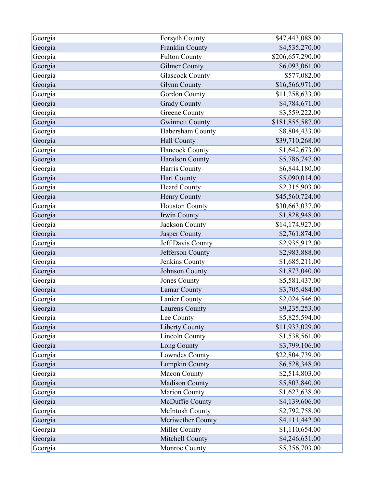| Georgia | Forsyth County         | \$47,443,088.00  |
|---------|------------------------|------------------|
| Georgia | Franklin County        | \$4,535,270.00   |
| Georgia | <b>Fulton County</b>   | \$206,657,290.00 |
| Georgia | <b>Gilmer County</b>   | \$6,093,061.00   |
| Georgia | <b>Glascock County</b> | \$577,082.00     |
| Georgia | <b>Glynn County</b>    | \$16,566,971.00  |
| Georgia | Gordon County          | \$11,258,633.00  |
| Georgia | <b>Grady County</b>    | \$4,784,671.00   |
| Georgia | Greene County          | \$3,559,222.00   |
| Georgia | <b>Gwinnett County</b> | \$181,855,587.00 |
| Georgia | Habersham County       | \$8,804,433.00   |
| Georgia | Hall County            | \$39,710,268.00  |
| Georgia | <b>Hancock County</b>  | \$1,642,673.00   |
| Georgia | <b>Haralson County</b> | \$5,786,747.00   |
| Georgia | Harris County          | \$6,844,180.00   |
| Georgia | Hart County            | \$5,090,014.00   |
| Georgia | <b>Heard County</b>    | \$2,315,903.00   |
| Georgia | Henry County           | \$45,560,724.00  |
| Georgia | <b>Houston County</b>  | \$30,663,037.00  |
| Georgia | Irwin County           | \$1,828,948.00   |
| Georgia | Jackson County         | \$14,174,927.00  |
| Georgia | Jasper County          | \$2,761,874.00   |
| Georgia | Jeff Davis County      | \$2,935,912.00   |
| Georgia | Jefferson County       | \$2,983,888.00   |
| Georgia | Jenkins County         | \$1,685,211.00   |
| Georgia | Johnson County         | \$1,873,040.00   |
| Georgia | Jones County           | \$5,581,437.00   |
| Georgia | Lamar County           | \$3,705,484.00   |
| Georgia | Lanier County          | \$2,024,546.00   |
| Georgia | <b>Laurens County</b>  | \$9,235,253.00   |
| Georgia | Lee County             | \$5,825,594.00   |
| Georgia | Liberty County         | \$11,933,029.00  |
| Georgia | <b>Lincoln County</b>  | \$1,538,561.00   |
| Georgia | Long County            | \$3,799,106.00   |
| Georgia | Lowndes County         | \$22,804,739.00  |
| Georgia | Lumpkin County         | \$6,528,348.00   |
| Georgia | Macon County           | \$2,514,803.00   |
| Georgia | <b>Madison County</b>  | \$5,803,840.00   |
| Georgia | <b>Marion County</b>   | \$1,623,638.00   |
| Georgia | McDuffie County        | \$4,139,606.00   |
| Georgia | McIntosh County        | \$2,792,758.00   |
| Georgia | Meriwether County      | \$4,111,442.00   |
| Georgia | Miller County          | \$1,110,654.00   |
| Georgia | Mitchell County        | \$4,246,631.00   |
| Georgia | Monroe County          | \$5,356,703.00   |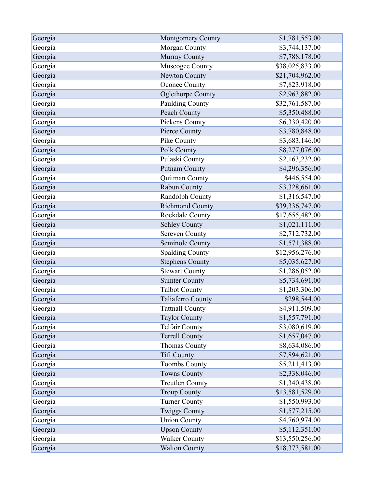| Georgia | <b>Montgomery County</b> | \$1,781,553.00  |
|---------|--------------------------|-----------------|
| Georgia | Morgan County            | \$3,744,137.00  |
| Georgia | Murray County            | \$7,788,178.00  |
| Georgia | Muscogee County          | \$38,025,833.00 |
| Georgia | Newton County            | \$21,704,962.00 |
| Georgia | Oconee County            | \$7,823,918.00  |
| Georgia | <b>Oglethorpe County</b> | \$2,963,882.00  |
| Georgia | Paulding County          | \$32,761,587.00 |
| Georgia | Peach County             | \$5,350,488.00  |
| Georgia | Pickens County           | \$6,330,420.00  |
| Georgia | Pierce County            | \$3,780,848.00  |
| Georgia | Pike County              | \$3,683,146.00  |
| Georgia | Polk County              | \$8,277,076.00  |
| Georgia | Pulaski County           | \$2,163,232.00  |
| Georgia | <b>Putnam County</b>     | \$4,296,356.00  |
| Georgia | Quitman County           | \$446,554.00    |
| Georgia | Rabun County             | \$3,328,661.00  |
| Georgia | Randolph County          | \$1,316,547.00  |
| Georgia | <b>Richmond County</b>   | \$39,336,747.00 |
| Georgia | Rockdale County          | \$17,655,482.00 |
| Georgia | <b>Schley County</b>     | \$1,021,111.00  |
| Georgia | <b>Screven County</b>    | \$2,712,732.00  |
| Georgia | Seminole County          | \$1,571,388.00  |
| Georgia | <b>Spalding County</b>   | \$12,956,276.00 |
| Georgia | <b>Stephens County</b>   | \$5,035,627.00  |
| Georgia | <b>Stewart County</b>    | \$1,286,052.00  |
| Georgia | <b>Sumter County</b>     | \$5,734,691.00  |
| Georgia | <b>Talbot County</b>     | \$1,203,306.00  |
| Georgia | Taliaferro County        | \$298,544.00    |
| Georgia | <b>Tattnall County</b>   | \$4,911,509.00  |
| Georgia | <b>Taylor County</b>     | \$1,557,791.00  |
| Georgia | <b>Telfair County</b>    | \$3,080,619.00  |
| Georgia | <b>Terrell County</b>    | \$1,657,047.00  |
| Georgia | <b>Thomas County</b>     | \$8,634,086.00  |
| Georgia | <b>Tift County</b>       | \$7,894,621.00  |
| Georgia | <b>Toombs County</b>     | \$5,211,413.00  |
| Georgia | <b>Towns County</b>      | \$2,338,046.00  |
| Georgia | <b>Treutlen County</b>   | \$1,340,438.00  |
| Georgia | <b>Troup County</b>      | \$13,581,529.00 |
| Georgia | <b>Turner County</b>     | \$1,550,993.00  |
| Georgia | <b>Twiggs County</b>     | \$1,577,215.00  |
| Georgia | <b>Union County</b>      | \$4,760,974.00  |
| Georgia | <b>Upson County</b>      | \$5,112,351.00  |
| Georgia | <b>Walker County</b>     | \$13,550,256.00 |
| Georgia | <b>Walton County</b>     | \$18,373,581.00 |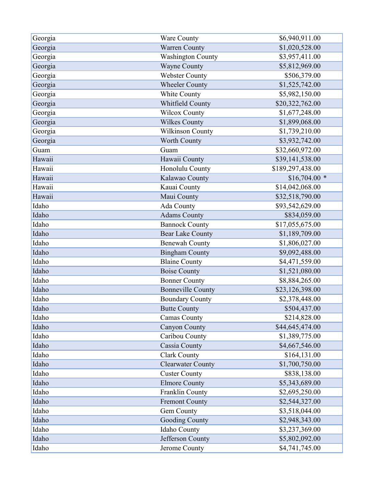| Georgia | Ware County              | \$6,940,911.00   |
|---------|--------------------------|------------------|
| Georgia | <b>Warren County</b>     | \$1,020,528.00   |
| Georgia | <b>Washington County</b> | \$3,957,411.00   |
| Georgia | <b>Wayne County</b>      | \$5,812,969.00   |
| Georgia | <b>Webster County</b>    | \$506,379.00     |
| Georgia | <b>Wheeler County</b>    | \$1,525,742.00   |
| Georgia | White County             | \$5,982,150.00   |
| Georgia | Whitfield County         | \$20,322,762.00  |
| Georgia | <b>Wilcox County</b>     | \$1,677,248.00   |
| Georgia | <b>Wilkes County</b>     | \$1,899,068.00   |
| Georgia | Wilkinson County         | \$1,739,210.00   |
| Georgia | Worth County             | \$3,932,742.00   |
| Guam    | Guam                     | \$32,660,972.00  |
| Hawaii  | Hawaii County            | \$39,141,538.00  |
| Hawaii  | Honolulu County          | \$189,297,438.00 |
| Hawaii  | Kalawao County           | $$16,704.00$ *   |
| Hawaii  | Kauai County             | \$14,042,068.00  |
| Hawaii  | Maui County              | \$32,518,790.00  |
| Idaho   | Ada County               | \$93,542,629.00  |
| Idaho   | <b>Adams County</b>      | \$834,059.00     |
| Idaho   | <b>Bannock County</b>    | \$17,055,675.00  |
| Idaho   | <b>Bear Lake County</b>  | \$1,189,709.00   |
| Idaho   | <b>Benewah County</b>    | \$1,806,027.00   |
| Idaho   | <b>Bingham County</b>    | \$9,092,488.00   |
| Idaho   | <b>Blaine County</b>     | \$4,471,559.00   |
| Idaho   | <b>Boise County</b>      | \$1,521,080.00   |
| Idaho   | <b>Bonner County</b>     | \$8,884,265.00   |
| Idaho   | <b>Bonneville County</b> | \$23,126,398.00  |
| Idaho   | <b>Boundary County</b>   | \$2,378,448.00   |
| Idaho   | <b>Butte County</b>      | \$504,437.00     |
| Idaho   | <b>Camas County</b>      | \$214,828.00     |
| Idaho   | Canyon County            | \$44,645,474.00  |
| Idaho   | Caribou County           | \$1,389,775.00   |
| Idaho   | Cassia County            | \$4,667,546.00   |
| Idaho   | <b>Clark County</b>      | \$164,131.00     |
| Idaho   | <b>Clearwater County</b> | \$1,700,750.00   |
| Idaho   | <b>Custer County</b>     | \$838,138.00     |
| Idaho   | <b>Elmore County</b>     | \$5,343,689.00   |
| Idaho   | Franklin County          | \$2,695,250.00   |
| Idaho   | <b>Fremont County</b>    | \$2,544,327.00   |
| Idaho   | Gem County               | \$3,518,044.00   |
| Idaho   | <b>Gooding County</b>    | \$2,948,343.00   |
| Idaho   | Idaho County             | \$3,237,369.00   |
| Idaho   | Jefferson County         | \$5,802,092.00   |
| Idaho   | Jerome County            | \$4,741,745.00   |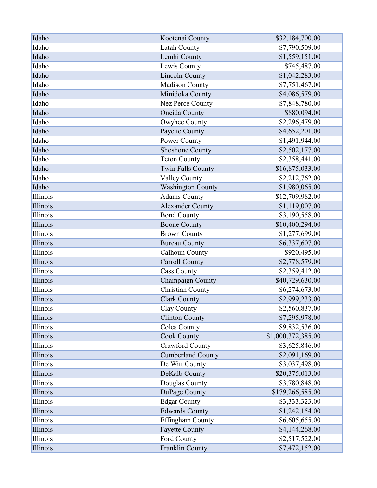| Idaho    | Kootenai County          | \$32,184,700.00            |
|----------|--------------------------|----------------------------|
| Idaho    | Latah County             | \$7,790,509.00             |
| Idaho    | Lemhi County             | \$1,559,151.00             |
| Idaho    | Lewis County             | \$745,487.00               |
| Idaho    | <b>Lincoln County</b>    | \$1,042,283.00             |
| Idaho    | Madison County           | \$7,751,467.00             |
| Idaho    | Minidoka County          | \$4,086,579.00             |
| Idaho    | Nez Perce County         | \$7,848,780.00             |
| Idaho    | Oneida County            | \$880,094.00               |
| Idaho    | Owyhee County            | \$2,296,479.00             |
| Idaho    | Payette County           | \$4,652,201.00             |
| Idaho    | Power County             | \$1,491,944.00             |
| Idaho    | <b>Shoshone County</b>   | \$2,502,177.00             |
| Idaho    | <b>Teton County</b>      | \$2,358,441.00             |
| Idaho    | <b>Twin Falls County</b> | \$16,875,033.00            |
| Idaho    | <b>Valley County</b>     | \$2,212,762.00             |
| Idaho    | <b>Washington County</b> | \$1,980,065.00             |
| Illinois | <b>Adams County</b>      | \$12,709,982.00            |
| Illinois | <b>Alexander County</b>  | \$1,119,007.00             |
| Illinois | <b>Bond County</b>       | \$3,190,558.00             |
| Illinois | <b>Boone County</b>      | \$10,400,294.00            |
| Illinois | <b>Brown County</b>      | \$1,277,699.00             |
| Illinois | <b>Bureau County</b>     | \$6,337,607.00             |
| Illinois | Calhoun County           | \$920,495.00               |
| Illinois | <b>Carroll County</b>    | \$2,778,579.00             |
| Illinois | <b>Cass County</b>       | $\overline{$}2,359,412.00$ |
| Illinois | Champaign County         | \$40,729,630.00            |
| Illinois | <b>Christian County</b>  | \$6,274,673.00             |
| Illinois | <b>Clark County</b>      | \$2,999,233.00             |
| Illinois | Clay County              | \$2,560,837.00             |
| Illinois | <b>Clinton County</b>    | \$7,295,978.00             |
| Illinois | <b>Coles County</b>      | \$9,832,536.00             |
| Illinois | <b>Cook County</b>       | \$1,000,372,385.00         |
| Illinois | <b>Crawford County</b>   | \$3,625,846.00             |
| Illinois | <b>Cumberland County</b> | \$2,091,169.00             |
| Illinois | De Witt County           | \$3,037,498.00             |
| Illinois | DeKalb County            | \$20,375,013.00            |
| Illinois | Douglas County           | \$3,780,848.00             |
| Illinois | DuPage County            | \$179,266,585.00           |
| Illinois | <b>Edgar County</b>      | \$3,333,323.00             |
| Illinois | <b>Edwards County</b>    | \$1,242,154.00             |
| Illinois | Effingham County         | \$6,605,655.00             |
| Illinois | <b>Fayette County</b>    | \$4,144,268.00             |
| Illinois | Ford County              | \$2,517,522.00             |
| Illinois | Franklin County          | \$7,472,152.00             |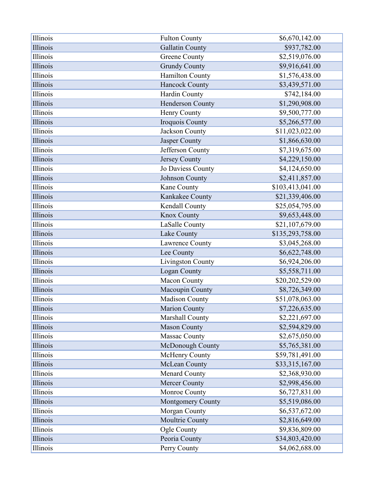| Illinois | <b>Fulton County</b>   | \$6,670,142.00   |
|----------|------------------------|------------------|
| Illinois | <b>Gallatin County</b> | \$937,782.00     |
| Illinois | <b>Greene County</b>   | \$2,519,076.00   |
| Illinois | <b>Grundy County</b>   | \$9,916,641.00   |
| Illinois | <b>Hamilton County</b> | \$1,576,438.00   |
| Illinois | Hancock County         | \$3,439,571.00   |
| Illinois | Hardin County          | \$742,184.00     |
| Illinois | Henderson County       | \$1,290,908.00   |
| Illinois | Henry County           | \$9,500,777.00   |
| Illinois | Iroquois County        | \$5,266,577.00   |
| Illinois | Jackson County         | \$11,023,022.00  |
| Illinois | Jasper County          | \$1,866,630.00   |
| Illinois | Jefferson County       | \$7,319,675.00   |
| Illinois | Jersey County          | \$4,229,150.00   |
| Illinois | Jo Daviess County      | \$4,124,650.00   |
| Illinois | Johnson County         | \$2,411,857.00   |
| Illinois | Kane County            | \$103,413,041.00 |
| Illinois | Kankakee County        | \$21,339,406.00  |
| Illinois | Kendall County         | \$25,054,795.00  |
| Illinois | Knox County            | \$9,653,448.00   |
| Illinois | LaSalle County         | \$21,107,679.00  |
| Illinois | Lake County            | \$135,293,758.00 |
| Illinois | Lawrence County        | \$3,045,268.00   |
| Illinois | Lee County             | \$6,622,748.00   |
| Illinois | Livingston County      | \$6,924,206.00   |
| Illinois | Logan County           | \$5,558,711.00   |
| Illinois | Macon County           | \$20,202,529.00  |
| Illinois | Macoupin County        | \$8,726,349.00   |
| Illinois | <b>Madison County</b>  | \$51,078,063.00  |
| Illinois | <b>Marion County</b>   | \$7,226,635.00   |
| Illinois | Marshall County        | \$2,221,697.00   |
| Illinois | <b>Mason County</b>    | \$2,594,829.00   |
| Illinois | <b>Massac County</b>   | \$2,675,050.00   |
| Illinois | McDonough County       | \$5,765,381.00   |
| Illinois | McHenry County         | \$59,781,491.00  |
| Illinois | McLean County          | \$33,315,167.00  |
| Illinois | <b>Menard County</b>   | \$2,368,930.00   |
| Illinois | <b>Mercer County</b>   | \$2,998,456.00   |
| Illinois | Monroe County          | \$6,727,831.00   |
| Illinois | Montgomery County      | \$5,519,086.00   |
| Illinois | Morgan County          | \$6,537,672.00   |
| Illinois | Moultrie County        | \$2,816,649.00   |
| Illinois | Ogle County            | \$9,836,809.00   |
| Illinois | Peoria County          | \$34,803,420.00  |
| Illinois | Perry County           | \$4,062,688.00   |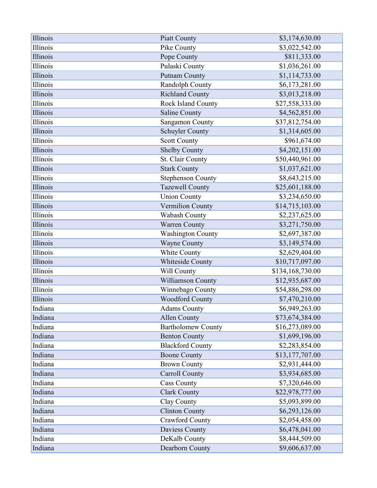| Illinois | Piatt County              | \$3,174,630.00   |
|----------|---------------------------|------------------|
| Illinois | Pike County               | \$3,022,542.00   |
| Illinois | Pope County               | \$811,333.00     |
| Illinois | Pulaski County            | \$1,036,261.00   |
| Illinois | <b>Putnam County</b>      | \$1,114,733.00   |
| Illinois | Randolph County           | \$6,173,281.00   |
| Illinois | <b>Richland County</b>    | \$3,013,218.00   |
| Illinois | Rock Island County        | \$27,558,333.00  |
| Illinois | Saline County             | \$4,562,851.00   |
| Illinois | Sangamon County           | \$37,812,754.00  |
| Illinois | <b>Schuyler County</b>    | \$1,314,605.00   |
| Illinois | <b>Scott County</b>       | \$961,674.00     |
| Illinois | <b>Shelby County</b>      | \$4,202,151.00   |
| Illinois | St. Clair County          | \$50,440,961.00  |
| Illinois | <b>Stark County</b>       | \$1,037,621.00   |
| Illinois | <b>Stephenson County</b>  | \$8,643,215.00   |
| Illinois | <b>Tazewell County</b>    | \$25,601,188.00  |
| Illinois | <b>Union County</b>       | \$3,234,650.00   |
| Illinois | Vermilion County          | \$14,715,103.00  |
| Illinois | Wabash County             | \$2,237,625.00   |
| Illinois | Warren County             | \$3,271,750.00   |
| Illinois | <b>Washington County</b>  | \$2,697,387.00   |
| Illinois | <b>Wayne County</b>       | \$3,149,574.00   |
| Illinois | White County              | \$2,629,404.00   |
| Illinois | Whiteside County          | \$10,717,097.00  |
| Illinois | Will County               | \$134,168,730.00 |
| Illinois | Williamson County         | \$12,935,687.00  |
| Illinois | Winnebago County          | \$54,886,298.00  |
| Illinois | <b>Woodford County</b>    | \$7,470,210.00   |
| Indiana  | <b>Adams County</b>       | \$6,949,263.00   |
| Indiana  | <b>Allen County</b>       | \$73,674,384.00  |
| Indiana  | <b>Bartholomew County</b> | \$16,273,089.00  |
| Indiana  | <b>Benton County</b>      | \$1,699,196.00   |
| Indiana  | <b>Blackford County</b>   | \$2,283,854.00   |
| Indiana  | <b>Boone County</b>       | \$13,177,707.00  |
| Indiana  | <b>Brown County</b>       | \$2,931,444.00   |
| Indiana  | <b>Carroll County</b>     | \$3,934,685.00   |
| Indiana  | <b>Cass County</b>        | \$7,320,646.00   |
| Indiana  | <b>Clark County</b>       | \$22,978,777.00  |
| Indiana  | Clay County               | \$5,093,899.00   |
| Indiana  | <b>Clinton County</b>     | \$6,293,126.00   |
| Indiana  | <b>Crawford County</b>    | \$2,054,458.00   |
| Indiana  | Daviess County            | \$6,478,041.00   |
| Indiana  | DeKalb County             | \$8,444,509.00   |
| Indiana  | Dearborn County           | \$9,606,637.00   |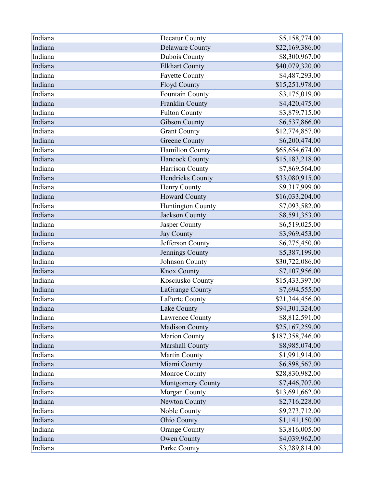| Indiana | Decatur County           | \$5,158,774.00   |
|---------|--------------------------|------------------|
| Indiana | <b>Delaware County</b>   | \$22,169,386.00  |
| Indiana | Dubois County            | \$8,300,967.00   |
| Indiana | <b>Elkhart County</b>    | \$40,079,320.00  |
| Indiana | <b>Fayette County</b>    | \$4,487,293.00   |
| Indiana | Floyd County             | \$15,251,978.00  |
| Indiana | Fountain County          | \$3,175,019.00   |
| Indiana | Franklin County          | \$4,420,475.00   |
| Indiana | <b>Fulton County</b>     | \$3,879,715.00   |
| Indiana | <b>Gibson County</b>     | \$6,537,866.00   |
| Indiana | <b>Grant County</b>      | \$12,774,857.00  |
| Indiana | <b>Greene County</b>     | \$6,200,474.00   |
| Indiana | <b>Hamilton County</b>   | \$65,654,674.00  |
| Indiana | <b>Hancock County</b>    | \$15,183,218.00  |
| Indiana | Harrison County          | \$7,869,564.00   |
| Indiana | Hendricks County         | \$33,080,915.00  |
| Indiana | Henry County             | \$9,317,999.00   |
| Indiana | <b>Howard County</b>     | \$16,033,204.00  |
| Indiana | Huntington County        | \$7,093,582.00   |
| Indiana | Jackson County           | \$8,591,353.00   |
| Indiana | Jasper County            | \$6,519,025.00   |
| Indiana | <b>Jay County</b>        | \$3,969,453.00   |
| Indiana | Jefferson County         | \$6,275,450.00   |
| Indiana | Jennings County          | \$5,387,199.00   |
| Indiana | Johnson County           | \$30,722,086.00  |
| Indiana | <b>Knox County</b>       | \$7,107,956.00   |
| Indiana | Kosciusko County         | \$15,433,397.00  |
| Indiana | LaGrange County          | \$7,694,555.00   |
| Indiana | LaPorte County           | \$21,344,456.00  |
| Indiana | Lake County              | \$94,301,324.00  |
| Indiana | Lawrence County          | \$8,812,591.00   |
| Indiana | <b>Madison County</b>    | \$25,167,259.00  |
| Indiana | <b>Marion County</b>     | \$187,358,746.00 |
| Indiana | Marshall County          | \$8,985,074.00   |
| Indiana | Martin County            | \$1,991,914.00   |
| Indiana | Miami County             | \$6,898,567.00   |
| Indiana | Monroe County            | \$28,830,982.00  |
| Indiana | <b>Montgomery County</b> | \$7,446,707.00   |
| Indiana | Morgan County            | \$13,691,662.00  |
| Indiana | Newton County            | \$2,716,228.00   |
| Indiana | Noble County             | \$9,273,712.00   |
| Indiana | Ohio County              | \$1,141,150.00   |
| Indiana | <b>Orange County</b>     | \$3,816,005.00   |
| Indiana | Owen County              | \$4,039,962.00   |
| Indiana | Parke County             | \$3,289,814.00   |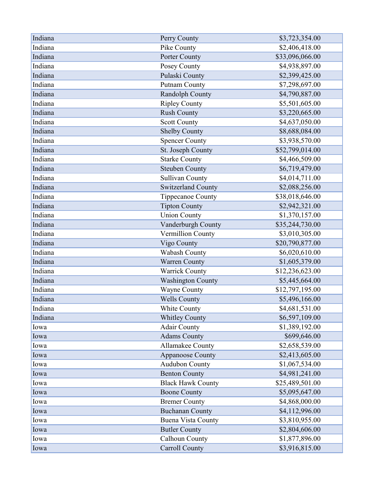| Indiana | Perry County              | \$3,723,354.00  |
|---------|---------------------------|-----------------|
| Indiana | Pike County               | \$2,406,418.00  |
| Indiana | Porter County             | \$33,096,066.00 |
| Indiana | Posey County              | \$4,938,897.00  |
| Indiana | Pulaski County            | \$2,399,425.00  |
| Indiana | <b>Putnam County</b>      | \$7,298,697.00  |
| Indiana | Randolph County           | \$4,790,887.00  |
| Indiana | <b>Ripley County</b>      | \$5,501,605.00  |
| Indiana | <b>Rush County</b>        | \$3,220,665.00  |
| Indiana | <b>Scott County</b>       | \$4,637,050.00  |
| Indiana | <b>Shelby County</b>      | \$8,688,084.00  |
| Indiana | <b>Spencer County</b>     | \$3,938,570.00  |
| Indiana | St. Joseph County         | \$52,799,014.00 |
| Indiana | <b>Starke County</b>      | \$4,466,509.00  |
| Indiana | <b>Steuben County</b>     | \$6,719,479.00  |
| Indiana | <b>Sullivan County</b>    | \$4,014,711.00  |
| Indiana | Switzerland County        | \$2,088,256.00  |
| Indiana | Tippecanoe County         | \$38,018,646.00 |
| Indiana | <b>Tipton County</b>      | \$2,942,321.00  |
| Indiana | <b>Union County</b>       | \$1,370,157.00  |
| Indiana | Vanderburgh County        | \$35,244,730.00 |
| Indiana | Vermillion County         | \$3,010,305.00  |
| Indiana | Vigo County               | \$20,790,877.00 |
| Indiana | <b>Wabash County</b>      | \$6,020,610.00  |
| Indiana | Warren County             | \$1,605,379.00  |
| Indiana | <b>Warrick County</b>     | \$12,236,623.00 |
| Indiana | <b>Washington County</b>  | \$5,445,664.00  |
| Indiana | <b>Wayne County</b>       | \$12,797,195.00 |
| Indiana | <b>Wells County</b>       | \$5,496,166.00  |
| Indiana | White County              | \$4,681,531.00  |
| Indiana | <b>Whitley County</b>     | \$6,597,109.00  |
| Iowa    | <b>Adair County</b>       | \$1,389,192.00  |
| Iowa    | <b>Adams County</b>       | \$699,646.00    |
| Iowa    | <b>Allamakee County</b>   | \$2,658,539.00  |
| Iowa    | <b>Appanoose County</b>   | \$2,413,605.00  |
| Iowa    | <b>Audubon County</b>     | \$1,067,534.00  |
| Iowa    | <b>Benton County</b>      | \$4,981,241.00  |
| Iowa    | <b>Black Hawk County</b>  | \$25,489,501.00 |
| Iowa    | <b>Boone County</b>       | \$5,095,647.00  |
| Iowa    | <b>Bremer County</b>      | \$4,868,000.00  |
| Iowa    | <b>Buchanan County</b>    | \$4,112,996.00  |
| Iowa    | <b>Buena Vista County</b> | \$3,810,955.00  |
| Iowa    | <b>Butler County</b>      | \$2,804,606.00  |
| Iowa    | Calhoun County            | \$1,877,896.00  |
| Iowa    | <b>Carroll County</b>     | \$3,916,815.00  |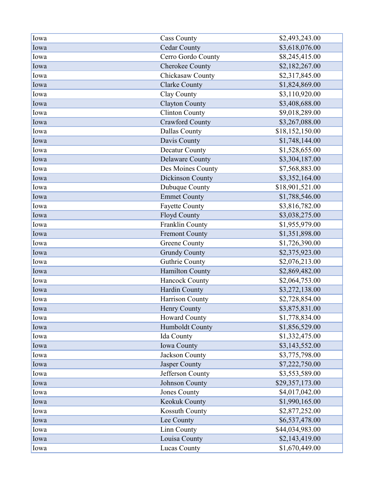| Iowa | <b>Cass County</b>     | \$2,493,243.00  |
|------|------------------------|-----------------|
| Iowa | <b>Cedar County</b>    | \$3,618,076.00  |
| Iowa | Cerro Gordo County     | \$8,245,415.00  |
| Iowa | <b>Cherokee County</b> | \$2,182,267.00  |
| Iowa | Chickasaw County       | \$2,317,845.00  |
| Iowa | <b>Clarke County</b>   | \$1,824,869.00  |
| Iowa | Clay County            | \$3,110,920.00  |
| Iowa | <b>Clayton County</b>  | \$3,408,688.00  |
| Iowa | <b>Clinton County</b>  | \$9,018,289.00  |
| Iowa | <b>Crawford County</b> | \$3,267,088.00  |
| Iowa | Dallas County          | \$18,152,150.00 |
| Iowa | Davis County           | \$1,748,144.00  |
| Iowa | Decatur County         | \$1,528,655.00  |
| Iowa | <b>Delaware County</b> | \$3,304,187.00  |
| Iowa | Des Moines County      | \$7,568,883.00  |
| Iowa | Dickinson County       | \$3,352,164.00  |
| Iowa | Dubuque County         | \$18,901,521.00 |
| Iowa | <b>Emmet County</b>    | \$1,788,546.00  |
| Iowa | <b>Fayette County</b>  | \$3,816,782.00  |
| Iowa | <b>Floyd County</b>    | \$3,038,275.00  |
| Iowa | Franklin County        | \$1,955,979.00  |
| Iowa | <b>Fremont County</b>  | \$1,351,898.00  |
| Iowa | <b>Greene County</b>   | \$1,726,390.00  |
| Iowa | <b>Grundy County</b>   | \$2,375,923.00  |
| Iowa | <b>Guthrie County</b>  | \$2,076,213.00  |
| Iowa | Hamilton County        | \$2,869,482.00  |
| Iowa | <b>Hancock County</b>  | \$2,064,753.00  |
| Iowa | Hardin County          | \$3,272,138.00  |
| Iowa | Harrison County        | \$2,728,854.00  |
| Iowa | Henry County           | \$3,875,831.00  |
| Iowa | <b>Howard County</b>   | \$1,778,834.00  |
| Iowa | Humboldt County        | \$1,856,529.00  |
| Iowa | Ida County             | \$1,332,475.00  |
| Iowa | Iowa County            | \$3,143,552.00  |
| Iowa | Jackson County         | \$3,775,798.00  |
| Iowa | Jasper County          | \$7,222,750.00  |
| Iowa | Jefferson County       | \$3,553,589.00  |
| Iowa | Johnson County         | \$29,357,173.00 |
| Iowa | <b>Jones County</b>    | \$4,017,042.00  |
| Iowa | Keokuk County          | \$1,990,165.00  |
| Iowa | Kossuth County         | \$2,877,252.00  |
| Iowa | Lee County             | \$6,537,478.00  |
| Iowa | Linn County            | \$44,034,983.00 |
| Iowa | Louisa County          | \$2,143,419.00  |
| Iowa | <b>Lucas County</b>    | \$1,670,449.00  |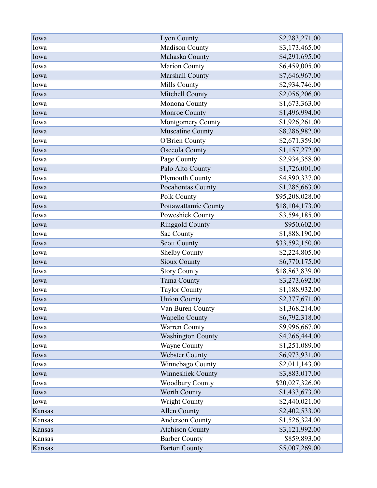| Iowa   | Lyon County              | \$2,283,271.00  |
|--------|--------------------------|-----------------|
| Iowa   | Madison County           | \$3,173,465.00  |
| Iowa   | Mahaska County           | \$4,291,695.00  |
| Iowa   | Marion County            | \$6,459,005.00  |
| Iowa   | Marshall County          | \$7,646,967.00  |
| Iowa   | Mills County             | \$2,934,746.00  |
| Iowa   | Mitchell County          | \$2,056,206.00  |
| Iowa   | Monona County            | \$1,673,363.00  |
| Iowa   | Monroe County            | \$1,496,994.00  |
| Iowa   | Montgomery County        | \$1,926,261.00  |
| Iowa   | <b>Muscatine County</b>  | \$8,286,982.00  |
| Iowa   | <b>O'Brien County</b>    | \$2,671,359.00  |
| Iowa   | <b>Osceola County</b>    | \$1,157,272.00  |
| Iowa   | Page County              | \$2,934,358.00  |
| Iowa   | Palo Alto County         | \$1,726,001.00  |
| Iowa   | Plymouth County          | \$4,890,337.00  |
| Iowa   | Pocahontas County        | \$1,285,663.00  |
| Iowa   | Polk County              | \$95,208,028.00 |
| Iowa   | Pottawattamie County     | \$18,104,173.00 |
| Iowa   | Poweshiek County         | \$3,594,185.00  |
| Iowa   | <b>Ringgold County</b>   | \$950,602.00    |
| Iowa   | Sac County               | \$1,888,190.00  |
| Iowa   | <b>Scott County</b>      | \$33,592,150.00 |
| Iowa   | <b>Shelby County</b>     | \$2,224,805.00  |
| Iowa   | <b>Sioux County</b>      | \$6,770,175.00  |
| Iowa   | <b>Story County</b>      | \$18,863,839.00 |
| Iowa   | Tama County              | \$3,273,692.00  |
| Iowa   | <b>Taylor County</b>     | \$1,188,932.00  |
| Iowa   | <b>Union County</b>      | \$2,377,671.00  |
| Iowa   | Van Buren County         | \$1,368,214.00  |
| Iowa   | <b>Wapello County</b>    | \$6,792,318.00  |
| Iowa   | Warren County            | \$9,996,667.00  |
| Iowa   | <b>Washington County</b> | \$4,266,444.00  |
| Iowa   | <b>Wayne County</b>      | \$1,251,089.00  |
| Iowa   | <b>Webster County</b>    | \$6,973,931.00  |
| Iowa   | Winnebago County         | \$2,011,143.00  |
| Iowa   | Winneshiek County        | \$3,883,017.00  |
| Iowa   | <b>Woodbury County</b>   | \$20,027,326.00 |
| Iowa   | <b>Worth County</b>      | \$1,433,673.00  |
| Iowa   | <b>Wright County</b>     | \$2,440,021.00  |
| Kansas | <b>Allen County</b>      | \$2,402,533.00  |
| Kansas | <b>Anderson County</b>   | \$1,526,324.00  |
| Kansas | <b>Atchison County</b>   | \$3,121,992.00  |
| Kansas | <b>Barber County</b>     | \$859,893.00    |
| Kansas | <b>Barton County</b>     | \$5,007,269.00  |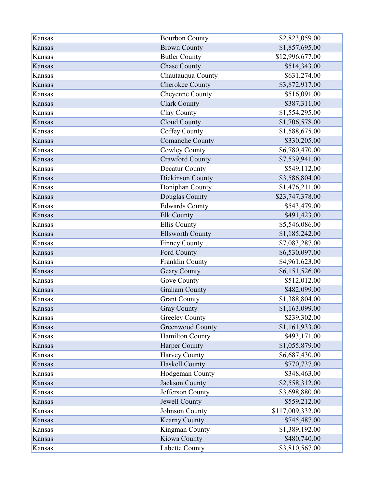| Kansas | <b>Bourbon County</b>   | \$2,823,059.00   |
|--------|-------------------------|------------------|
| Kansas | <b>Brown County</b>     | \$1,857,695.00   |
| Kansas | <b>Butler County</b>    | \$12,996,677.00  |
| Kansas | <b>Chase County</b>     | \$514,343.00     |
| Kansas | Chautauqua County       | \$631,274.00     |
| Kansas | Cherokee County         | \$3,872,917.00   |
| Kansas | Cheyenne County         | \$516,091.00     |
| Kansas | <b>Clark County</b>     | \$387,311.00     |
| Kansas | Clay County             | \$1,554,295.00   |
| Kansas | Cloud County            | \$1,706,578.00   |
| Kansas | Coffey County           | \$1,588,675.00   |
| Kansas | Comanche County         | \$330,205.00     |
| Kansas | <b>Cowley County</b>    | \$6,780,470.00   |
| Kansas | <b>Crawford County</b>  | \$7,539,941.00   |
| Kansas | Decatur County          | \$549,112.00     |
| Kansas | Dickinson County        | \$3,586,804.00   |
| Kansas | Doniphan County         | \$1,476,211.00   |
| Kansas | Douglas County          | \$23,747,378.00  |
| Kansas | <b>Edwards County</b>   | \$543,479.00     |
| Kansas | Elk County              | \$491,423.00     |
| Kansas | <b>Ellis County</b>     | \$5,546,086.00   |
| Kansas | <b>Ellsworth County</b> | \$1,185,242.00   |
| Kansas | <b>Finney County</b>    | \$7,083,287.00   |
| Kansas | Ford County             | \$6,530,097.00   |
| Kansas | Franklin County         | \$4,961,623.00   |
| Kansas | Geary County            | \$6,151,526.00   |
| Kansas | Gove County             | \$512,012.00     |
| Kansas | <b>Graham County</b>    | \$482,099.00     |
| Kansas | <b>Grant County</b>     | \$1,388,804.00   |
| Kansas | <b>Gray County</b>      | \$1,163,099.00   |
| Kansas | <b>Greeley County</b>   | \$239,302.00     |
| Kansas | <b>Greenwood County</b> | \$1,161,933.00   |
| Kansas | Hamilton County         | \$493,171.00     |
| Kansas | <b>Harper County</b>    | \$1,055,879.00   |
| Kansas | Harvey County           | \$6,687,430.00   |
| Kansas | <b>Haskell County</b>   | \$770,737.00     |
| Kansas | Hodgeman County         | \$348,463.00     |
| Kansas | Jackson County          | \$2,558,312.00   |
| Kansas | Jefferson County        | \$3,698,880.00   |
| Kansas | Jewell County           | \$559,212.00     |
| Kansas | Johnson County          | \$117,009,332.00 |
| Kansas | Kearny County           | \$745,487.00     |
| Kansas | Kingman County          | \$1,389,192.00   |
| Kansas | Kiowa County            | \$480,740.00     |
| Kansas | Labette County          | \$3,810,567.00   |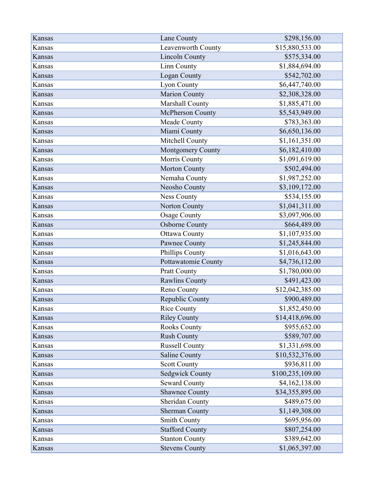| Kansas | Lane County            | \$298,156.00     |
|--------|------------------------|------------------|
| Kansas | Leavenworth County     | \$15,880,533.00  |
| Kansas | <b>Lincoln County</b>  | \$575,334.00     |
| Kansas | Linn County            | \$1,884,694.00   |
| Kansas | Logan County           | \$542,702.00     |
| Kansas | Lyon County            | \$6,447,740.00   |
| Kansas | <b>Marion County</b>   | \$2,308,328.00   |
| Kansas | Marshall County        | \$1,885,471.00   |
| Kansas | McPherson County       | \$5,543,949.00   |
| Kansas | Meade County           | \$783,363.00     |
| Kansas | Miami County           | \$6,650,136.00   |
| Kansas | Mitchell County        | \$1,161,351.00   |
| Kansas | Montgomery County      | \$6,182,410.00   |
| Kansas | Morris County          | \$1,091,619.00   |
| Kansas | <b>Morton County</b>   | \$502,494.00     |
| Kansas | Nemaha County          | \$1,987,252.00   |
| Kansas | Neosho County          | \$3,109,172.00   |
| Kansas | <b>Ness County</b>     | \$534,155.00     |
| Kansas | Norton County          | \$1,041,311.00   |
| Kansas | <b>Osage County</b>    | \$3,097,906.00   |
| Kansas | <b>Osborne County</b>  | \$664,489.00     |
| Kansas | <b>Ottawa County</b>   | \$1,107,935.00   |
| Kansas | Pawnee County          | \$1,245,844.00   |
| Kansas | Phillips County        | \$1,016,643.00   |
| Kansas | Pottawatomie County    | \$4,736,112.00   |
| Kansas | Pratt County           | \$1,780,000.00   |
| Kansas | <b>Rawlins County</b>  | \$491,423.00     |
| Kansas | Reno County            | \$12,042,385.00  |
| Kansas | Republic County        | \$900,489.00     |
| Kansas | <b>Rice County</b>     | \$1,852,450.00   |
| Kansas | <b>Riley County</b>    | \$14,418,696.00  |
| Kansas | <b>Rooks County</b>    | \$955,652.00     |
| Kansas | <b>Rush County</b>     | \$589,707.00     |
| Kansas | <b>Russell County</b>  | \$1,331,698.00   |
| Kansas | Saline County          | \$10,532,376.00  |
| Kansas | <b>Scott County</b>    | \$936,811.00     |
| Kansas | <b>Sedgwick County</b> | \$100,235,109.00 |
| Kansas | <b>Seward County</b>   | \$4,162,138.00   |
| Kansas | <b>Shawnee County</b>  | \$34,355,895.00  |
| Kansas | Sheridan County        | \$489,675.00     |
| Kansas | <b>Sherman County</b>  | \$1,149,308.00   |
| Kansas | <b>Smith County</b>    | \$695,956.00     |
| Kansas | <b>Stafford County</b> | \$807,254.00     |
| Kansas | <b>Stanton County</b>  | \$389,642.00     |
| Kansas | <b>Stevens County</b>  | \$1,065,397.00   |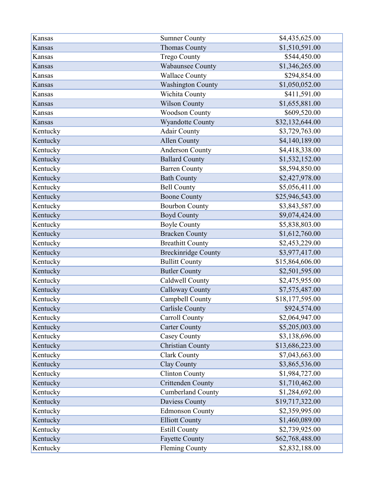| Kansas   | <b>Sumner County</b>       | \$4,435,625.00  |
|----------|----------------------------|-----------------|
| Kansas   | <b>Thomas County</b>       | \$1,510,591.00  |
| Kansas   | <b>Trego County</b>        | \$544,450.00    |
| Kansas   | <b>Wabaunsee County</b>    | \$1,346,265.00  |
| Kansas   | <b>Wallace County</b>      | \$294,854.00    |
| Kansas   | <b>Washington County</b>   | \$1,050,052.00  |
| Kansas   | Wichita County             | \$411,591.00    |
| Kansas   | <b>Wilson County</b>       | \$1,655,881.00  |
| Kansas   | <b>Woodson County</b>      | \$609,520.00    |
| Kansas   | Wyandotte County           | \$32,132,644.00 |
| Kentucky | <b>Adair County</b>        | \$3,729,763.00  |
| Kentucky | <b>Allen County</b>        | \$4,140,189.00  |
| Kentucky | Anderson County            | \$4,418,338.00  |
| Kentucky | <b>Ballard County</b>      | \$1,532,152.00  |
| Kentucky | <b>Barren County</b>       | \$8,594,850.00  |
| Kentucky | <b>Bath County</b>         | \$2,427,978.00  |
| Kentucky | <b>Bell County</b>         | \$5,056,411.00  |
| Kentucky | <b>Boone County</b>        | \$25,946,543.00 |
| Kentucky | <b>Bourbon County</b>      | \$3,843,587.00  |
| Kentucky | <b>Boyd County</b>         | \$9,074,424.00  |
| Kentucky | <b>Boyle County</b>        | \$5,838,803.00  |
| Kentucky | <b>Bracken County</b>      | \$1,612,760.00  |
| Kentucky | <b>Breathitt County</b>    | \$2,453,229.00  |
| Kentucky | <b>Breckinridge County</b> | \$3,977,417.00  |
| Kentucky | <b>Bullitt County</b>      | \$15,864,606.00 |
| Kentucky | <b>Butler County</b>       | \$2,501,595.00  |
| Kentucky | Caldwell County            | \$2,475,955.00  |
| Kentucky | <b>Calloway County</b>     | \$7,575,487.00  |
| Kentucky | Campbell County            | \$18,177,595.00 |
| Kentucky | <b>Carlisle County</b>     | \$924,574.00    |
| Kentucky | Carroll County             | \$2,064,947.00  |
| Kentucky | <b>Carter County</b>       | \$5,205,003.00  |
| Kentucky | Casey County               | \$3,138,696.00  |
| Kentucky | Christian County           | \$13,686,223.00 |
| Kentucky | <b>Clark County</b>        | \$7,043,663.00  |
| Kentucky | Clay County                | \$3,865,536.00  |
| Kentucky | <b>Clinton County</b>      | \$1,984,727.00  |
| Kentucky | <b>Crittenden County</b>   | \$1,710,462.00  |
| Kentucky | <b>Cumberland County</b>   | \$1,284,692.00  |
| Kentucky | Daviess County             | \$19,717,322.00 |
| Kentucky | <b>Edmonson County</b>     | \$2,359,995.00  |
| Kentucky | <b>Elliott County</b>      | \$1,460,089.00  |
| Kentucky | <b>Estill County</b>       | \$2,739,925.00  |
| Kentucky | <b>Fayette County</b>      | \$62,768,488.00 |
| Kentucky | <b>Fleming County</b>      | \$2,832,188.00  |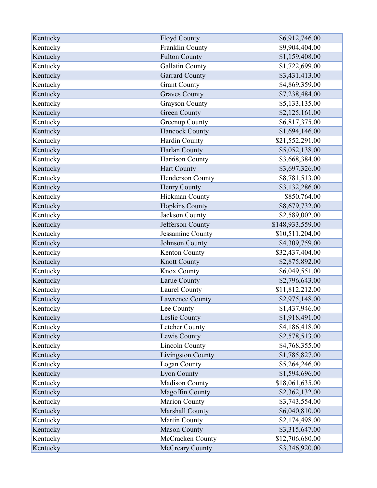| Kentucky | <b>Floyd County</b>    | \$6,912,746.00   |
|----------|------------------------|------------------|
| Kentucky | Franklin County        | \$9,904,404.00   |
| Kentucky | <b>Fulton County</b>   | \$1,159,408.00   |
| Kentucky | <b>Gallatin County</b> | \$1,722,699.00   |
| Kentucky | <b>Garrard County</b>  | \$3,431,413.00   |
| Kentucky | <b>Grant County</b>    | \$4,869,359.00   |
| Kentucky | <b>Graves County</b>   | \$7,238,484.00   |
| Kentucky | <b>Grayson County</b>  | \$5,133,135.00   |
| Kentucky | <b>Green County</b>    | \$2,125,161.00   |
| Kentucky | <b>Greenup County</b>  | \$6,817,375.00   |
| Kentucky | Hancock County         | \$1,694,146.00   |
| Kentucky | Hardin County          | \$21,552,291.00  |
| Kentucky | Harlan County          | \$5,052,138.00   |
| Kentucky | Harrison County        | \$3,668,384.00   |
| Kentucky | Hart County            | \$3,697,326.00   |
| Kentucky | Henderson County       | \$8,781,513.00   |
| Kentucky | Henry County           | \$3,132,286.00   |
| Kentucky | Hickman County         | \$850,764.00     |
| Kentucky | <b>Hopkins County</b>  | \$8,679,732.00   |
| Kentucky | Jackson County         | \$2,589,002.00   |
| Kentucky | Jefferson County       | \$148,933,559.00 |
| Kentucky | Jessamine County       | \$10,511,204.00  |
| Kentucky | Johnson County         | \$4,309,759.00   |
| Kentucky | Kenton County          | \$32,437,404.00  |
| Kentucky | <b>Knott County</b>    | \$2,875,892.00   |
| Kentucky | Knox County            | \$6,049,551.00   |
| Kentucky | Larue County           | \$2,796,643.00   |
| Kentucky | Laurel County          | \$11,812,212.00  |
| Kentucky | Lawrence County        | \$2,975,148.00   |
| Kentucky | Lee County             | \$1,437,946.00   |
| Kentucky | Leslie County          | \$1,918,491.00   |
| Kentucky | Letcher County         | \$4,186,418.00   |
| Kentucky | Lewis County           | \$2,578,513.00   |
| Kentucky | <b>Lincoln County</b>  | \$4,768,355.00   |
| Kentucky | Livingston County      | \$1,785,827.00   |
| Kentucky | Logan County           | \$5,264,246.00   |
| Kentucky | Lyon County            | \$1,594,696.00   |
| Kentucky | Madison County         | \$18,061,635.00  |
| Kentucky | Magoffin County        | \$2,362,132.00   |
| Kentucky | Marion County          | \$3,743,554.00   |
| Kentucky | Marshall County        | \$6,040,810.00   |
| Kentucky | Martin County          | \$2,174,498.00   |
| Kentucky | <b>Mason County</b>    | \$3,315,647.00   |
| Kentucky | McCracken County       | \$12,706,680.00  |
| Kentucky | <b>McCreary County</b> | \$3,346,920.00   |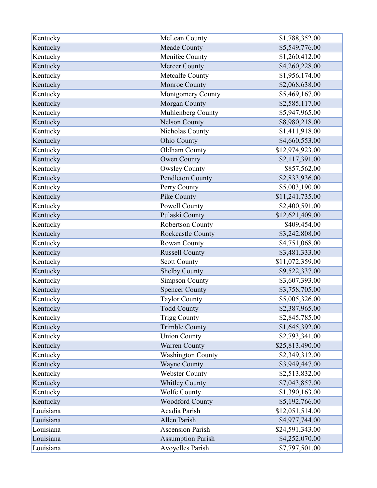| Kentucky  | McLean County            | \$1,788,352.00  |
|-----------|--------------------------|-----------------|
| Kentucky  | Meade County             | \$5,549,776.00  |
| Kentucky  | Menifee County           | \$1,260,412.00  |
| Kentucky  | Mercer County            | \$4,260,228.00  |
| Kentucky  | Metcalfe County          | \$1,956,174.00  |
| Kentucky  | Monroe County            | \$2,068,638.00  |
| Kentucky  | Montgomery County        | \$5,469,167.00  |
| Kentucky  | Morgan County            | \$2,585,117.00  |
| Kentucky  | Muhlenberg County        | \$5,947,965.00  |
| Kentucky  | <b>Nelson County</b>     | \$8,980,218.00  |
| Kentucky  | Nicholas County          | \$1,411,918.00  |
| Kentucky  | Ohio County              | \$4,660,553.00  |
| Kentucky  | Oldham County            | \$12,974,923.00 |
| Kentucky  | <b>Owen County</b>       | \$2,117,391.00  |
| Kentucky  | <b>Owsley County</b>     | \$857,562.00    |
| Kentucky  | Pendleton County         | \$2,833,936.00  |
| Kentucky  | Perry County             | \$5,003,190.00  |
| Kentucky  | Pike County              | \$11,241,735.00 |
| Kentucky  | Powell County            | \$2,400,591.00  |
| Kentucky  | Pulaski County           | \$12,621,409.00 |
| Kentucky  | Robertson County         | \$409,454.00    |
| Kentucky  | Rockcastle County        | \$3,242,808.00  |
| Kentucky  | Rowan County             | \$4,751,068.00  |
| Kentucky  | <b>Russell County</b>    | \$3,481,333.00  |
| Kentucky  | <b>Scott County</b>      | \$11,072,359.00 |
| Kentucky  | <b>Shelby County</b>     | \$9,522,337.00  |
| Kentucky  | <b>Simpson County</b>    | \$3,607,393.00  |
| Kentucky  | <b>Spencer County</b>    | \$3,758,705.00  |
| Kentucky  | <b>Taylor County</b>     | \$5,005,326.00  |
| Kentucky  | <b>Todd County</b>       | \$2,387,965.00  |
| Kentucky  | <b>Trigg County</b>      | \$2,845,785.00  |
| Kentucky  | <b>Trimble County</b>    | \$1,645,392.00  |
| Kentucky  | <b>Union County</b>      | \$2,793,341.00  |
| Kentucky  | <b>Warren County</b>     | \$25,813,490.00 |
| Kentucky  | <b>Washington County</b> | \$2,349,312.00  |
| Kentucky  | <b>Wayne County</b>      | \$3,949,447.00  |
| Kentucky  | <b>Webster County</b>    | \$2,513,832.00  |
| Kentucky  | <b>Whitley County</b>    | \$7,043,857.00  |
| Kentucky  | <b>Wolfe County</b>      | \$1,390,163.00  |
| Kentucky  | <b>Woodford County</b>   | \$5,192,766.00  |
| Louisiana | Acadia Parish            | \$12,051,514.00 |
| Louisiana | <b>Allen Parish</b>      | \$4,977,744.00  |
| Louisiana | <b>Ascension Parish</b>  | \$24,591,343.00 |
| Louisiana | <b>Assumption Parish</b> | \$4,252,070.00  |
| Louisiana | Avoyelles Parish         | \$7,797,501.00  |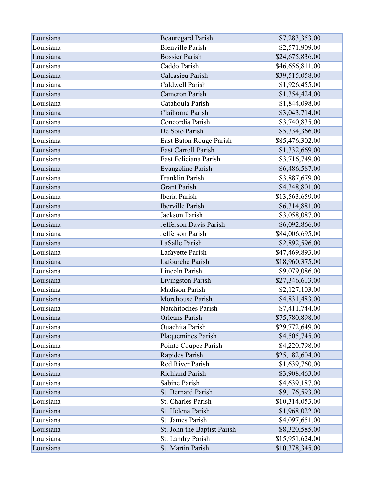| Louisiana | <b>Beauregard Parish</b>    | \$7,283,353.00  |
|-----------|-----------------------------|-----------------|
| Louisiana | <b>Bienville Parish</b>     | \$2,571,909.00  |
| Louisiana | <b>Bossier Parish</b>       | \$24,675,836.00 |
| Louisiana | Caddo Parish                | \$46,656,811.00 |
| Louisiana | Calcasieu Parish            | \$39,515,058.00 |
| Louisiana | Caldwell Parish             | \$1,926,455.00  |
| Louisiana | Cameron Parish              | \$1,354,424.00  |
| Louisiana | Catahoula Parish            | \$1,844,098.00  |
| Louisiana | Claiborne Parish            | \$3,043,714.00  |
| Louisiana | Concordia Parish            | \$3,740,835.00  |
| Louisiana | De Soto Parish              | \$5,334,366.00  |
| Louisiana | East Baton Rouge Parish     | \$85,476,302.00 |
| Louisiana | <b>East Carroll Parish</b>  | \$1,332,669.00  |
| Louisiana | East Feliciana Parish       | \$3,716,749.00  |
| Louisiana | <b>Evangeline Parish</b>    | \$6,486,587.00  |
| Louisiana | Franklin Parish             | \$3,887,679.00  |
| Louisiana | <b>Grant Parish</b>         | \$4,348,801.00  |
| Louisiana | Iberia Parish               | \$13,563,659.00 |
| Louisiana | <b>Iberville Parish</b>     | \$6,314,881.00  |
| Louisiana | Jackson Parish              | \$3,058,087.00  |
| Louisiana | Jefferson Davis Parish      | \$6,092,866.00  |
| Louisiana | Jefferson Parish            | \$84,006,695.00 |
| Louisiana | LaSalle Parish              | \$2,892,596.00  |
| Louisiana | Lafayette Parish            | \$47,469,893.00 |
| Louisiana | Lafourche Parish            | \$18,960,375.00 |
| Louisiana | <b>Lincoln Parish</b>       | \$9,079,086.00  |
| Louisiana | <b>Livingston Parish</b>    | \$27,346,613.00 |
| Louisiana | <b>Madison Parish</b>       | \$2,127,103.00  |
| Louisiana | Morehouse Parish            | \$4,831,483.00  |
| Louisiana | Natchitoches Parish         | \$7,411,744.00  |
| Louisiana | <b>Orleans Parish</b>       | \$75,780,898.00 |
| Louisiana | <b>Ouachita Parish</b>      | \$29,772,649.00 |
| Louisiana | Plaquemines Parish          | \$4,505,745.00  |
| Louisiana | Pointe Coupee Parish        | \$4,220,798.00  |
| Louisiana | Rapides Parish              | \$25,182,604.00 |
| Louisiana | <b>Red River Parish</b>     | \$1,639,760.00  |
| Louisiana | <b>Richland Parish</b>      | \$3,908,463.00  |
| Louisiana | Sabine Parish               | \$4,639,187.00  |
| Louisiana | <b>St. Bernard Parish</b>   | \$9,176,593.00  |
| Louisiana | St. Charles Parish          | \$10,314,053.00 |
| Louisiana | St. Helena Parish           | \$1,968,022.00  |
| Louisiana | St. James Parish            | \$4,097,651.00  |
| Louisiana | St. John the Baptist Parish | \$8,320,585.00  |
| Louisiana | St. Landry Parish           | \$15,951,624.00 |
| Louisiana | St. Martin Parish           | \$10,378,345.00 |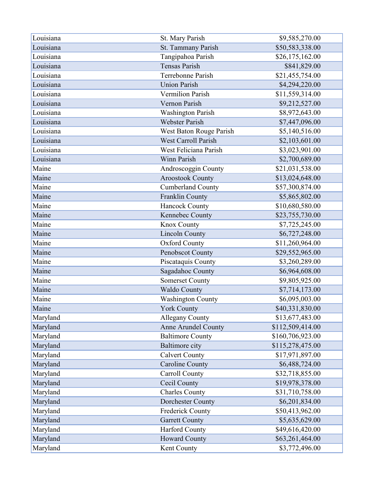| Louisiana | St. Mary Parish            | \$9,585,270.00   |
|-----------|----------------------------|------------------|
| Louisiana | St. Tammany Parish         | \$50,583,338.00  |
| Louisiana | Tangipahoa Parish          | \$26,175,162.00  |
| Louisiana | <b>Tensas Parish</b>       | \$841,829.00     |
| Louisiana | Terrebonne Parish          | \$21,455,754.00  |
| Louisiana | <b>Union Parish</b>        | \$4,294,220.00   |
| Louisiana | <b>Vermilion Parish</b>    | \$11,559,314.00  |
| Louisiana | Vernon Parish              | \$9,212,527.00   |
| Louisiana | <b>Washington Parish</b>   | \$8,972,643.00   |
| Louisiana | <b>Webster Parish</b>      | \$7,447,096.00   |
| Louisiana | West Baton Rouge Parish    | \$5,140,516.00   |
| Louisiana | <b>West Carroll Parish</b> | \$2,103,601.00   |
| Louisiana | West Feliciana Parish      | \$3,023,901.00   |
| Louisiana | Winn Parish                | \$2,700,689.00   |
| Maine     | Androscoggin County        | \$21,031,538.00  |
| Maine     | <b>Aroostook County</b>    | \$13,024,648.00  |
| Maine     | <b>Cumberland County</b>   | \$57,300,874.00  |
| Maine     | Franklin County            | \$5,865,802.00   |
| Maine     | <b>Hancock County</b>      | \$10,680,580.00  |
| Maine     | Kennebec County            | \$23,755,730.00  |
| Maine     | Knox County                | \$7,725,245.00   |
| Maine     | <b>Lincoln County</b>      | \$6,727,248.00   |
| Maine     | <b>Oxford County</b>       | \$11,260,964.00  |
| Maine     | Penobscot County           | \$29,552,965.00  |
| Maine     | Piscataquis County         | \$3,260,289.00   |
| Maine     | Sagadahoc County           | \$6,964,608.00   |
| Maine     | <b>Somerset County</b>     | \$9,805,925.00   |
| Maine     | Waldo County               | \$7,714,173.00   |
| Maine     | Washington County          | \$6,095,003.00   |
| Maine     | <b>York County</b>         | \$40,331,830.00  |
| Maryland  | <b>Allegany County</b>     | \$13,677,483.00  |
| Maryland  | <b>Anne Arundel County</b> | \$112,509,414.00 |
| Maryland  | <b>Baltimore County</b>    | \$160,706,923.00 |
| Maryland  | <b>Baltimore city</b>      | \$115,278,475.00 |
| Maryland  | <b>Calvert County</b>      | \$17,971,897.00  |
| Maryland  | <b>Caroline County</b>     | \$6,488,724.00   |
| Maryland  | <b>Carroll County</b>      | \$32,718,855.00  |
| Maryland  | Cecil County               | \$19,978,378.00  |
| Maryland  | <b>Charles County</b>      | \$31,710,758.00  |
| Maryland  | Dorchester County          | \$6,201,834.00   |
| Maryland  | Frederick County           | \$50,413,962.00  |
| Maryland  | <b>Garrett County</b>      | \$5,635,629.00   |
| Maryland  | <b>Harford County</b>      | \$49,616,420.00  |
| Maryland  | <b>Howard County</b>       | \$63,261,464.00  |
| Maryland  | Kent County                | \$3,772,496.00   |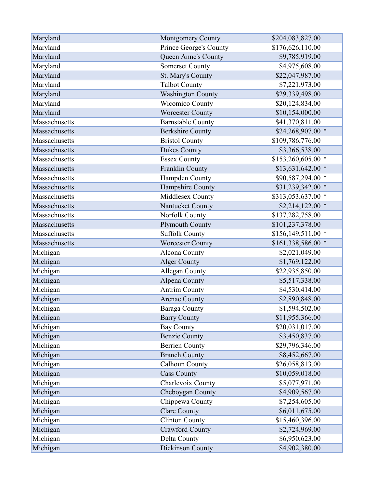| Maryland      | <b>Montgomery County</b> | \$204,083,827.00    |
|---------------|--------------------------|---------------------|
| Maryland      | Prince George's County   | \$176,626,110.00    |
| Maryland      | Queen Anne's County      | \$9,785,919.00      |
| Maryland      | <b>Somerset County</b>   | \$4,975,608.00      |
| Maryland      | St. Mary's County        | \$22,047,987.00     |
| Maryland      | <b>Talbot County</b>     | \$7,221,973.00      |
| Maryland      | Washington County        | \$29,339,498.00     |
| Maryland      | Wicomico County          | \$20,124,834.00     |
| Maryland      | <b>Worcester County</b>  | \$10,154,000.00     |
| Massachusetts | <b>Barnstable County</b> | \$41,370,811.00     |
| Massachusetts | <b>Berkshire County</b>  | \$24,268,907.00 *   |
| Massachusetts | <b>Bristol County</b>    | \$109,786,776.00    |
| Massachusetts | <b>Dukes County</b>      | \$3,366,538.00      |
| Massachusetts | <b>Essex County</b>      | \$153,260,605.00 *  |
| Massachusetts | Franklin County          | $$13,631,642.00$ *  |
| Massachusetts | Hampden County           | \$90,587,294.00 *   |
| Massachusetts | Hampshire County         | \$31,239,342.00 *   |
| Massachusetts | Middlesex County         | \$313,053,637.00 *  |
| Massachusetts | Nantucket County         | $$2,214,122.00$ *   |
| Massachusetts | Norfolk County           | \$137,282,758.00    |
| Massachusetts | Plymouth County          | \$101,237,378.00    |
| Massachusetts | <b>Suffolk County</b>    | $$156,149,511.00$ * |
| Massachusetts | <b>Worcester County</b>  | \$161,338,586.00 *  |
| Michigan      | Alcona County            | \$2,021,049.00      |
| Michigan      | <b>Alger County</b>      | \$1,769,122.00      |
| Michigan      | Allegan County           | \$22,935,850.00     |
| Michigan      | Alpena County            | \$5,517,338.00      |
| Michigan      | <b>Antrim County</b>     | \$4,530,414.00      |
| Michigan      | <b>Arenac County</b>     | \$2,890,848.00      |
| Michigan      | Baraga County            | \$1,594,502.00      |
| Michigan      | <b>Barry County</b>      | \$11,955,366.00     |
| Michigan      | <b>Bay County</b>        | \$20,031,017.00     |
| Michigan      | <b>Benzie County</b>     | \$3,450,837.00      |
| Michigan      | <b>Berrien County</b>    | \$29,796,346.00     |
| Michigan      | <b>Branch County</b>     | \$8,452,667.00      |
| Michigan      | Calhoun County           | \$26,058,813.00     |
| Michigan      | <b>Cass County</b>       | \$10,059,018.00     |
| Michigan      | Charlevoix County        | \$5,077,971.00      |
| Michigan      | Cheboygan County         | \$4,909,567.00      |
| Michigan      | Chippewa County          | \$7,254,605.00      |
| Michigan      | <b>Clare County</b>      | \$6,011,675.00      |
| Michigan      | <b>Clinton County</b>    | \$15,460,396.00     |
| Michigan      | <b>Crawford County</b>   | \$2,724,969.00      |
| Michigan      | Delta County             | \$6,950,623.00      |
| Michigan      | Dickinson County         | \$4,902,380.00      |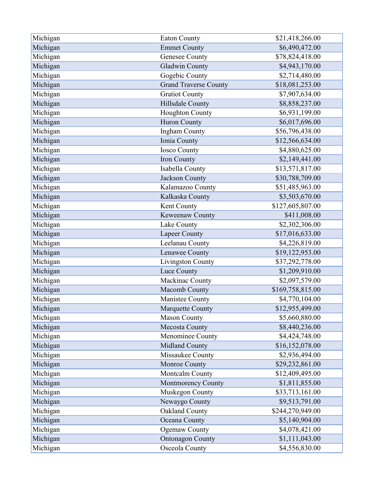| Michigan | <b>Eaton County</b>          | \$21,418,266.00  |
|----------|------------------------------|------------------|
| Michigan | <b>Emmet County</b>          | \$6,490,472.00   |
| Michigan | <b>Genesee County</b>        | \$78,824,418.00  |
| Michigan | <b>Gladwin County</b>        | \$4,943,170.00   |
| Michigan | Gogebic County               | \$2,714,480.00   |
| Michigan | <b>Grand Traverse County</b> | \$18,081,253.00  |
| Michigan | <b>Gratiot County</b>        | \$7,907,634.00   |
| Michigan | Hillsdale County             | \$8,858,237.00   |
| Michigan | Houghton County              | \$6,931,199.00   |
| Michigan | <b>Huron County</b>          | \$6,017,696.00   |
| Michigan | Ingham County                | \$56,796,438.00  |
| Michigan | Ionia County                 | \$12,566,634.00  |
| Michigan | <b>Iosco County</b>          | \$4,880,625.00   |
| Michigan | Iron County                  | \$2,149,441.00   |
| Michigan | Isabella County              | \$13,571,817.00  |
| Michigan | Jackson County               | \$30,788,709.00  |
| Michigan | Kalamazoo County             | \$51,485,963.00  |
| Michigan | Kalkaska County              | \$3,503,670.00   |
| Michigan | Kent County                  | \$127,605,807.00 |
| Michigan | Keweenaw County              | \$411,008.00     |
| Michigan | Lake County                  | \$2,302,306.00   |
| Michigan | <b>Lapeer County</b>         | \$17,016,633.00  |
| Michigan | Leelanau County              | \$4,226,819.00   |
| Michigan | Lenawee County               | \$19,122,953.00  |
| Michigan | <b>Livingston County</b>     | \$37,292,778.00  |
| Michigan | Luce County                  | \$1,209,910.00   |
| Michigan | Mackinac County              | \$2,097,579.00   |
| Michigan | Macomb County                | \$169,758,815.00 |
| Michigan | <b>Manistee County</b>       | \$4,770,104.00   |
| Michigan | Marquette County             | \$12,955,499.00  |
| Michigan | <b>Mason County</b>          | \$5,660,880.00   |
| Michigan | <b>Mecosta County</b>        | \$8,440,236.00   |
| Michigan | Menominee County             | \$4,424,748.00   |
| Michigan | <b>Midland County</b>        | \$16,152,078.00  |
| Michigan | Missaukee County             | \$2,936,494.00   |
| Michigan | Monroe County                | \$29,232,861.00  |
| Michigan | Montcalm County              | \$12,409,495.00  |
| Michigan | Montmorency County           | \$1,811,855.00   |
| Michigan | Muskegon County              | \$33,713,161.00  |
| Michigan | Newaygo County               | \$9,513,791.00   |
| Michigan | Oakland County               | \$244,270,949.00 |
| Michigan | Oceana County                | \$5,140,904.00   |
| Michigan | <b>Ogemaw County</b>         | \$4,078,421.00   |
| Michigan | <b>Ontonagon County</b>      | \$1,111,043.00   |
| Michigan | Osceola County               | \$4,556,830.00   |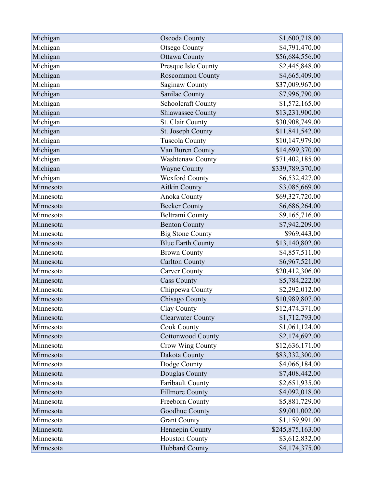| Michigan  | Oscoda County            | \$1,600,718.00   |
|-----------|--------------------------|------------------|
| Michigan  | <b>Otsego County</b>     | \$4,791,470.00   |
| Michigan  | <b>Ottawa County</b>     | \$56,684,556.00  |
| Michigan  | Presque Isle County      | \$2,445,848.00   |
| Michigan  | <b>Roscommon County</b>  | \$4,665,409.00   |
| Michigan  | Saginaw County           | \$37,009,967.00  |
| Michigan  | Sanilac County           | \$7,996,790.00   |
| Michigan  | Schoolcraft County       | \$1,572,165.00   |
| Michigan  | Shiawassee County        | \$13,231,900.00  |
| Michigan  | St. Clair County         | \$30,908,749.00  |
| Michigan  | St. Joseph County        | \$11,841,542.00  |
| Michigan  | <b>Tuscola County</b>    | \$10,147,979.00  |
| Michigan  | Van Buren County         | \$14,699,370.00  |
| Michigan  | Washtenaw County         | \$71,402,185.00  |
| Michigan  | <b>Wayne County</b>      | \$339,789,370.00 |
| Michigan  | Wexford County           | \$6,532,427.00   |
| Minnesota | <b>Aitkin County</b>     | \$3,085,669.00   |
| Minnesota | <b>Anoka County</b>      | \$69,327,720.00  |
| Minnesota | <b>Becker County</b>     | \$6,686,264.00   |
| Minnesota | <b>Beltrami County</b>   | \$9,165,716.00   |
| Minnesota | <b>Benton County</b>     | \$7,942,209.00   |
| Minnesota | <b>Big Stone County</b>  | \$969,443.00     |
| Minnesota | <b>Blue Earth County</b> | \$13,140,802.00  |
| Minnesota | <b>Brown County</b>      | \$4,857,511.00   |
| Minnesota | <b>Carlton County</b>    | \$6,967,521.00   |
| Minnesota | <b>Carver County</b>     | \$20,412,306.00  |
| Minnesota | <b>Cass County</b>       | \$5,784,222.00   |
| Minnesota | Chippewa County          | \$2,292,012.00   |
| Minnesota | Chisago County           | \$10,989,807.00  |
| Minnesota | Clay County              | \$12,474,371.00  |
| Minnesota | <b>Clearwater County</b> | \$1,712,793.00   |
| Minnesota | <b>Cook County</b>       | \$1,061,124.00   |
| Minnesota | <b>Cottonwood County</b> | \$2,174,692.00   |
| Minnesota | Crow Wing County         | \$12,636,171.00  |
| Minnesota | Dakota County            | \$83,332,300.00  |
| Minnesota | Dodge County             | \$4,066,184.00   |
| Minnesota | Douglas County           | \$7,408,442.00   |
| Minnesota | Faribault County         | \$2,651,935.00   |
| Minnesota | <b>Fillmore County</b>   | \$4,092,018.00   |
| Minnesota | Freeborn County          | \$5,881,729.00   |
| Minnesota | Goodhue County           | \$9,001,002.00   |
| Minnesota | <b>Grant County</b>      | \$1,159,991.00   |
| Minnesota | Hennepin County          | \$245,875,163.00 |
| Minnesota | <b>Houston County</b>    | \$3,612,832.00   |
| Minnesota | Hubbard County           | \$4,174,375.00   |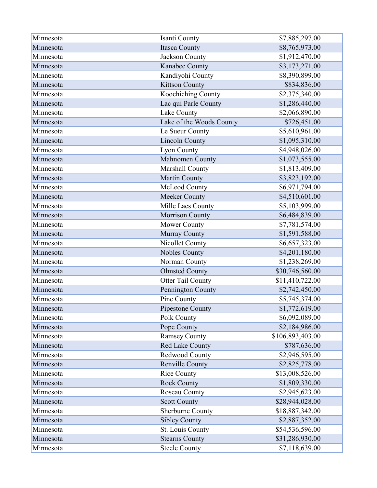| Minnesota | Isanti County            | \$7,885,297.00   |
|-----------|--------------------------|------------------|
| Minnesota | <b>Itasca County</b>     | \$8,765,973.00   |
| Minnesota | Jackson County           | \$1,912,470.00   |
| Minnesota | Kanabec County           | \$3,173,271.00   |
| Minnesota | Kandiyohi County         | \$8,390,899.00   |
| Minnesota | <b>Kittson County</b>    | \$834,836.00     |
| Minnesota | Koochiching County       | \$2,375,340.00   |
| Minnesota | Lac qui Parle County     | \$1,286,440.00   |
| Minnesota | Lake County              | \$2,066,890.00   |
| Minnesota | Lake of the Woods County | \$726,451.00     |
| Minnesota | Le Sueur County          | \$5,610,961.00   |
| Minnesota | <b>Lincoln County</b>    | \$1,095,310.00   |
| Minnesota | Lyon County              | \$4,948,026.00   |
| Minnesota | Mahnomen County          | \$1,073,555.00   |
| Minnesota | Marshall County          | \$1,813,409.00   |
| Minnesota | <b>Martin County</b>     | \$3,823,192.00   |
| Minnesota | McLeod County            | \$6,971,794.00   |
| Minnesota | Meeker County            | \$4,510,601.00   |
| Minnesota | Mille Lacs County        | \$5,103,999.00   |
| Minnesota | <b>Morrison County</b>   | \$6,484,839.00   |
| Minnesota | Mower County             | \$7,781,574.00   |
| Minnesota | Murray County            | \$1,591,588.00   |
| Minnesota | Nicollet County          | \$6,657,323.00   |
| Minnesota | <b>Nobles County</b>     | \$4,201,180.00   |
| Minnesota | Norman County            | \$1,238,269.00   |
| Minnesota | <b>Olmsted County</b>    | \$30,746,560.00  |
| Minnesota | Otter Tail County        | \$11,410,722.00  |
| Minnesota | Pennington County        | \$2,742,450.00   |
| Minnesota | Pine County              | \$5,745,374.00   |
| Minnesota | Pipestone County         | \$1,772,619.00   |
| Minnesota | Polk County              | \$6,092,089.00   |
| Minnesota | Pope County              | \$2,184,986.00   |
| Minnesota | <b>Ramsey County</b>     | \$106,893,403.00 |
| Minnesota | Red Lake County          | \$787,636.00     |
| Minnesota | Redwood County           | \$2,946,595.00   |
| Minnesota | <b>Renville County</b>   | \$2,825,778.00   |
| Minnesota | <b>Rice County</b>       | \$13,008,526.00  |
| Minnesota | <b>Rock County</b>       | \$1,809,330.00   |
| Minnesota | Roseau County            | \$2,945,623.00   |
| Minnesota | <b>Scott County</b>      | \$28,944,028.00  |
| Minnesota | Sherburne County         | \$18,887,342.00  |
| Minnesota | <b>Sibley County</b>     | \$2,887,352.00   |
| Minnesota | St. Louis County         | \$54,536,596.00  |
| Minnesota | <b>Stearns County</b>    | \$31,286,930.00  |
| Minnesota | <b>Steele County</b>     | \$7,118,639.00   |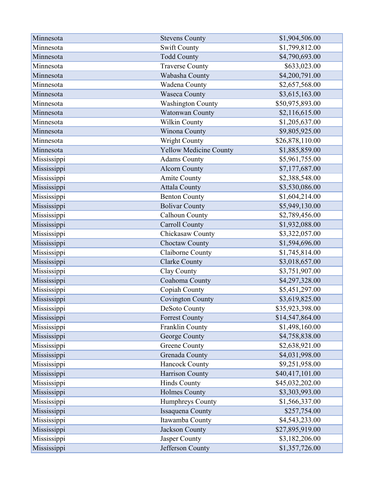| Minnesota   | <b>Stevens County</b>         | \$1,904,506.00  |
|-------------|-------------------------------|-----------------|
| Minnesota   | Swift County                  | \$1,799,812.00  |
| Minnesota   | <b>Todd County</b>            | \$4,790,693.00  |
| Minnesota   | <b>Traverse County</b>        | \$633,023.00    |
| Minnesota   | Wabasha County                | \$4,200,791.00  |
| Minnesota   | Wadena County                 | \$2,657,568.00  |
| Minnesota   | <b>Waseca County</b>          | \$3,615,163.00  |
| Minnesota   | <b>Washington County</b>      | \$50,975,893.00 |
| Minnesota   | Watonwan County               | \$2,116,615.00  |
| Minnesota   | Wilkin County                 | \$1,205,637.00  |
| Minnesota   | Winona County                 | \$9,805,925.00  |
| Minnesota   | Wright County                 | \$26,878,110.00 |
| Minnesota   | <b>Yellow Medicine County</b> | \$1,885,859.00  |
| Mississippi | <b>Adams County</b>           | \$5,961,755.00  |
| Mississippi | <b>Alcorn County</b>          | \$7,177,687.00  |
| Mississippi | Amite County                  | \$2,388,548.00  |
| Mississippi | <b>Attala County</b>          | \$3,530,086.00  |
| Mississippi | <b>Benton County</b>          | \$1,604,214.00  |
| Mississippi | <b>Bolivar County</b>         | \$5,949,130.00  |
| Mississippi | Calhoun County                | \$2,789,456.00  |
| Mississippi | <b>Carroll County</b>         | \$1,932,088.00  |
| Mississippi | Chickasaw County              | \$3,322,057.00  |
| Mississippi | Choctaw County                | \$1,594,696.00  |
| Mississippi | Claiborne County              | \$1,745,814.00  |
| Mississippi | <b>Clarke County</b>          | \$3,018,657.00  |
| Mississippi | Clay County                   | \$3,751,907.00  |
| Mississippi | Coahoma County                | \$4,297,328.00  |
| Mississippi | Copiah County                 | \$5,451,297.00  |
| Mississippi | <b>Covington County</b>       | \$3,619,825.00  |
| Mississippi | DeSoto County                 | \$35,923,398.00 |
| Mississippi | <b>Forrest County</b>         | \$14,547,864.00 |
| Mississippi | Franklin County               | \$1,498,160.00  |
| Mississippi | George County                 | \$4,758,838.00  |
| Mississippi | <b>Greene County</b>          | \$2,638,921.00  |
| Mississippi | Grenada County                | \$4,031,998.00  |
| Mississippi | <b>Hancock County</b>         | \$9,251,958.00  |
| Mississippi | Harrison County               | \$40,417,101.00 |
| Mississippi | <b>Hinds County</b>           | \$45,032,202.00 |
| Mississippi | <b>Holmes County</b>          | \$3,303,993.00  |
| Mississippi | Humphreys County              | \$1,566,337.00  |
| Mississippi | Issaquena County              | \$257,754.00    |
| Mississippi | Itawamba County               | \$4,543,233.00  |
| Mississippi | Jackson County                | \$27,895,919.00 |
| Mississippi | Jasper County                 | \$3,182,206.00  |
| Mississippi | Jefferson County              | \$1,357,726.00  |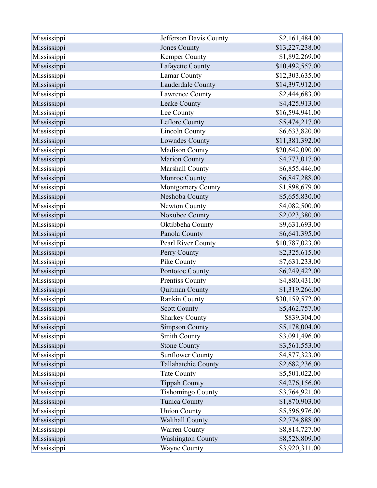| Mississippi | Jefferson Davis County   | \$2,161,484.00  |
|-------------|--------------------------|-----------------|
| Mississippi | <b>Jones County</b>      | \$13,227,238.00 |
| Mississippi | <b>Kemper County</b>     | \$1,892,269.00  |
| Mississippi | Lafayette County         | \$10,492,557.00 |
| Mississippi | Lamar County             | \$12,303,635.00 |
| Mississippi | Lauderdale County        | \$14,397,912.00 |
| Mississippi | Lawrence County          | \$2,444,683.00  |
| Mississippi | Leake County             | \$4,425,913.00  |
| Mississippi | Lee County               | \$16,594,941.00 |
| Mississippi | Leflore County           | \$5,474,217.00  |
| Mississippi | <b>Lincoln County</b>    | \$6,633,820.00  |
| Mississippi | Lowndes County           | \$11,381,392.00 |
| Mississippi | <b>Madison County</b>    | \$20,642,090.00 |
| Mississippi | <b>Marion County</b>     | \$4,773,017.00  |
| Mississippi | Marshall County          | \$6,855,446.00  |
| Mississippi | Monroe County            | \$6,847,288.00  |
| Mississippi | Montgomery County        | \$1,898,679.00  |
| Mississippi | Neshoba County           | \$5,655,830.00  |
| Mississippi | Newton County            | \$4,082,500.00  |
| Mississippi | Noxubee County           | \$2,023,380.00  |
| Mississippi | Oktibbeha County         | \$9,631,693.00  |
| Mississippi | Panola County            | \$6,641,395.00  |
| Mississippi | Pearl River County       | \$10,787,023.00 |
| Mississippi | Perry County             | \$2,325,615.00  |
| Mississippi | Pike County              | \$7,631,233.00  |
| Mississippi | Pontotoc County          | \$6,249,422.00  |
| Mississippi | <b>Prentiss County</b>   | \$4,880,431.00  |
| Mississippi | Quitman County           | \$1,319,266.00  |
| Mississippi | Rankin County            | \$30,159,572.00 |
| Mississippi | <b>Scott County</b>      | \$5,462,757.00  |
| Mississippi | <b>Sharkey County</b>    | \$839,304.00    |
| Mississippi | <b>Simpson County</b>    | \$5,178,004.00  |
| Mississippi | Smith County             | \$3,091,496.00  |
| Mississippi | <b>Stone County</b>      | \$3,561,553.00  |
| Mississippi | <b>Sunflower County</b>  | \$4,877,323.00  |
| Mississippi | Tallahatchie County      | \$2,682,236.00  |
| Mississippi | <b>Tate County</b>       | \$5,501,022.00  |
| Mississippi | <b>Tippah County</b>     | \$4,276,156.00  |
| Mississippi | <b>Tishomingo County</b> | \$3,764,921.00  |
| Mississippi | Tunica County            | \$1,870,903.00  |
| Mississippi | <b>Union County</b>      | \$5,596,976.00  |
| Mississippi | <b>Walthall County</b>   | \$2,774,888.00  |
| Mississippi | <b>Warren County</b>     | \$8,814,727.00  |
| Mississippi | <b>Washington County</b> | \$8,528,809.00  |
| Mississippi | <b>Wayne County</b>      | \$3,920,311.00  |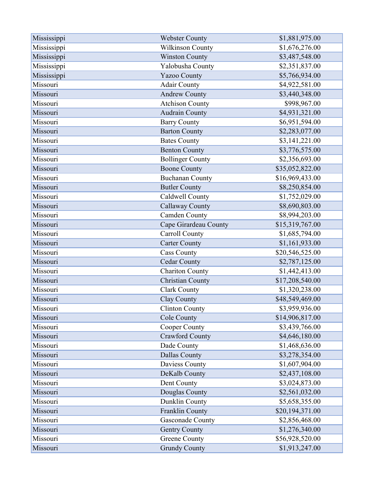| Mississippi | <b>Webster County</b>   | \$1,881,975.00  |
|-------------|-------------------------|-----------------|
| Mississippi | <b>Wilkinson County</b> | \$1,676,276.00  |
| Mississippi | <b>Winston County</b>   | \$3,487,548.00  |
| Mississippi | Yalobusha County        | \$2,351,837.00  |
| Mississippi | <b>Yazoo County</b>     | \$5,766,934.00  |
| Missouri    | <b>Adair County</b>     | \$4,922,581.00  |
| Missouri    | <b>Andrew County</b>    | \$3,440,348.00  |
| Missouri    | <b>Atchison County</b>  | \$998,967.00    |
| Missouri    | <b>Audrain County</b>   | \$4,931,321.00  |
| Missouri    | <b>Barry County</b>     | \$6,951,594.00  |
| Missouri    | <b>Barton County</b>    | \$2,283,077.00  |
| Missouri    | <b>Bates County</b>     | \$3,141,221.00  |
| Missouri    | <b>Benton County</b>    | \$3,776,575.00  |
| Missouri    | <b>Bollinger County</b> | \$2,356,693.00  |
| Missouri    | <b>Boone County</b>     | \$35,052,822.00 |
| Missouri    | <b>Buchanan County</b>  | \$16,969,433.00 |
| Missouri    | <b>Butler County</b>    | \$8,250,854.00  |
| Missouri    | Caldwell County         | \$1,752,029.00  |
| Missouri    | <b>Callaway County</b>  | \$8,690,803.00  |
| Missouri    | Camden County           | \$8,994,203.00  |
| Missouri    | Cape Girardeau County   | \$15,319,767.00 |
| Missouri    | Carroll County          | \$1,685,794.00  |
| Missouri    | <b>Carter County</b>    | \$1,161,933.00  |
| Missouri    | <b>Cass County</b>      | \$20,546,525.00 |
| Missouri    | <b>Cedar County</b>     | \$2,787,125.00  |
| Missouri    | <b>Chariton County</b>  | \$1,442,413.00  |
| Missouri    | <b>Christian County</b> | \$17,208,540.00 |
| Missouri    | <b>Clark County</b>     | \$1,320,238.00  |
| Missouri    | Clay County             | \$48,549,469.00 |
| Missouri    | <b>Clinton County</b>   | \$3,959,936.00  |
| Missouri    | Cole County             | \$14,906,817.00 |
| Missouri    | Cooper County           | \$3,439,766.00  |
| Missouri    | <b>Crawford County</b>  | \$4,646,180.00  |
| Missouri    | Dade County             | \$1,468,636.00  |
| Missouri    | Dallas County           | \$3,278,354.00  |
| Missouri    | Daviess County          | \$1,607,904.00  |
| Missouri    | DeKalb County           | \$2,437,108.00  |
| Missouri    | Dent County             | \$3,024,873.00  |
| Missouri    | Douglas County          | \$2,561,032.00  |
| Missouri    | Dunklin County          | \$5,658,355.00  |
| Missouri    | Franklin County         | \$20,194,371.00 |
| Missouri    | Gasconade County        | \$2,856,468.00  |
| Missouri    | <b>Gentry County</b>    | \$1,276,340.00  |
| Missouri    | <b>Greene County</b>    | \$56,928,520.00 |
| Missouri    | <b>Grundy County</b>    | \$1,913,247.00  |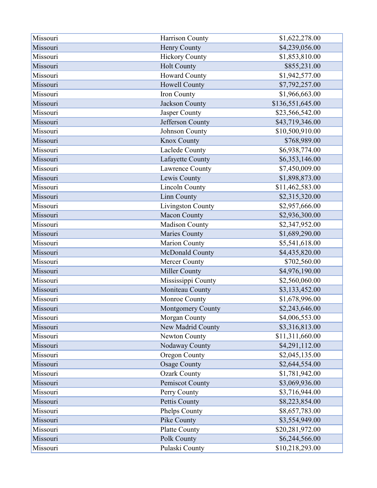| Missouri | Harrison County          | \$1,622,278.00   |
|----------|--------------------------|------------------|
| Missouri | Henry County             | \$4,239,056.00   |
| Missouri | <b>Hickory County</b>    | \$1,853,810.00   |
| Missouri | <b>Holt County</b>       | \$855,231.00     |
| Missouri | <b>Howard County</b>     | \$1,942,577.00   |
| Missouri | Howell County            | \$7,792,257.00   |
| Missouri | Iron County              | \$1,966,663.00   |
| Missouri | Jackson County           | \$136,551,645.00 |
| Missouri | Jasper County            | \$23,566,542.00  |
| Missouri | Jefferson County         | \$43,719,346.00  |
| Missouri | Johnson County           | \$10,500,910.00  |
| Missouri | <b>Knox County</b>       | \$768,989.00     |
| Missouri | Laclede County           | \$6,938,774.00   |
| Missouri | Lafayette County         | \$6,353,146.00   |
| Missouri | Lawrence County          | \$7,450,009.00   |
| Missouri | Lewis County             | \$1,898,873.00   |
| Missouri | <b>Lincoln County</b>    | \$11,462,583.00  |
| Missouri | Linn County              | \$2,315,320.00   |
| Missouri | Livingston County        | \$2,957,666.00   |
| Missouri | Macon County             | \$2,936,300.00   |
| Missouri | Madison County           | \$2,347,952.00   |
| Missouri | Maries County            | \$1,689,290.00   |
| Missouri | Marion County            | \$5,541,618.00   |
| Missouri | McDonald County          | \$4,435,820.00   |
| Missouri | Mercer County            | \$702,560.00     |
| Missouri | Miller County            | \$4,976,190.00   |
| Missouri | Mississippi County       | \$2,560,060.00   |
| Missouri | Moniteau County          | \$3,133,452.00   |
| Missouri | Monroe County            | \$1,678,996.00   |
| Missouri | <b>Montgomery County</b> | \$2,243,646.00   |
| Missouri | Morgan County            | \$4,006,553.00   |
| Missouri | New Madrid County        | \$3,316,813.00   |
| Missouri | Newton County            | \$11,311,660.00  |
| Missouri | Nodaway County           | \$4,291,112.00   |
| Missouri | <b>Oregon County</b>     | \$2,045,135.00   |
| Missouri | <b>Osage County</b>      | \$2,644,554.00   |
| Missouri | <b>Ozark County</b>      | \$1,781,942.00   |
| Missouri | Pemiscot County          | \$3,069,936.00   |
| Missouri | Perry County             | \$3,716,944.00   |
| Missouri | Pettis County            | \$8,223,854.00   |
| Missouri | Phelps County            | \$8,657,783.00   |
| Missouri | Pike County              | \$3,554,949.00   |
| Missouri | <b>Platte County</b>     | \$20,281,972.00  |
| Missouri | Polk County              | \$6,244,566.00   |
| Missouri | Pulaski County           | \$10,218,293.00  |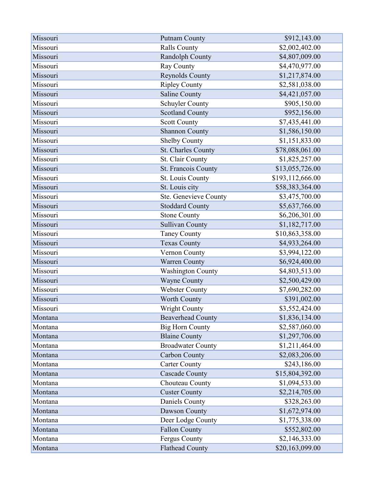| Missouri | <b>Putnam County</b>     | \$912,143.00     |
|----------|--------------------------|------------------|
| Missouri | <b>Ralls County</b>      | \$2,002,402.00   |
| Missouri | Randolph County          | \$4,807,009.00   |
| Missouri | Ray County               | \$4,470,977.00   |
| Missouri | Reynolds County          | \$1,217,874.00   |
| Missouri | <b>Ripley County</b>     | \$2,581,038.00   |
| Missouri | <b>Saline County</b>     | \$4,421,057.00   |
| Missouri | Schuyler County          | \$905,150.00     |
| Missouri | <b>Scotland County</b>   | \$952,156.00     |
| Missouri | <b>Scott County</b>      | \$7,435,441.00   |
| Missouri | <b>Shannon County</b>    | \$1,586,150.00   |
| Missouri | Shelby County            | \$1,151,833.00   |
| Missouri | St. Charles County       | \$78,088,061.00  |
| Missouri | St. Clair County         | \$1,825,257.00   |
| Missouri | St. Francois County      | \$13,055,726.00  |
| Missouri | St. Louis County         | \$193,112,666.00 |
| Missouri | St. Louis city           | \$58,383,364.00  |
| Missouri | Ste. Genevieve County    | \$3,475,700.00   |
| Missouri | <b>Stoddard County</b>   | \$5,637,766.00   |
| Missouri | <b>Stone County</b>      | \$6,206,301.00   |
| Missouri | <b>Sullivan County</b>   | \$1,182,717.00   |
| Missouri | <b>Taney County</b>      | \$10,863,358.00  |
| Missouri | <b>Texas County</b>      | \$4,933,264.00   |
| Missouri | Vernon County            | \$3,994,122.00   |
| Missouri | Warren County            | \$6,924,400.00   |
| Missouri | <b>Washington County</b> | \$4,803,513.00   |
| Missouri | <b>Wayne County</b>      | \$2,500,429.00   |
| Missouri | <b>Webster County</b>    | \$7,690,282.00   |
| Missouri | <b>Worth County</b>      | \$391,002.00     |
| Missouri | <b>Wright County</b>     | \$3,552,424.00   |
| Montana  | <b>Beaverhead County</b> | \$1,836,134.00   |
| Montana  | <b>Big Horn County</b>   | \$2,587,060.00   |
| Montana  | <b>Blaine County</b>     | \$1,297,706.00   |
| Montana  | <b>Broadwater County</b> | \$1,211,464.00   |
| Montana  | Carbon County            | \$2,083,206.00   |
| Montana  | <b>Carter County</b>     | \$243,186.00     |
| Montana  | <b>Cascade County</b>    | \$15,804,392.00  |
| Montana  | Chouteau County          | \$1,094,533.00   |
| Montana  | <b>Custer County</b>     | \$2,214,705.00   |
| Montana  | Daniels County           | \$328,263.00     |
| Montana  | Dawson County            | \$1,672,974.00   |
| Montana  | Deer Lodge County        | \$1,775,338.00   |
| Montana  | <b>Fallon County</b>     | \$552,802.00     |
| Montana  | Fergus County            | \$2,146,333.00   |
| Montana  | <b>Flathead County</b>   | \$20,163,099.00  |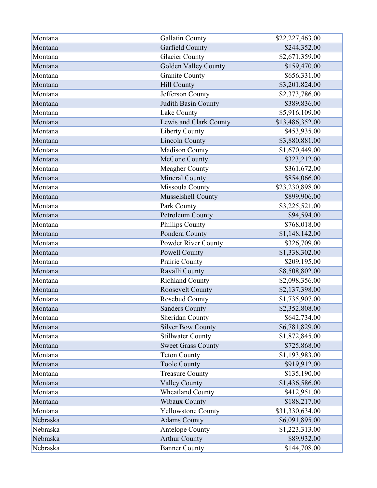| Montana  | Gallatin County             | \$22,227,463.00 |
|----------|-----------------------------|-----------------|
| Montana  | Garfield County             | \$244,352.00    |
| Montana  | <b>Glacier County</b>       | \$2,671,359.00  |
| Montana  | <b>Golden Valley County</b> | \$159,470.00    |
| Montana  | <b>Granite County</b>       | \$656,331.00    |
| Montana  | Hill County                 | \$3,201,824.00  |
| Montana  | Jefferson County            | \$2,373,786.00  |
| Montana  | Judith Basin County         | \$389,836.00    |
| Montana  | Lake County                 | \$5,916,109.00  |
| Montana  | Lewis and Clark County      | \$13,486,352.00 |
| Montana  | Liberty County              | \$453,935.00    |
| Montana  | <b>Lincoln County</b>       | \$3,880,881.00  |
| Montana  | <b>Madison County</b>       | \$1,670,449.00  |
| Montana  | McCone County               | \$323,212.00    |
| Montana  | <b>Meagher County</b>       | \$361,672.00    |
| Montana  | Mineral County              | \$854,066.00    |
| Montana  | Missoula County             | \$23,230,898.00 |
| Montana  | Musselshell County          | \$899,906.00    |
| Montana  | Park County                 | \$3,225,521.00  |
| Montana  | Petroleum County            | \$94,594.00     |
| Montana  | Phillips County             | \$768,018.00    |
| Montana  | Pondera County              | \$1,148,142.00  |
| Montana  | Powder River County         | \$326,709.00    |
| Montana  | <b>Powell County</b>        | \$1,338,302.00  |
| Montana  | Prairie County              | \$209,195.00    |
| Montana  | Ravalli County              | \$8,508,802.00  |
| Montana  | <b>Richland County</b>      | \$2,098,356.00  |
| Montana  | Roosevelt County            | \$2,137,398.00  |
| Montana  | Rosebud County              | \$1,735,907.00  |
| Montana  | <b>Sanders County</b>       | \$2,352,808.00  |
| Montana  | Sheridan County             | \$642,734.00    |
| Montana  | <b>Silver Bow County</b>    | \$6,781,829.00  |
| Montana  | <b>Stillwater County</b>    | \$1,872,845.00  |
| Montana  | <b>Sweet Grass County</b>   | \$725,868.00    |
| Montana  | <b>Teton County</b>         | \$1,193,983.00  |
| Montana  | <b>Toole County</b>         | \$919,912.00    |
| Montana  | <b>Treasure County</b>      | \$135,190.00    |
| Montana  | <b>Valley County</b>        | \$1,436,586.00  |
| Montana  | <b>Wheatland County</b>     | \$412,951.00    |
| Montana  | <b>Wibaux County</b>        | \$188,217.00    |
| Montana  | <b>Yellowstone County</b>   | \$31,330,634.00 |
| Nebraska | <b>Adams County</b>         | \$6,091,895.00  |
| Nebraska | Antelope County             | \$1,223,313.00  |
| Nebraska | <b>Arthur County</b>        | \$89,932.00     |
| Nebraska | <b>Banner County</b>        | \$144,708.00    |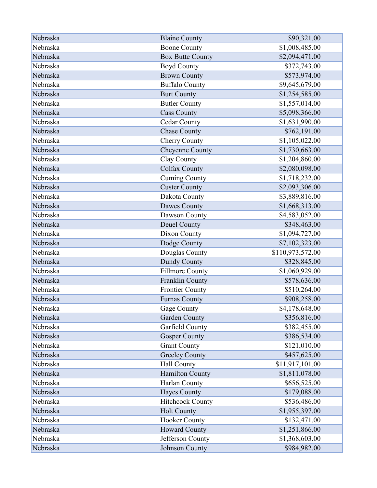| Nebraska | <b>Blaine County</b>    | \$90,321.00      |
|----------|-------------------------|------------------|
| Nebraska | <b>Boone County</b>     | \$1,008,485.00   |
| Nebraska | <b>Box Butte County</b> | \$2,094,471.00   |
| Nebraska | <b>Boyd County</b>      | \$372,743.00     |
| Nebraska | <b>Brown County</b>     | \$573,974.00     |
| Nebraska | <b>Buffalo County</b>   | \$9,645,679.00   |
| Nebraska | <b>Burt County</b>      | \$1,254,585.00   |
| Nebraska | <b>Butler County</b>    | \$1,557,014.00   |
| Nebraska | <b>Cass County</b>      | \$5,098,366.00   |
| Nebraska | <b>Cedar County</b>     | \$1,631,990.00   |
| Nebraska | <b>Chase County</b>     | \$762,191.00     |
| Nebraska | Cherry County           | \$1,105,022.00   |
| Nebraska | Cheyenne County         | \$1,730,663.00   |
| Nebraska | Clay County             | \$1,204,860.00   |
| Nebraska | <b>Colfax County</b>    | \$2,080,098.00   |
| Nebraska | <b>Cuming County</b>    | \$1,718,232.00   |
| Nebraska | <b>Custer County</b>    | \$2,093,306.00   |
| Nebraska | Dakota County           | \$3,889,816.00   |
| Nebraska | Dawes County            | \$1,668,313.00   |
| Nebraska | Dawson County           | \$4,583,052.00   |
| Nebraska | Deuel County            | \$348,463.00     |
| Nebraska | Dixon County            | \$1,094,727.00   |
| Nebraska | Dodge County            | \$7,102,323.00   |
| Nebraska | Douglas County          | \$110,973,572.00 |
| Nebraska | Dundy County            | \$328,845.00     |
| Nebraska | <b>Fillmore County</b>  | \$1,060,929.00   |
| Nebraska | Franklin County         | \$578,636.00     |
| Nebraska | <b>Frontier County</b>  | \$510,264.00     |
| Nebraska | <b>Furnas County</b>    | \$908,258.00     |
| Nebraska | Gage County             | \$4,178,648.00   |
| Nebraska | <b>Garden County</b>    | \$356,816.00     |
| Nebraska | Garfield County         | \$382,455.00     |
| Nebraska | <b>Gosper County</b>    | \$386,534.00     |
| Nebraska | <b>Grant County</b>     | \$121,010.00     |
| Nebraska | <b>Greeley County</b>   | \$457,625.00     |
| Nebraska | Hall County             | \$11,917,101.00  |
| Nebraska | Hamilton County         | \$1,811,078.00   |
| Nebraska | Harlan County           | \$656,525.00     |
| Nebraska | <b>Hayes County</b>     | \$179,088.00     |
| Nebraska | <b>Hitchcock County</b> | \$536,486.00     |
| Nebraska | <b>Holt County</b>      | \$1,955,397.00   |
| Nebraska | Hooker County           | \$132,471.00     |
| Nebraska | <b>Howard County</b>    | \$1,251,866.00   |
| Nebraska | Jefferson County        | \$1,368,603.00   |
| Nebraska | Johnson County          | \$984,982.00     |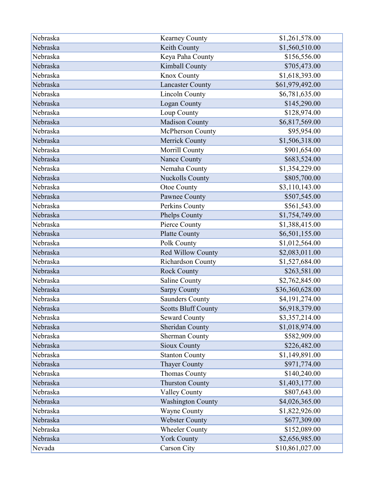| Nebraska | <b>Kearney County</b>      | \$1,261,578.00  |
|----------|----------------------------|-----------------|
| Nebraska | Keith County               | \$1,560,510.00  |
| Nebraska | Keya Paha County           | \$156,556.00    |
| Nebraska | Kimball County             | \$705,473.00    |
| Nebraska | Knox County                | \$1,618,393.00  |
| Nebraska | <b>Lancaster County</b>    | \$61,979,492.00 |
| Nebraska | <b>Lincoln County</b>      | \$6,781,635.00  |
| Nebraska | Logan County               | \$145,290.00    |
| Nebraska | Loup County                | \$128,974.00    |
| Nebraska | Madison County             | \$6,817,569.00  |
| Nebraska | McPherson County           | \$95,954.00     |
| Nebraska | <b>Merrick County</b>      | \$1,506,318.00  |
| Nebraska | Morrill County             | \$901,654.00    |
| Nebraska | Nance County               | \$683,524.00    |
| Nebraska | Nemaha County              | \$1,354,229.00  |
| Nebraska | <b>Nuckolls County</b>     | \$805,700.00    |
| Nebraska | Otoe County                | \$3,110,143.00  |
| Nebraska | Pawnee County              | \$507,545.00    |
| Nebraska | Perkins County             | \$561,543.00    |
| Nebraska | Phelps County              | \$1,754,749.00  |
| Nebraska | Pierce County              | \$1,388,415.00  |
| Nebraska | <b>Platte County</b>       | \$6,501,155.00  |
| Nebraska | Polk County                | \$1,012,564.00  |
| Nebraska | Red Willow County          | \$2,083,011.00  |
| Nebraska | Richardson County          | \$1,527,684.00  |
| Nebraska | Rock County                | \$263,581.00    |
| Nebraska | Saline County              | \$2,762,845.00  |
| Nebraska | <b>Sarpy County</b>        | \$36,360,628.00 |
| Nebraska | <b>Saunders County</b>     | \$4,191,274.00  |
| Nebraska | <b>Scotts Bluff County</b> | \$6,918,379.00  |
| Nebraska | <b>Seward County</b>       | \$3,357,214.00  |
| Nebraska | Sheridan County            | \$1,018,974.00  |
| Nebraska | <b>Sherman County</b>      | \$582,909.00    |
| Nebraska | <b>Sioux County</b>        | \$226,482.00    |
| Nebraska | <b>Stanton County</b>      | \$1,149,891.00  |
| Nebraska | <b>Thayer County</b>       | \$971,774.00    |
| Nebraska | <b>Thomas County</b>       | \$140,240.00    |
| Nebraska | <b>Thurston County</b>     | \$1,403,177.00  |
| Nebraska | <b>Valley County</b>       | \$807,643.00    |
| Nebraska | <b>Washington County</b>   | \$4,026,365.00  |
| Nebraska | Wayne County               | \$1,822,926.00  |
| Nebraska | <b>Webster County</b>      | \$677,309.00    |
| Nebraska | <b>Wheeler County</b>      | \$152,089.00    |
| Nebraska | <b>York County</b>         | \$2,656,985.00  |
| Nevada   | Carson City                | \$10,861,027.00 |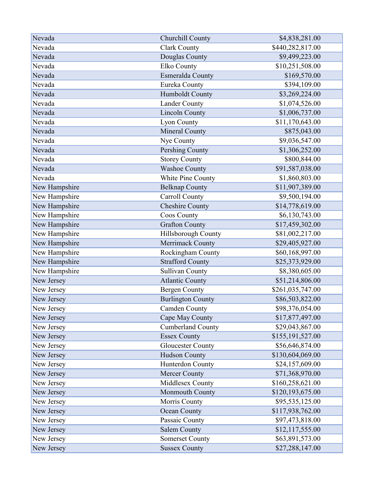| Nevada        | Churchill County         | \$4,838,281.00   |
|---------------|--------------------------|------------------|
| Nevada        | <b>Clark County</b>      | \$440,282,817.00 |
| Nevada        | Douglas County           | \$9,499,223.00   |
| Nevada        | Elko County              | \$10,251,508.00  |
| Nevada        | Esmeralda County         | \$169,570.00     |
| Nevada        | Eureka County            | \$394,109.00     |
| Nevada        | Humboldt County          | \$3,269,224.00   |
| Nevada        | <b>Lander County</b>     | \$1,074,526.00   |
| Nevada        | <b>Lincoln County</b>    | \$1,006,737.00   |
| Nevada        | Lyon County              | \$11,170,643.00  |
| Nevada        | Mineral County           | \$875,043.00     |
| Nevada        | Nye County               | \$9,036,547.00   |
| Nevada        | Pershing County          | \$1,306,252.00   |
| Nevada        | <b>Storey County</b>     | \$800,844.00     |
| Nevada        | <b>Washoe County</b>     | \$91,587,038.00  |
| Nevada        | White Pine County        | \$1,860,803.00   |
| New Hampshire | <b>Belknap County</b>    | \$11,907,389.00  |
| New Hampshire | Carroll County           | \$9,500,194.00   |
| New Hampshire | <b>Cheshire County</b>   | \$14,778,619.00  |
| New Hampshire | Coos County              | \$6,130,743.00   |
| New Hampshire | <b>Grafton County</b>    | \$17,459,302.00  |
| New Hampshire | Hillsborough County      | \$81,002,217.00  |
| New Hampshire | Merrimack County         | \$29,405,927.00  |
| New Hampshire | Rockingham County        | \$60,168,997.00  |
| New Hampshire | <b>Strafford County</b>  | \$25,373,929.00  |
| New Hampshire | Sullivan County          | \$8,380,605.00   |
| New Jersey    | <b>Atlantic County</b>   | \$51,214,806.00  |
| New Jersey    | <b>Bergen County</b>     | \$261,035,747.00 |
| New Jersey    | <b>Burlington County</b> | \$86,503,822.00  |
| New Jersey    | <b>Camden County</b>     | \$98,376,054.00  |
| New Jersey    | Cape May County          | \$17,877,497.00  |
| New Jersey    | <b>Cumberland County</b> | \$29,043,867.00  |
| New Jersey    | <b>Essex County</b>      | \$155,191,527.00 |
| New Jersey    | <b>Gloucester County</b> | \$56,646,874.00  |
| New Jersey    | Hudson County            | \$130,604,069.00 |
| New Jersey    | Hunterdon County         | \$24,157,609.00  |
| New Jersey    | <b>Mercer County</b>     | \$71,368,970.00  |
| New Jersey    | Middlesex County         | \$160,258,621.00 |
| New Jersey    | Monmouth County          | \$120,193,675.00 |
| New Jersey    | Morris County            | \$95,535,125.00  |
| New Jersey    | Ocean County             | \$117,938,762.00 |
| New Jersey    | Passaic County           | \$97,473,818.00  |
| New Jersey    | <b>Salem County</b>      | \$12,117,555.00  |
| New Jersey    | Somerset County          | \$63,891,573.00  |
| New Jersey    | <b>Sussex County</b>     | \$27,288,147.00  |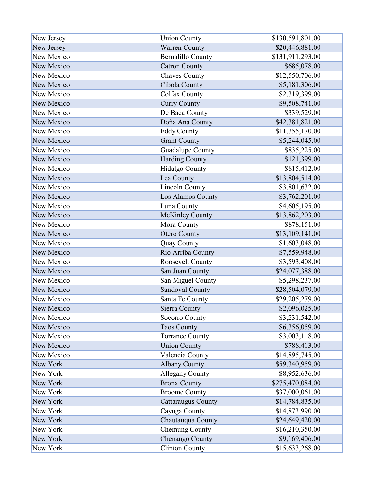| New Jersey | <b>Union County</b>       | \$130,591,801.00 |
|------------|---------------------------|------------------|
| New Jersey | <b>Warren County</b>      | \$20,446,881.00  |
| New Mexico | <b>Bernalillo County</b>  | \$131,911,293.00 |
| New Mexico | <b>Catron County</b>      | \$685,078.00     |
| New Mexico | <b>Chaves County</b>      | \$12,550,706.00  |
| New Mexico | Cibola County             | \$5,181,306.00   |
| New Mexico | <b>Colfax County</b>      | \$2,319,399.00   |
| New Mexico | <b>Curry County</b>       | \$9,508,741.00   |
| New Mexico | De Baca County            | \$339,529.00     |
| New Mexico | Doña Ana County           | \$42,381,821.00  |
| New Mexico | <b>Eddy County</b>        | \$11,355,170.00  |
| New Mexico | <b>Grant County</b>       | \$5,244,045.00   |
| New Mexico | Guadalupe County          | \$835,225.00     |
| New Mexico | <b>Harding County</b>     | \$121,399.00     |
| New Mexico | <b>Hidalgo County</b>     | \$815,412.00     |
| New Mexico | Lea County                | \$13,804,514.00  |
| New Mexico | <b>Lincoln County</b>     | \$3,801,632.00   |
| New Mexico | Los Alamos County         | \$3,762,201.00   |
| New Mexico | Luna County               | \$4,605,195.00   |
| New Mexico | <b>McKinley County</b>    | \$13,862,203.00  |
| New Mexico | Mora County               | \$878,151.00     |
| New Mexico | <b>Otero County</b>       | \$13,109,141.00  |
| New Mexico | <b>Quay County</b>        | \$1,603,048.00   |
| New Mexico | Rio Arriba County         | \$7,559,948.00   |
| New Mexico | Roosevelt County          | \$3,593,408.00   |
| New Mexico | San Juan County           | \$24,077,388.00  |
| New Mexico | San Miguel County         | \$5,298,237.00   |
| New Mexico | Sandoval County           | \$28,504,079.00  |
| New Mexico | Santa Fe County           | \$29,205,279.00  |
| New Mexico | Sierra County             | \$2,096,025.00   |
| New Mexico | <b>Socorro County</b>     | \$3,231,542.00   |
| New Mexico | <b>Taos County</b>        | \$6,356,059.00   |
| New Mexico | <b>Torrance County</b>    | \$3,003,118.00   |
| New Mexico | <b>Union County</b>       | \$788,413.00     |
| New Mexico | Valencia County           | \$14,895,745.00  |
| New York   | <b>Albany County</b>      | \$59,340,959.00  |
| New York   | <b>Allegany County</b>    | \$8,952,636.00   |
| New York   | <b>Bronx County</b>       | \$275,470,084.00 |
| New York   | <b>Broome County</b>      | \$37,000,061.00  |
| New York   | <b>Cattaraugus County</b> | \$14,784,835.00  |
| New York   | Cayuga County             | \$14,873,990.00  |
| New York   | Chautauqua County         | \$24,649,420.00  |
| New York   | Chemung County            | \$16,210,350.00  |
| New York   | Chenango County           | \$9,169,406.00   |
| New York   | <b>Clinton County</b>     | \$15,633,268.00  |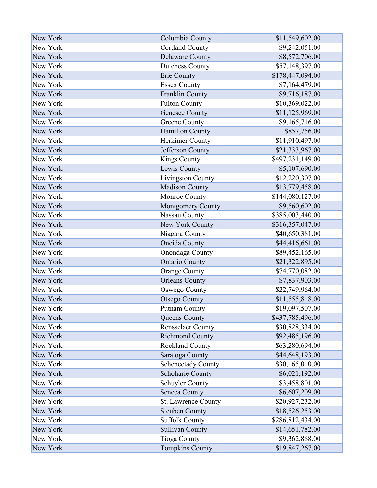| New York | Columbia County           | \$11,549,602.00  |
|----------|---------------------------|------------------|
| New York | <b>Cortland County</b>    | \$9,242,051.00   |
| New York | <b>Delaware County</b>    | \$8,572,706.00   |
| New York | <b>Dutchess County</b>    | \$57,148,397.00  |
| New York | Erie County               | \$178,447,094.00 |
| New York | <b>Essex County</b>       | \$7,164,479.00   |
| New York | Franklin County           | \$9,716,187.00   |
| New York | <b>Fulton County</b>      | \$10,369,022.00  |
| New York | <b>Genesee County</b>     | \$11,125,969.00  |
| New York | <b>Greene County</b>      | \$9,165,716.00   |
| New York | <b>Hamilton County</b>    | \$857,756.00     |
| New York | Herkimer County           | \$11,910,497.00  |
| New York | Jefferson County          | \$21,333,967.00  |
| New York | Kings County              | \$497,231,149.00 |
| New York | Lewis County              | \$5,107,690.00   |
| New York | Livingston County         | \$12,220,307.00  |
| New York | <b>Madison County</b>     | \$13,779,458.00  |
| New York | Monroe County             | \$144,080,127.00 |
| New York | Montgomery County         | \$9,560,602.00   |
| New York | Nassau County             | \$385,003,440.00 |
| New York | New York County           | \$316,357,047.00 |
| New York | Niagara County            | \$40,650,381.00  |
| New York | Oneida County             | \$44,416,661.00  |
| New York | Onondaga County           | \$89,452,165.00  |
| New York | <b>Ontario County</b>     | \$21,322,895.00  |
| New York | <b>Orange County</b>      | \$74,770,082.00  |
| New York | <b>Orleans County</b>     | \$7,837,903.00   |
| New York | <b>Oswego County</b>      | \$22,749,964.00  |
| New York | <b>Otsego County</b>      | \$11,555,818.00  |
| New York | <b>Putnam County</b>      | \$19,097,507.00  |
| New York | Queens County             | \$437,785,496.00 |
| New York | <b>Rensselaer County</b>  | \$30,828,334.00  |
| New York | <b>Richmond County</b>    | \$92,485,196.00  |
| New York | <b>Rockland County</b>    | \$63,280,694.00  |
| New York | Saratoga County           | \$44,648,193.00  |
| New York | <b>Schenectady County</b> | \$30,165,010.00  |
| New York | Schoharie County          | \$6,021,192.00   |
| New York | Schuyler County           | \$3,458,801.00   |
| New York | Seneca County             | \$6,607,209.00   |
| New York | St. Lawrence County       | \$20,927,232.00  |
| New York | <b>Steuben County</b>     | \$18,526,253.00  |
| New York | <b>Suffolk County</b>     | \$286,812,434.00 |
| New York | <b>Sullivan County</b>    | \$14,651,782.00  |
| New York | <b>Tioga County</b>       | \$9,362,868.00   |
| New York | <b>Tompkins County</b>    | \$19,847,267.00  |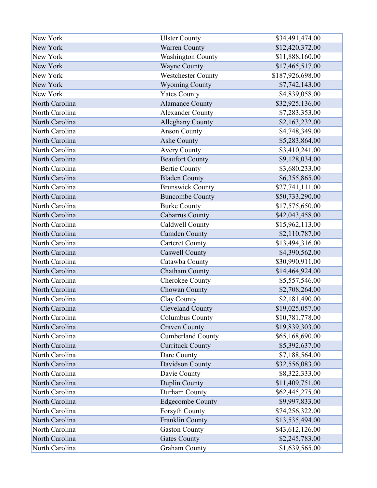| New York       | <b>Ulster County</b>      | \$34,491,474.00  |
|----------------|---------------------------|------------------|
| New York       | <b>Warren County</b>      | \$12,420,372.00  |
| New York       | <b>Washington County</b>  | \$11,888,160.00  |
| New York       | <b>Wayne County</b>       | \$17,465,517.00  |
| New York       | <b>Westchester County</b> | \$187,926,698.00 |
| New York       | <b>Wyoming County</b>     | \$7,742,143.00   |
| New York       | <b>Yates County</b>       | \$4,839,058.00   |
| North Carolina | <b>Alamance County</b>    | \$32,925,136.00  |
| North Carolina | <b>Alexander County</b>   | \$7,283,353.00   |
| North Carolina | Alleghany County          | \$2,163,232.00   |
| North Carolina | <b>Anson County</b>       | \$4,748,349.00   |
| North Carolina | Ashe County               | \$5,283,864.00   |
| North Carolina | <b>Avery County</b>       | \$3,410,241.00   |
| North Carolina | <b>Beaufort County</b>    | \$9,128,034.00   |
| North Carolina | <b>Bertie County</b>      | \$3,680,233.00   |
| North Carolina | <b>Bladen County</b>      | \$6,355,865.00   |
| North Carolina | <b>Brunswick County</b>   | \$27,741,111.00  |
| North Carolina | <b>Buncombe County</b>    | \$50,733,290.00  |
| North Carolina | <b>Burke County</b>       | \$17,575,650.00  |
| North Carolina | Cabarrus County           | \$42,043,458.00  |
| North Carolina | Caldwell County           | \$15,962,113.00  |
| North Carolina | <b>Camden County</b>      | \$2,110,787.00   |
| North Carolina | <b>Carteret County</b>    | \$13,494,316.00  |
| North Carolina | Caswell County            | \$4,390,562.00   |
| North Carolina | Catawba County            | \$30,990,911.00  |
| North Carolina | <b>Chatham County</b>     | \$14,464,924.00  |
| North Carolina | Cherokee County           | \$5,557,546.00   |
| North Carolina | Chowan County             | \$2,708,264.00   |
| North Carolina | Clay County               | \$2,181,490.00   |
| North Carolina | <b>Cleveland County</b>   | \$19,025,057.00  |
| North Carolina | Columbus County           | \$10,781,778.00  |
| North Carolina | <b>Craven County</b>      | \$19,839,303.00  |
| North Carolina | <b>Cumberland County</b>  | \$65,168,690.00  |
| North Carolina | <b>Currituck County</b>   | \$5,392,637.00   |
| North Carolina | Dare County               | \$7,188,564.00   |
| North Carolina | Davidson County           | \$32,556,083.00  |
| North Carolina | Davie County              | \$8,322,333.00   |
| North Carolina | Duplin County             | \$11,409,751.00  |
| North Carolina | Durham County             | \$62,445,275.00  |
| North Carolina | <b>Edgecombe County</b>   | \$9,997,833.00   |
| North Carolina | <b>Forsyth County</b>     | \$74,256,322.00  |
| North Carolina | Franklin County           | \$13,535,494.00  |
| North Carolina | <b>Gaston County</b>      | \$43,612,126.00  |
| North Carolina | <b>Gates County</b>       | \$2,245,783.00   |
| North Carolina | <b>Graham County</b>      | \$1,639,565.00   |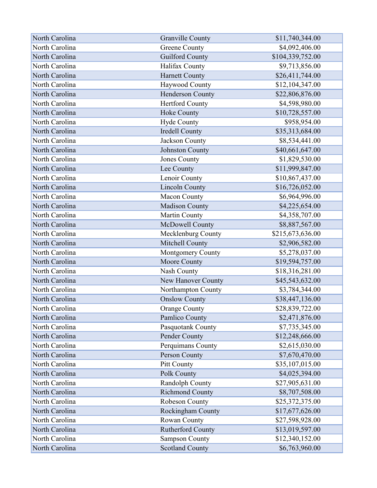| North Carolina | <b>Granville County</b>  | \$11,740,344.00  |
|----------------|--------------------------|------------------|
| North Carolina | <b>Greene County</b>     | \$4,092,406.00   |
| North Carolina | <b>Guilford County</b>   | \$104,339,752.00 |
| North Carolina | Halifax County           | \$9,713,856.00   |
| North Carolina | <b>Harnett County</b>    | \$26,411,744.00  |
| North Carolina | Haywood County           | \$12,104,347.00  |
| North Carolina | Henderson County         | \$22,806,876.00  |
| North Carolina | <b>Hertford County</b>   | \$4,598,980.00   |
| North Carolina | Hoke County              | \$10,728,557.00  |
| North Carolina | <b>Hyde County</b>       | \$958,954.00     |
| North Carolina | Iredell County           | \$35,313,684.00  |
| North Carolina | Jackson County           | \$8,534,441.00   |
| North Carolina | <b>Johnston County</b>   | \$40,661,647.00  |
| North Carolina | <b>Jones County</b>      | \$1,829,530.00   |
| North Carolina | Lee County               | \$11,999,847.00  |
| North Carolina | Lenoir County            | \$10,867,437.00  |
| North Carolina | <b>Lincoln County</b>    | \$16,726,052.00  |
| North Carolina | Macon County             | \$6,964,996.00   |
| North Carolina | <b>Madison County</b>    | \$4,225,654.00   |
| North Carolina | Martin County            | \$4,358,707.00   |
| North Carolina | McDowell County          | \$8,887,567.00   |
| North Carolina | Mecklenburg County       | \$215,673,636.00 |
| North Carolina | Mitchell County          | \$2,906,582.00   |
| North Carolina | Montgomery County        | \$5,278,037.00   |
| North Carolina | Moore County             | \$19,594,757.00  |
| North Carolina | Nash County              | \$18,316,281.00  |
| North Carolina | New Hanover County       | \$45,543,632.00  |
| North Carolina | Northampton County       | \$3,784,344.00   |
| North Carolina | <b>Onslow County</b>     | \$38,447,136.00  |
| North Carolina | <b>Orange County</b>     | \$28,839,722.00  |
| North Carolina | Pamlico County           | \$2,471,876.00   |
| North Carolina | Pasquotank County        | \$7,735,345.00   |
| North Carolina | Pender County            | \$12,248,666.00  |
| North Carolina | Perquimans County        | \$2,615,030.00   |
| North Carolina | Person County            | \$7,670,470.00   |
| North Carolina | Pitt County              | \$35,107,015.00  |
| North Carolina | Polk County              | \$4,025,394.00   |
| North Carolina | Randolph County          | \$27,905,631.00  |
| North Carolina | <b>Richmond County</b>   | \$8,707,508.00   |
| North Carolina | Robeson County           | \$25,372,375.00  |
| North Carolina | Rockingham County        | \$17,677,626.00  |
| North Carolina | Rowan County             | \$27,598,928.00  |
| North Carolina | <b>Rutherford County</b> | \$13,019,597.00  |
| North Carolina | <b>Sampson County</b>    | \$12,340,152.00  |
| North Carolina | <b>Scotland County</b>   | \$6,763,960.00   |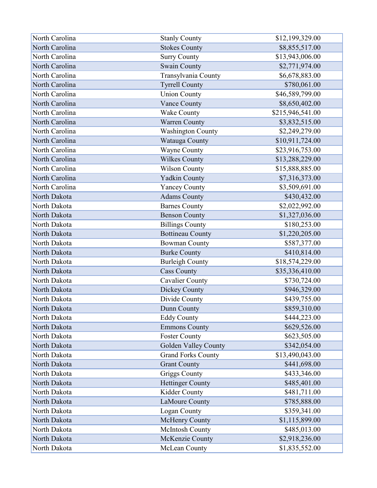| North Carolina | <b>Stanly County</b>      | \$12,199,329.00  |
|----------------|---------------------------|------------------|
| North Carolina | <b>Stokes County</b>      | \$8,855,517.00   |
| North Carolina | <b>Surry County</b>       | \$13,943,006.00  |
| North Carolina | <b>Swain County</b>       | \$2,771,974.00   |
| North Carolina | Transylvania County       | \$6,678,883.00   |
| North Carolina | <b>Tyrrell County</b>     | \$780,061.00     |
| North Carolina | <b>Union County</b>       | \$46,589,799.00  |
| North Carolina | Vance County              | \$8,650,402.00   |
| North Carolina | <b>Wake County</b>        | \$215,946,541.00 |
| North Carolina | Warren County             | \$3,832,515.00   |
| North Carolina | <b>Washington County</b>  | \$2,249,279.00   |
| North Carolina | Watauga County            | \$10,911,724.00  |
| North Carolina | Wayne County              | \$23,916,753.00  |
| North Carolina | <b>Wilkes County</b>      | \$13,288,229.00  |
| North Carolina | <b>Wilson County</b>      | \$15,888,885.00  |
| North Carolina | <b>Yadkin County</b>      | \$7,316,373.00   |
| North Carolina | <b>Yancey County</b>      | \$3,509,691.00   |
| North Dakota   | <b>Adams County</b>       | \$430,432.00     |
| North Dakota   | <b>Barnes County</b>      | \$2,022,992.00   |
| North Dakota   | <b>Benson County</b>      | \$1,327,036.00   |
| North Dakota   | <b>Billings County</b>    | \$180,253.00     |
| North Dakota   | <b>Bottineau County</b>   | \$1,220,205.00   |
| North Dakota   | <b>Bowman County</b>      | \$587,377.00     |
| North Dakota   | <b>Burke County</b>       | \$410,814.00     |
| North Dakota   | <b>Burleigh County</b>    | \$18,574,229.00  |
| North Dakota   | <b>Cass County</b>        | \$35,336,410.00  |
| North Dakota   | <b>Cavalier County</b>    | \$730,724.00     |
| North Dakota   | Dickey County             | \$946,329.00     |
| North Dakota   | Divide County             | \$439,755.00     |
| North Dakota   | Dunn County               | \$859,310.00     |
| North Dakota   | <b>Eddy County</b>        | \$444,223.00     |
| North Dakota   | <b>Emmons County</b>      | \$629,526.00     |
| North Dakota   | <b>Foster County</b>      | \$623,505.00     |
| North Dakota   | Golden Valley County      | \$342,054.00     |
| North Dakota   | <b>Grand Forks County</b> | \$13,490,043.00  |
| North Dakota   | <b>Grant County</b>       | \$441,698.00     |
| North Dakota   | <b>Griggs County</b>      | \$433,346.00     |
| North Dakota   | <b>Hettinger County</b>   | \$485,401.00     |
| North Dakota   | Kidder County             | \$481,711.00     |
| North Dakota   | LaMoure County            | \$785,888.00     |
| North Dakota   | <b>Logan County</b>       | \$359,341.00     |
| North Dakota   | <b>McHenry County</b>     | \$1,115,899.00   |
| North Dakota   | <b>McIntosh County</b>    | \$485,013.00     |
| North Dakota   | McKenzie County           | \$2,918,236.00   |
| North Dakota   | McLean County             | \$1,835,552.00   |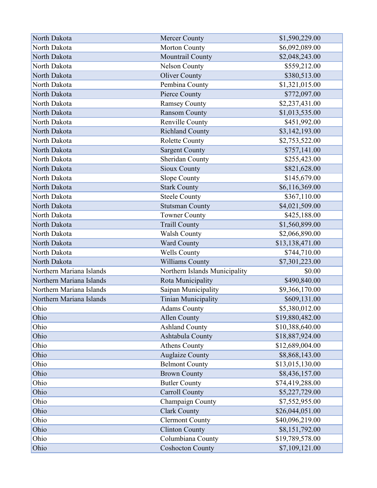| North Dakota             | Mercer County                 | \$1,590,229.00  |
|--------------------------|-------------------------------|-----------------|
| North Dakota             | Morton County                 | \$6,092,089.00  |
| North Dakota             | Mountrail County              | \$2,048,243.00  |
| North Dakota             | <b>Nelson County</b>          | \$559,212.00    |
| North Dakota             | <b>Oliver County</b>          | \$380,513.00    |
| North Dakota             | Pembina County                | \$1,321,015.00  |
| North Dakota             | Pierce County                 | \$772,097.00    |
| North Dakota             | <b>Ramsey County</b>          | \$2,237,431.00  |
| North Dakota             | <b>Ransom County</b>          | \$1,013,535.00  |
| North Dakota             | <b>Renville County</b>        | \$451,992.00    |
| North Dakota             | <b>Richland County</b>        | \$3,142,193.00  |
| North Dakota             | <b>Rolette County</b>         | \$2,753,522.00  |
| North Dakota             | <b>Sargent County</b>         | \$757,141.00    |
| North Dakota             | Sheridan County               | \$255,423.00    |
| North Dakota             | <b>Sioux County</b>           | \$821,628.00    |
| North Dakota             | Slope County                  | \$145,679.00    |
| North Dakota             | <b>Stark County</b>           | \$6,116,369.00  |
| North Dakota             | <b>Steele County</b>          | \$367,110.00    |
| North Dakota             | <b>Stutsman County</b>        | \$4,021,509.00  |
| North Dakota             | <b>Towner County</b>          | \$425,188.00    |
| North Dakota             | <b>Traill County</b>          | \$1,560,899.00  |
| North Dakota             | <b>Walsh County</b>           | \$2,066,890.00  |
| North Dakota             | <b>Ward County</b>            | \$13,138,471.00 |
| North Dakota             | <b>Wells County</b>           | \$744,710.00    |
| North Dakota             | Williams County               | \$7,301,223.00  |
| Northern Mariana Islands | Northern Islands Municipality | \$0.00          |
| Northern Mariana Islands | Rota Municipality             | \$490,840.00    |
| Northern Mariana Islands | Saipan Municipality           | \$9,366,170.00  |
| Northern Mariana Islands | <b>Tinian Municipality</b>    | \$609,131.00    |
| Ohio                     | <b>Adams County</b>           | \$5,380,012.00  |
| Ohio                     | <b>Allen County</b>           | \$19,880,482.00 |
| Ohio                     | <b>Ashland County</b>         | \$10,388,640.00 |
| Ohio                     | Ashtabula County              | \$18,887,924.00 |
| Ohio                     | <b>Athens County</b>          | \$12,689,004.00 |
| Ohio                     | <b>Auglaize County</b>        | \$8,868,143.00  |
| Ohio                     | <b>Belmont County</b>         | \$13,015,130.00 |
| Ohio                     | <b>Brown County</b>           | \$8,436,157.00  |
| Ohio                     | <b>Butler County</b>          | \$74,419,288.00 |
| Ohio                     | <b>Carroll County</b>         | \$5,227,729.00  |
| Ohio                     | Champaign County              | \$7,552,955.00  |
| Ohio                     | <b>Clark County</b>           | \$26,044,051.00 |
| Ohio                     | <b>Clermont County</b>        | \$40,096,219.00 |
| Ohio                     | <b>Clinton County</b>         | \$8,151,792.00  |
| Ohio                     | Columbiana County             | \$19,789,578.00 |
| Ohio                     | <b>Coshocton County</b>       | \$7,109,121.00  |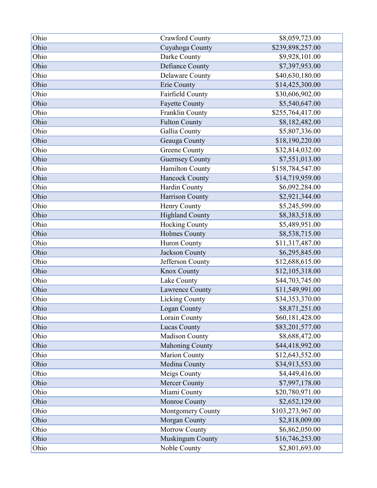| Ohio | <b>Crawford County</b> | \$8,059,723.00   |
|------|------------------------|------------------|
| Ohio | Cuyahoga County        | \$239,898,257.00 |
| Ohio | Darke County           | \$9,928,101.00   |
| Ohio | Defiance County        | \$7,397,953.00   |
| Ohio | <b>Delaware County</b> | \$40,630,180.00  |
| Ohio | Erie County            | \$14,425,300.00  |
| Ohio | Fairfield County       | \$30,606,902.00  |
| Ohio | <b>Fayette County</b>  | \$5,540,647.00   |
| Ohio | Franklin County        | \$255,764,417.00 |
| Ohio | <b>Fulton County</b>   | \$8,182,482.00   |
| Ohio | Gallia County          | \$5,807,336.00   |
| Ohio | Geauga County          | \$18,190,220.00  |
| Ohio | <b>Greene County</b>   | \$32,814,032.00  |
| Ohio | <b>Guernsey County</b> | \$7,551,013.00   |
| Ohio | <b>Hamilton County</b> | \$158,784,547.00 |
| Ohio | Hancock County         | \$14,719,959.00  |
| Ohio | Hardin County          | \$6,092,284.00   |
| Ohio | Harrison County        | \$2,921,344.00   |
| Ohio | Henry County           | \$5,245,599.00   |
| Ohio | <b>Highland County</b> | \$8,383,518.00   |
| Ohio | Hocking County         | \$5,489,951.00   |
| Ohio | <b>Holmes County</b>   | \$8,538,715.00   |
| Ohio | Huron County           | \$11,317,487.00  |
| Ohio | <b>Jackson County</b>  | \$6,295,845.00   |
| Ohio | Jefferson County       | \$12,688,615.00  |
| Ohio | Knox County            | \$12,105,318.00  |
| Ohio | Lake County            | \$44,703,745.00  |
| Ohio | Lawrence County        | \$11,549,991.00  |
| Ohio | Licking County         | \$34,353,370.00  |
| Ohio | Logan County           | \$8,871,251.00   |
| Ohio | Lorain County          | \$60,181,428.00  |
| Ohio | Lucas County           | \$83,201,577.00  |
| Ohio | <b>Madison County</b>  | \$8,688,472.00   |
| Ohio | <b>Mahoning County</b> | \$44,418,992.00  |
| Ohio | <b>Marion County</b>   | \$12,643,552.00  |
| Ohio | Medina County          | \$34,913,553.00  |
| Ohio | Meigs County           | \$4,449,416.00   |
| Ohio | <b>Mercer County</b>   | \$7,997,178.00   |
| Ohio | Miami County           | \$20,780,971.00  |
| Ohio | Monroe County          | \$2,652,129.00   |
| Ohio | Montgomery County      | \$103,273,967.00 |
| Ohio | Morgan County          | \$2,818,009.00   |
| Ohio | Morrow County          | \$6,862,050.00   |
| Ohio | Muskingum County       | \$16,746,253.00  |
| Ohio | Noble County           | \$2,801,693.00   |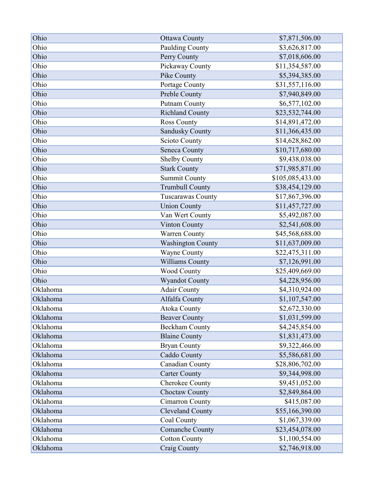| Ohio     | <b>Ottawa County</b>     | \$7,871,506.00   |
|----------|--------------------------|------------------|
| Ohio     | Paulding County          | \$3,626,817.00   |
| Ohio     | Perry County             | \$7,018,606.00   |
| Ohio     | Pickaway County          | \$11,354,587.00  |
| Ohio     | Pike County              | \$5,394,385.00   |
| Ohio     | Portage County           | \$31,557,116.00  |
| Ohio     | Preble County            | \$7,940,849.00   |
| Ohio     | <b>Putnam County</b>     | \$6,577,102.00   |
| Ohio     | <b>Richland County</b>   | \$23,532,744.00  |
| Ohio     | <b>Ross County</b>       | \$14,891,472.00  |
| Ohio     | <b>Sandusky County</b>   | \$11,366,435.00  |
| Ohio     | <b>Scioto County</b>     | \$14,628,862.00  |
| Ohio     | Seneca County            | \$10,717,680.00  |
| Ohio     | <b>Shelby County</b>     | \$9,438,038.00   |
| Ohio     | <b>Stark County</b>      | \$71,985,871.00  |
| Ohio     | <b>Summit County</b>     | \$105,085,433.00 |
| Ohio     | <b>Trumbull County</b>   | \$38,454,129.00  |
| Ohio     | Tuscarawas County        | \$17,867,396.00  |
| Ohio     | <b>Union County</b>      | \$11,457,727.00  |
| Ohio     | Van Wert County          | \$5,492,087.00   |
| Ohio     | <b>Vinton County</b>     | \$2,541,608.00   |
| Ohio     | <b>Warren County</b>     | \$45,568,688.00  |
| Ohio     | <b>Washington County</b> | \$11,637,009.00  |
| Ohio     | Wayne County             | \$22,475,311.00  |
| Ohio     | Williams County          | \$7,126,991.00   |
| Ohio     | Wood County              | \$25,409,669.00  |
| Ohio     | <b>Wyandot County</b>    | \$4,228,956.00   |
| Oklahoma | <b>Adair County</b>      | \$4,310,924.00   |
| Oklahoma | Alfalfa County           | \$1,107,547.00   |
| Oklahoma | <b>Atoka County</b>      | \$2,672,330.00   |
| Oklahoma | <b>Beaver County</b>     | \$1,031,599.00   |
| Oklahoma | <b>Beckham County</b>    | \$4,245,854.00   |
| Oklahoma | <b>Blaine County</b>     | \$1,831,473.00   |
| Oklahoma | <b>Bryan County</b>      | \$9,322,466.00   |
| Oklahoma | Caddo County             | \$5,586,681.00   |
| Oklahoma | Canadian County          | \$28,806,702.00  |
| Oklahoma | <b>Carter County</b>     | \$9,344,998.00   |
| Oklahoma | Cherokee County          | \$9,451,052.00   |
| Oklahoma | <b>Choctaw County</b>    | \$2,849,864.00   |
| Oklahoma | <b>Cimarron County</b>   | \$415,087.00     |
| Oklahoma | <b>Cleveland County</b>  | \$55,166,390.00  |
| Oklahoma | Coal County              | \$1,067,339.00   |
| Oklahoma | <b>Comanche County</b>   | \$23,454,078.00  |
| Oklahoma | <b>Cotton County</b>     | \$1,100,554.00   |
| Oklahoma | Craig County             | \$2,746,918.00   |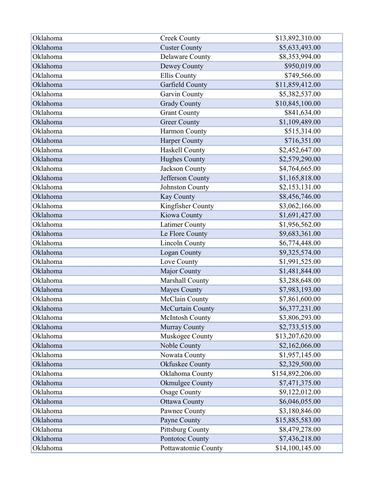| Oklahoma | <b>Creek County</b>     | \$13,892,310.00  |
|----------|-------------------------|------------------|
| Oklahoma | <b>Custer County</b>    | \$5,633,493.00   |
| Oklahoma | Delaware County         | \$8,353,994.00   |
| Oklahoma | Dewey County            | \$950,019.00     |
| Oklahoma | <b>Ellis County</b>     | \$749,566.00     |
| Oklahoma | Garfield County         | \$11,859,412.00  |
| Oklahoma | Garvin County           | \$5,382,537.00   |
| Oklahoma | <b>Grady County</b>     | \$10,845,100.00  |
| Oklahoma | <b>Grant County</b>     | \$841,634.00     |
| Oklahoma | <b>Greer County</b>     | \$1,109,489.00   |
| Oklahoma | Harmon County           | \$515,314.00     |
| Oklahoma | Harper County           | \$716,351.00     |
| Oklahoma | Haskell County          | \$2,452,647.00   |
| Oklahoma | <b>Hughes County</b>    | \$2,579,290.00   |
| Oklahoma | <b>Jackson County</b>   | \$4,764,665.00   |
| Oklahoma | Jefferson County        | \$1,165,818.00   |
| Oklahoma | Johnston County         | \$2,153,131.00   |
| Oklahoma | <b>Kay County</b>       | \$8,456,746.00   |
| Oklahoma | Kingfisher County       | \$3,062,166.00   |
| Oklahoma | Kiowa County            | \$1,691,427.00   |
| Oklahoma | <b>Latimer County</b>   | \$1,956,562.00   |
| Oklahoma | Le Flore County         | \$9,683,361.00   |
| Oklahoma | <b>Lincoln County</b>   | \$6,774,448.00   |
| Oklahoma | Logan County            | \$9,325,574.00   |
| Oklahoma | Love County             | \$1,991,525.00   |
| Oklahoma | Major County            | \$1,481,844.00   |
| Oklahoma | Marshall County         | \$3,288,648.00   |
| Oklahoma | <b>Mayes County</b>     | \$7,983,193.00   |
| Oklahoma | McClain County          | \$7,861,600.00   |
| Oklahoma | McCurtain County        | \$6,377,231.00   |
| Oklahoma | <b>McIntosh County</b>  | \$3,806,293.00   |
| Oklahoma | Murray County           | \$2,733,515.00   |
| Oklahoma | Muskogee County         | \$13,207,620.00  |
| Oklahoma | Noble County            | \$2,162,066.00   |
| Oklahoma | Nowata County           | \$1,957,145.00   |
| Oklahoma | Okfuskee County         | \$2,329,500.00   |
| Oklahoma | Oklahoma County         | \$154,892,206.00 |
| Oklahoma | <b>Okmulgee County</b>  | \$7,471,375.00   |
| Oklahoma | <b>Osage County</b>     | \$9,122,012.00   |
| Oklahoma | <b>Ottawa County</b>    | \$6,046,055.00   |
| Oklahoma | Pawnee County           | \$3,180,846.00   |
| Oklahoma | Payne County            | \$15,885,583.00  |
| Oklahoma | <b>Pittsburg County</b> | \$8,479,278.00   |
| Oklahoma | Pontotoc County         | \$7,436,218.00   |
| Oklahoma | Pottawatomie County     | \$14,100,145.00  |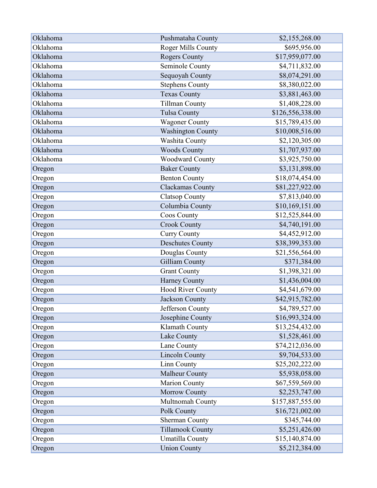| Oklahoma | Pushmataha County        | \$2,155,268.00   |
|----------|--------------------------|------------------|
| Oklahoma | Roger Mills County       | \$695,956.00     |
| Oklahoma | <b>Rogers County</b>     | \$17,959,077.00  |
| Oklahoma | Seminole County          | \$4,711,832.00   |
| Oklahoma | Sequoyah County          | \$8,074,291.00   |
| Oklahoma | <b>Stephens County</b>   | \$8,380,022.00   |
| Oklahoma | <b>Texas County</b>      | \$3,881,463.00   |
| Oklahoma | <b>Tillman County</b>    | \$1,408,228.00   |
| Oklahoma | <b>Tulsa County</b>      | \$126,556,338.00 |
| Oklahoma | <b>Wagoner County</b>    | \$15,789,435.00  |
| Oklahoma | <b>Washington County</b> | \$10,008,516.00  |
| Oklahoma | Washita County           | \$2,120,305.00   |
| Oklahoma | <b>Woods County</b>      | \$1,707,937.00   |
| Oklahoma | <b>Woodward County</b>   | \$3,925,750.00   |
| Oregon   | <b>Baker County</b>      | \$3,131,898.00   |
| Oregon   | <b>Benton County</b>     | \$18,074,454.00  |
| Oregon   | Clackamas County         | \$81,227,922.00  |
| Oregon   | <b>Clatsop County</b>    | \$7,813,040.00   |
| Oregon   | Columbia County          | \$10,169,151.00  |
| Oregon   | <b>Coos County</b>       | \$12,525,844.00  |
| Oregon   | <b>Crook County</b>      | \$4,740,191.00   |
| Oregon   | <b>Curry County</b>      | \$4,452,912.00   |
| Oregon   | <b>Deschutes County</b>  | \$38,399,353.00  |
| Oregon   | Douglas County           | \$21,556,564.00  |
| Oregon   | Gilliam County           | \$371,384.00     |
| Oregon   | <b>Grant County</b>      | \$1,398,321.00   |
| Oregon   | Harney County            | \$1,436,004.00   |
| Oregon   | <b>Hood River County</b> | \$4,541,679.00   |
| Oregon   | <b>Jackson County</b>    | \$42,915,782.00  |
| Oregon   | Jefferson County         | \$4,789,527.00   |
| Oregon   | Josephine County         | \$16,993,324.00  |
| Oregon   | Klamath County           | \$13,254,432.00  |
| Oregon   | Lake County              | \$1,528,461.00   |
| Oregon   | Lane County              | \$74,212,036.00  |
| Oregon   | <b>Lincoln County</b>    | \$9,704,533.00   |
| Oregon   | Linn County              | \$25,202,222.00  |
| Oregon   | Malheur County           | \$5,938,058.00   |
| Oregon   | <b>Marion County</b>     | \$67,559,569.00  |
| Oregon   | <b>Morrow County</b>     | \$2,253,747.00   |
| Oregon   | Multnomah County         | \$157,887,555.00 |
| Oregon   | Polk County              | \$16,721,002.00  |
| Oregon   | <b>Sherman County</b>    | \$345,744.00     |
| Oregon   | <b>Tillamook County</b>  | \$5,251,426.00   |
| Oregon   | Umatilla County          | \$15,140,874.00  |
| Oregon   | <b>Union County</b>      | \$5,212,384.00   |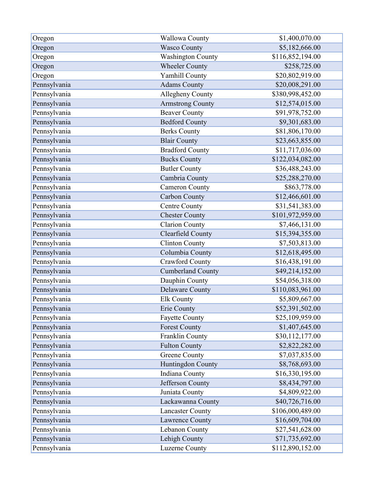| Oregon       | <b>Wallowa County</b>    | \$1,400,070.00   |
|--------------|--------------------------|------------------|
| Oregon       | <b>Wasco County</b>      | \$5,182,666.00   |
| Oregon       | <b>Washington County</b> | \$116,852,194.00 |
| Oregon       | <b>Wheeler County</b>    | \$258,725.00     |
| Oregon       | <b>Yamhill County</b>    | \$20,802,919.00  |
| Pennsylvania | <b>Adams County</b>      | \$20,008,291.00  |
| Pennsylvania | Allegheny County         | \$380,998,452.00 |
| Pennsylvania | <b>Armstrong County</b>  | \$12,574,015.00  |
| Pennsylvania | <b>Beaver County</b>     | \$91,978,752.00  |
| Pennsylvania | <b>Bedford County</b>    | \$9,301,683.00   |
| Pennsylvania | <b>Berks County</b>      | \$81,806,170.00  |
| Pennsylvania | <b>Blair County</b>      | \$23,663,855.00  |
| Pennsylvania | <b>Bradford County</b>   | \$11,717,036.00  |
| Pennsylvania | <b>Bucks County</b>      | \$122,034,082.00 |
| Pennsylvania | <b>Butler County</b>     | \$36,488,243.00  |
| Pennsylvania | Cambria County           | \$25,288,270.00  |
| Pennsylvania | <b>Cameron County</b>    | \$863,778.00     |
| Pennsylvania | Carbon County            | \$12,466,601.00  |
| Pennsylvania | Centre County            | \$31,541,383.00  |
| Pennsylvania | <b>Chester County</b>    | \$101,972,959.00 |
| Pennsylvania | <b>Clarion County</b>    | \$7,466,131.00   |
| Pennsylvania | Clearfield County        | \$15,394,355.00  |
| Pennsylvania | <b>Clinton County</b>    | \$7,503,813.00   |
| Pennsylvania | Columbia County          | \$12,618,495.00  |
| Pennsylvania | <b>Crawford County</b>   | \$16,438,191.00  |
| Pennsylvania | <b>Cumberland County</b> | \$49,214,152.00  |
| Pennsylvania | Dauphin County           | \$54,056,318.00  |
| Pennsylvania | Delaware County          | \$110,083,961.00 |
| Pennsylvania | <b>Elk County</b>        | \$5,809,667.00   |
| Pennsylvania | Erie County              | \$52,391,502.00  |
| Pennsylvania | <b>Fayette County</b>    | \$25,109,959.00  |
| Pennsylvania | <b>Forest County</b>     | \$1,407,645.00   |
| Pennsylvania | Franklin County          | \$30,112,177.00  |
| Pennsylvania | <b>Fulton County</b>     | \$2,822,282.00   |
| Pennsylvania | <b>Greene County</b>     | \$7,037,835.00   |
| Pennsylvania | Huntingdon County        | \$8,768,693.00   |
| Pennsylvania | <b>Indiana County</b>    | \$16,330,195.00  |
| Pennsylvania | Jefferson County         | \$8,434,797.00   |
| Pennsylvania | Juniata County           | \$4,809,922.00   |
| Pennsylvania | Lackawanna County        | \$40,726,716.00  |
| Pennsylvania | <b>Lancaster County</b>  | \$106,000,489.00 |
| Pennsylvania | Lawrence County          | \$16,609,704.00  |
| Pennsylvania | Lebanon County           | \$27,541,628.00  |
| Pennsylvania | Lehigh County            | \$71,735,692.00  |
| Pennsylvania | Luzerne County           | \$112,890,152.00 |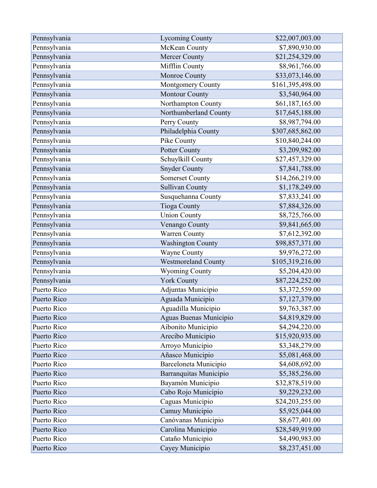| Pennsylvania | <b>Lycoming County</b>     | \$22,007,003.00  |
|--------------|----------------------------|------------------|
| Pennsylvania | McKean County              | \$7,890,930.00   |
| Pennsylvania | <b>Mercer County</b>       | \$21,254,329.00  |
| Pennsylvania | Mifflin County             | \$8,961,766.00   |
| Pennsylvania | Monroe County              | \$33,073,146.00  |
| Pennsylvania | Montgomery County          | \$161,395,498.00 |
| Pennsylvania | Montour County             | \$3,540,964.00   |
| Pennsylvania | Northampton County         | \$61,187,165.00  |
| Pennsylvania | Northumberland County      | \$17,645,188.00  |
| Pennsylvania | Perry County               | \$8,987,794.00   |
| Pennsylvania | Philadelphia County        | \$307,685,862.00 |
| Pennsylvania | Pike County                | \$10,840,244.00  |
| Pennsylvania | Potter County              | \$3,209,982.00   |
| Pennsylvania | Schuylkill County          | \$27,457,329.00  |
| Pennsylvania | <b>Snyder County</b>       | \$7,841,788.00   |
| Pennsylvania | <b>Somerset County</b>     | \$14,266,219.00  |
| Pennsylvania | <b>Sullivan County</b>     | \$1,178,249.00   |
| Pennsylvania | Susquehanna County         | \$7,833,241.00   |
| Pennsylvania | <b>Tioga County</b>        | \$7,884,326.00   |
| Pennsylvania | <b>Union County</b>        | \$8,725,766.00   |
| Pennsylvania | Venango County             | \$9,841,665.00   |
| Pennsylvania | Warren County              | \$7,612,392.00   |
| Pennsylvania | <b>Washington County</b>   | \$98,857,371.00  |
| Pennsylvania | Wayne County               | \$9,976,272.00   |
| Pennsylvania | <b>Westmoreland County</b> | \$105,319,216.00 |
| Pennsylvania | <b>Wyoming County</b>      | \$5,204,420.00   |
| Pennsylvania | <b>York County</b>         | \$87,224,252.00  |
| Puerto Rico  | Adjuntas Municipio         | \$3,372,559.00   |
| Puerto Rico  | Aguada Municipio           | \$7,127,379.00   |
| Puerto Rico  | Aguadilla Municipio        | \$9,763,387.00   |
| Puerto Rico  | Aguas Buenas Municipio     | \$4,819,829.00   |
| Puerto Rico  | Aibonito Municipio         | \$4,294,220.00   |
| Puerto Rico  | Arecibo Municipio          | \$15,920,935.00  |
| Puerto Rico  | Arroyo Municipio           | \$3,348,279.00   |
| Puerto Rico  | Añasco Municipio           | \$5,081,468.00   |
| Puerto Rico  | Barceloneta Municipio      | \$4,608,692.00   |
| Puerto Rico  | Barranquitas Municipio     | \$5,385,256.00   |
| Puerto Rico  | Bayamón Municipio          | \$32,878,519.00  |
| Puerto Rico  | Cabo Rojo Municipio        | \$9,229,232.00   |
| Puerto Rico  | Caguas Municipio           | \$24,203,255.00  |
| Puerto Rico  | Camuy Municipio            | \$5,925,044.00   |
| Puerto Rico  | Canóvanas Municipio        | \$8,677,401.00   |
| Puerto Rico  | Carolina Municipio         | \$28,549,919.00  |
| Puerto Rico  | Cataño Municipio           | \$4,490,983.00   |
| Puerto Rico  | Cayey Municipio            | \$8,237,451.00   |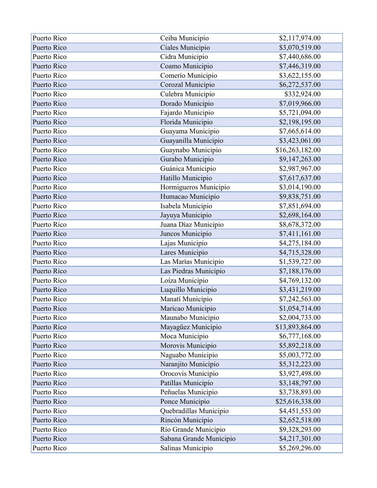| Puerto Rico | Ceiba Municipio         | \$2,117,974.00  |
|-------------|-------------------------|-----------------|
| Puerto Rico | Ciales Municipio        | \$3,070,519.00  |
| Puerto Rico | Cidra Municipio         | \$7,440,686.00  |
| Puerto Rico | Coamo Municipio         | \$7,446,319.00  |
| Puerto Rico | Comerío Municipio       | \$3,622,155.00  |
| Puerto Rico | Corozal Municipio       | \$6,272,537.00  |
| Puerto Rico | Culebra Municipio       | \$332,924.00    |
| Puerto Rico | Dorado Municipio        | \$7,019,966.00  |
| Puerto Rico | Fajardo Municipio       | \$5,721,094.00  |
| Puerto Rico | Florida Municipio       | \$2,198,195.00  |
| Puerto Rico | Guayama Municipio       | \$7,665,614.00  |
| Puerto Rico | Guayanilla Municipio    | \$3,423,061.00  |
| Puerto Rico | Guaynabo Municipio      | \$16,263,182.00 |
| Puerto Rico | Gurabo Municipio        | \$9,147,263.00  |
| Puerto Rico | Guánica Municipio       | \$2,987,967.00  |
| Puerto Rico | Hatillo Municipio       | \$7,617,637.00  |
| Puerto Rico | Hormigueros Municipio   | \$3,014,190.00  |
| Puerto Rico | Humacao Municipio       | \$9,838,751.00  |
| Puerto Rico | Isabela Municipio       | \$7,851,694.00  |
| Puerto Rico | Jayuya Municipio        | \$2,698,164.00  |
| Puerto Rico | Juana Díaz Municipio    | \$8,678,372.00  |
| Puerto Rico | Juncos Municipio        | \$7,411,161.00  |
| Puerto Rico | Lajas Municipio         | \$4,275,184.00  |
| Puerto Rico | Lares Municipio         | \$4,715,328.00  |
| Puerto Rico | Las Marías Municipio    | \$1,539,727.00  |
| Puerto Rico | Las Piedras Municipio   | \$7,188,176.00  |
| Puerto Rico | Loíza Municipio         | \$4,769,132.00  |
| Puerto Rico | Luquillo Municipio      | \$3,431,219.00  |
| Puerto Rico | Manatí Municipio        | \$7,242,563.00  |
| Puerto Rico | Maricao Municipio       | \$1,054,714.00  |
| Puerto Rico | Maunabo Municipio       | \$2,004,733.00  |
| Puerto Rico | Mayagüez Municipio      | \$13,893,864.00 |
| Puerto Rico | Moca Municipio          | \$6,777,168.00  |
| Puerto Rico | Morovis Municipio       | \$5,892,218.00  |
| Puerto Rico | Naguabo Municipio       | \$5,003,772.00  |
| Puerto Rico | Naranjito Municipio     | \$5,312,223.00  |
| Puerto Rico | Orocovis Municipio      | \$3,927,498.00  |
| Puerto Rico | Patillas Municipio      | \$3,148,797.00  |
| Puerto Rico | Peñuelas Municipio      | \$3,738,893.00  |
| Puerto Rico | Ponce Municipio         | \$25,616,338.00 |
| Puerto Rico | Quebradillas Municipio  | \$4,451,553.00  |
| Puerto Rico | Rincón Municipio        | \$2,652,518.00  |
| Puerto Rico | Río Grande Municipio    | \$9,328,293.00  |
| Puerto Rico | Sabana Grande Municipio | \$4,217,301.00  |
| Puerto Rico | Salinas Municipio       | \$5,269,296.00  |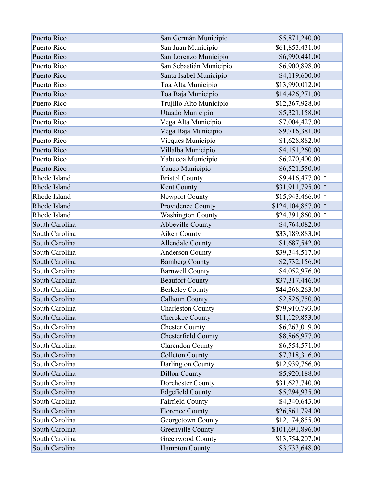| Puerto Rico    | San Germán Municipio     | \$5,871,240.00      |
|----------------|--------------------------|---------------------|
| Puerto Rico    | San Juan Municipio       | \$61,853,431.00     |
| Puerto Rico    | San Lorenzo Municipio    | \$6,990,441.00      |
| Puerto Rico    | San Sebastián Municipio  | \$6,900,898.00      |
| Puerto Rico    | Santa Isabel Municipio   | \$4,119,600.00      |
| Puerto Rico    | Toa Alta Municipio       | \$13,990,012.00     |
| Puerto Rico    | Toa Baja Municipio       | \$14,426,271.00     |
| Puerto Rico    | Trujillo Alto Municipio  | \$12,367,928.00     |
| Puerto Rico    | Utuado Municipio         | \$5,321,158.00      |
| Puerto Rico    | Vega Alta Municipio      | \$7,004,427.00      |
| Puerto Rico    | Vega Baja Municipio      | \$9,716,381.00      |
| Puerto Rico    | Vieques Municipio        | \$1,628,882.00      |
| Puerto Rico    | Villalba Municipio       | \$4,151,260.00      |
| Puerto Rico    | Yabucoa Municipio        | \$6,270,400.00      |
| Puerto Rico    | Yauco Municipio          | \$6,521,550.00      |
| Rhode Island   | <b>Bristol County</b>    | \$9,416,477.00 *    |
| Rhode Island   | Kent County              | \$31,911,795.00 *   |
| Rhode Island   | Newport County           | $$15,943,466.00$ *  |
| Rhode Island   | Providence County        | $$124,104,857.00$ * |
| Rhode Island   | <b>Washington County</b> | \$24,391,860.00 *   |
| South Carolina | Abbeville County         | \$4,764,082.00      |
| South Carolina | Aiken County             | \$33,189,883.00     |
| South Carolina | <b>Allendale County</b>  | \$1,687,542.00      |
| South Carolina | <b>Anderson County</b>   | \$39,344,517.00     |
| South Carolina | <b>Bamberg County</b>    | \$2,732,156.00      |
| South Carolina | <b>Barnwell County</b>   | \$4,052,976.00      |
| South Carolina | <b>Beaufort County</b>   | \$37,317,446.00     |
| South Carolina | <b>Berkeley County</b>   | \$44,268,263.00     |
| South Carolina | <b>Calhoun County</b>    | \$2,826,750.00      |
| South Carolina | <b>Charleston County</b> | \$79,910,793.00     |
| South Carolina | <b>Cherokee County</b>   | \$11,129,853.00     |
| South Carolina | <b>Chester County</b>    | \$6,263,019.00      |
| South Carolina | Chesterfield County      | \$8,866,977.00      |
| South Carolina | <b>Clarendon County</b>  | \$6,554,571.00      |
| South Carolina | <b>Colleton County</b>   | \$7,318,316.00      |
| South Carolina | Darlington County        | \$12,939,766.00     |
| South Carolina | <b>Dillon County</b>     | \$5,920,188.00      |
| South Carolina | Dorchester County        | \$31,623,740.00     |
| South Carolina | <b>Edgefield County</b>  | \$5,294,935.00      |
| South Carolina | Fairfield County         | \$4,340,643.00      |
| South Carolina | <b>Florence County</b>   | \$26,861,794.00     |
| South Carolina | Georgetown County        | \$12,174,855.00     |
| South Carolina | <b>Greenville County</b> | \$101,691,896.00    |
| South Carolina | Greenwood County         | \$13,754,207.00     |
| South Carolina | <b>Hampton County</b>    | \$3,733,648.00      |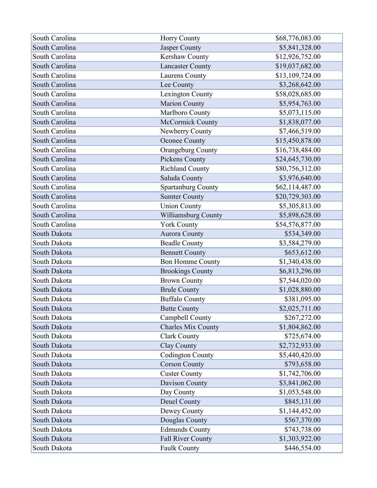| South Carolina | <b>Horry County</b>       | \$68,776,083.00 |
|----------------|---------------------------|-----------------|
| South Carolina | Jasper County             | \$5,841,328.00  |
| South Carolina | Kershaw County            | \$12,926,752.00 |
| South Carolina | <b>Lancaster County</b>   | \$19,037,682.00 |
| South Carolina | Laurens County            | \$13,109,724.00 |
| South Carolina | Lee County                | \$3,268,642.00  |
| South Carolina | Lexington County          | \$58,028,685.00 |
| South Carolina | Marion County             | \$5,954,763.00  |
| South Carolina | Marlboro County           | \$5,073,115.00  |
| South Carolina | McCormick County          | \$1,838,077.00  |
| South Carolina | Newberry County           | \$7,466,519.00  |
| South Carolina | Oconee County             | \$15,450,878.00 |
| South Carolina | Orangeburg County         | \$16,738,484.00 |
| South Carolina | Pickens County            | \$24,645,730.00 |
| South Carolina | <b>Richland County</b>    | \$80,756,312.00 |
| South Carolina | Saluda County             | \$3,976,640.00  |
| South Carolina | Spartanburg County        | \$62,114,487.00 |
| South Carolina | <b>Sumter County</b>      | \$20,729,303.00 |
| South Carolina | <b>Union County</b>       | \$5,305,813.00  |
| South Carolina | Williamsburg County       | \$5,898,628.00  |
| South Carolina | <b>York County</b>        | \$54,576,877.00 |
| South Dakota   | <b>Aurora County</b>      | \$534,349.00    |
| South Dakota   | <b>Beadle County</b>      | \$3,584,279.00  |
| South Dakota   | <b>Bennett County</b>     | \$653,612.00    |
| South Dakota   | <b>Bon Homme County</b>   | \$1,340,438.00  |
| South Dakota   | <b>Brookings County</b>   | \$6,813,296.00  |
| South Dakota   | <b>Brown County</b>       | \$7,544,020.00  |
| South Dakota   | <b>Brule County</b>       | \$1,028,880.00  |
| South Dakota   | <b>Buffalo County</b>     | \$381,095.00    |
| South Dakota   | <b>Butte County</b>       | \$2,025,711.00  |
| South Dakota   | Campbell County           | \$267,272.00    |
| South Dakota   | <b>Charles Mix County</b> | \$1,804,862.00  |
| South Dakota   | <b>Clark County</b>       | \$725,674.00    |
| South Dakota   | <b>Clay County</b>        | \$2,732,933.00  |
| South Dakota   | <b>Codington County</b>   | \$5,440,420.00  |
| South Dakota   | <b>Corson County</b>      | \$793,658.00    |
| South Dakota   | <b>Custer County</b>      | \$1,742,706.00  |
| South Dakota   | Davison County            | \$3,841,062.00  |
| South Dakota   | Day County                | \$1,053,548.00  |
| South Dakota   | Deuel County              | \$845,131.00    |
| South Dakota   | Dewey County              | \$1,144,452.00  |
| South Dakota   | Douglas County            | \$567,370.00    |
| South Dakota   | <b>Edmunds County</b>     | \$743,738.00    |
| South Dakota   | Fall River County         | \$1,303,922.00  |
| South Dakota   | <b>Faulk County</b>       | \$446,554.00    |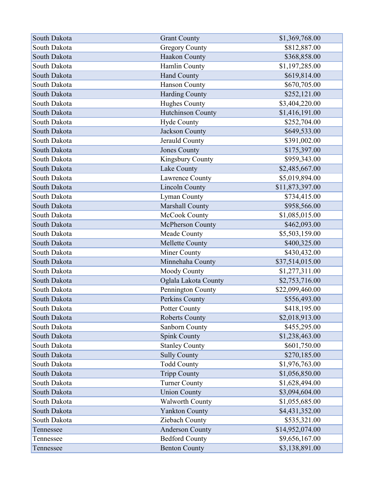| South Dakota | <b>Grant County</b>      | \$1,369,768.00  |
|--------------|--------------------------|-----------------|
| South Dakota | <b>Gregory County</b>    | \$812,887.00    |
| South Dakota | Haakon County            | \$368,858.00    |
| South Dakota | Hamlin County            | \$1,197,285.00  |
| South Dakota | <b>Hand County</b>       | \$619,814.00    |
| South Dakota | <b>Hanson County</b>     | \$670,705.00    |
| South Dakota | <b>Harding County</b>    | \$252,121.00    |
| South Dakota | Hughes County            | \$3,404,220.00  |
| South Dakota | <b>Hutchinson County</b> | \$1,416,191.00  |
| South Dakota | Hyde County              | \$252,704.00    |
| South Dakota | <b>Jackson County</b>    | \$649,533.00    |
| South Dakota | Jerauld County           | \$391,002.00    |
| South Dakota | <b>Jones County</b>      | \$175,397.00    |
| South Dakota | Kingsbury County         | \$959,343.00    |
| South Dakota | Lake County              | \$2,485,667.00  |
| South Dakota | Lawrence County          | \$5,019,894.00  |
| South Dakota | <b>Lincoln County</b>    | \$11,873,397.00 |
| South Dakota | <b>Lyman County</b>      | \$734,415.00    |
| South Dakota | Marshall County          | \$958,566.00    |
| South Dakota | McCook County            | \$1,085,015.00  |
| South Dakota | McPherson County         | \$462,093.00    |
| South Dakota | Meade County             | \$5,503,159.00  |
| South Dakota | Mellette County          | \$400,325.00    |
| South Dakota | Miner County             | \$430,432.00    |
| South Dakota | Minnehaha County         | \$37,514,015.00 |
| South Dakota | Moody County             | \$1,277,311.00  |
| South Dakota | Oglala Lakota County     | \$2,753,716.00  |
| South Dakota | Pennington County        | \$22,099,460.00 |
| South Dakota | Perkins County           | \$556,493.00    |
| South Dakota | <b>Potter County</b>     | \$418,195.00    |
| South Dakota | <b>Roberts County</b>    | \$2,018,913.00  |
| South Dakota | Sanborn County           | \$455,295.00    |
| South Dakota | Spink County             | \$1,238,463.00  |
| South Dakota | <b>Stanley County</b>    | \$601,750.00    |
| South Dakota | <b>Sully County</b>      | \$270,185.00    |
| South Dakota | <b>Todd County</b>       | \$1,976,763.00  |
| South Dakota | <b>Tripp County</b>      | \$1,056,850.00  |
| South Dakota | <b>Turner County</b>     | \$1,628,494.00  |
| South Dakota | <b>Union County</b>      | \$3,094,604.00  |
| South Dakota | Walworth County          | \$1,055,685.00  |
| South Dakota | <b>Yankton County</b>    | \$4,431,352.00  |
| South Dakota | Ziebach County           | \$535,321.00    |
| Tennessee    | <b>Anderson County</b>   | \$14,952,074.00 |
| Tennessee    | <b>Bedford County</b>    | \$9,656,167.00  |
| Tennessee    | <b>Benton County</b>     | \$3,138,891.00  |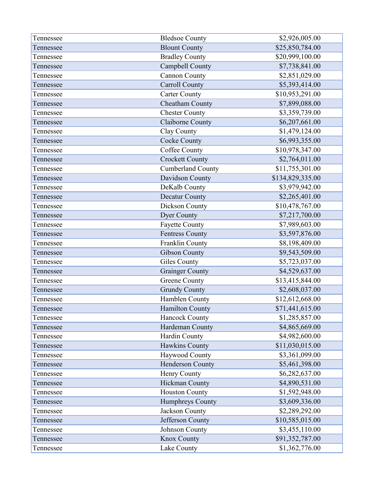| Tennessee | <b>Bledsoe County</b>    | \$2,926,005.00   |
|-----------|--------------------------|------------------|
| Tennessee | <b>Blount County</b>     | \$25,850,784.00  |
| Tennessee | <b>Bradley County</b>    | \$20,999,100.00  |
| Tennessee | Campbell County          | \$7,738,841.00   |
| Tennessee | <b>Cannon County</b>     | \$2,851,029.00   |
| Tennessee | <b>Carroll County</b>    | \$5,393,414.00   |
| Tennessee | <b>Carter County</b>     | \$10,953,291.00  |
| Tennessee | Cheatham County          | \$7,899,088.00   |
| Tennessee | <b>Chester County</b>    | \$3,359,739.00   |
| Tennessee | Claiborne County         | \$6,207,661.00   |
| Tennessee | Clay County              | \$1,479,124.00   |
| Tennessee | <b>Cocke County</b>      | \$6,993,355.00   |
| Tennessee | Coffee County            | \$10,978,347.00  |
| Tennessee | <b>Crockett County</b>   | \$2,764,011.00   |
| Tennessee | <b>Cumberland County</b> | \$11,755,301.00  |
| Tennessee | Davidson County          | \$134,829,335.00 |
| Tennessee | DeKalb County            | \$3,979,942.00   |
| Tennessee | <b>Decatur County</b>    | \$2,265,401.00   |
| Tennessee | Dickson County           | \$10,478,767.00  |
| Tennessee | <b>Dyer County</b>       | \$7,217,700.00   |
| Tennessee | <b>Fayette County</b>    | \$7,989,603.00   |
| Tennessee | <b>Fentress County</b>   | \$3,597,876.00   |
| Tennessee | Franklin County          | \$8,198,409.00   |
| Tennessee | <b>Gibson County</b>     | \$9,543,509.00   |
| Tennessee | Giles County             | \$5,723,037.00   |
| Tennessee | <b>Grainger County</b>   | \$4,529,637.00   |
| Tennessee | Greene County            | \$13,415,844.00  |
| Tennessee | <b>Grundy County</b>     | \$2,608,037.00   |
| Tennessee | Hamblen County           | \$12,612,668.00  |
| Tennessee | <b>Hamilton County</b>   | \$71,441,615.00  |
| Tennessee | Hancock County           | \$1,285,857.00   |
| Tennessee | Hardeman County          | \$4,865,669.00   |
| Tennessee | Hardin County            | \$4,982,600.00   |
| Tennessee | Hawkins County           | \$11,030,015.00  |
| Tennessee | Haywood County           | \$3,361,099.00   |
| Tennessee | Henderson County         | \$5,461,398.00   |
| Tennessee | Henry County             | \$6,282,637.00   |
| Tennessee | <b>Hickman County</b>    | \$4,890,531.00   |
| Tennessee | <b>Houston County</b>    | \$1,592,948.00   |
| Tennessee | Humphreys County         | \$3,609,336.00   |
| Tennessee | Jackson County           | \$2,289,292.00   |
| Tennessee | Jefferson County         | \$10,585,015.00  |
| Tennessee | Johnson County           | \$3,455,110.00   |
| Tennessee | <b>Knox County</b>       | \$91,352,787.00  |
| Tennessee | Lake County              | \$1,362,776.00   |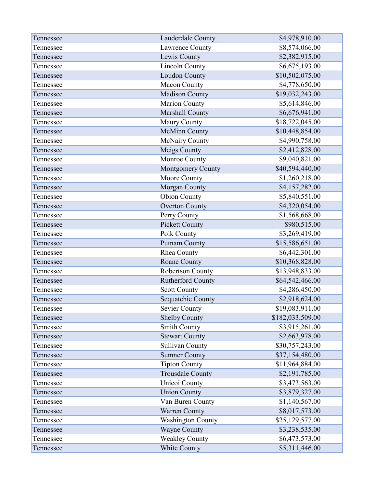| Tennessee | Lauderdale County        | \$4,978,910.00   |
|-----------|--------------------------|------------------|
| Tennessee | Lawrence County          | \$8,574,066.00   |
| Tennessee | Lewis County             | \$2,382,915.00   |
| Tennessee | <b>Lincoln County</b>    | \$6,675,193.00   |
| Tennessee | Loudon County            | \$10,502,075.00  |
| Tennessee | Macon County             | \$4,778,650.00   |
| Tennessee | <b>Madison County</b>    | \$19,032,243.00  |
| Tennessee | Marion County            | \$5,614,846.00   |
| Tennessee | Marshall County          | \$6,676,941.00   |
| Tennessee | Maury County             | \$18,722,045.00  |
| Tennessee | <b>McMinn County</b>     | \$10,448,854.00  |
| Tennessee | McNairy County           | \$4,990,758.00   |
| Tennessee | Meigs County             | \$2,412,828.00   |
| Tennessee | Monroe County            | \$9,040,821.00   |
| Tennessee | Montgomery County        | \$40,594,440.00  |
| Tennessee | Moore County             | \$1,260,218.00   |
| Tennessee | Morgan County            | \$4,157,282.00   |
| Tennessee | <b>Obion County</b>      | \$5,840,551.00   |
| Tennessee | <b>Overton County</b>    | \$4,320,054.00   |
| Tennessee | Perry County             | \$1,568,668.00   |
| Tennessee | <b>Pickett County</b>    | \$980,515.00     |
| Tennessee | Polk County              | \$3,269,419.00   |
| Tennessee | <b>Putnam County</b>     | \$15,586,651.00  |
| Tennessee | Rhea County              | \$6,442,301.00   |
| Tennessee | Roane County             | \$10,368,828.00  |
| Tennessee | Robertson County         | \$13,948,833.00  |
| Tennessee | <b>Rutherford County</b> | \$64,542,466.00  |
| Tennessee | <b>Scott County</b>      | \$4,286,450.00   |
| Tennessee | Sequatchie County        | \$2,918,624.00   |
| Tennessee | <b>Sevier County</b>     | \$19,083,911.00  |
| Tennessee | <b>Shelby County</b>     | \$182,033,509.00 |
| Tennessee | <b>Smith County</b>      | \$3,915,261.00   |
| Tennessee | <b>Stewart County</b>    | \$2,663,978.00   |
| Tennessee | <b>Sullivan County</b>   | \$30,757,243.00  |
| Tennessee | <b>Sumner County</b>     | \$37,154,480.00  |
| Tennessee | <b>Tipton County</b>     | \$11,964,884.00  |
| Tennessee | <b>Trousdale County</b>  | \$2,191,785.00   |
| Tennessee | Unicoi County            | \$3,473,563.00   |
| Tennessee | <b>Union County</b>      | \$3,879,327.00   |
| Tennessee | Van Buren County         | \$1,140,567.00   |
| Tennessee | Warren County            | \$8,017,573.00   |
| Tennessee | <b>Washington County</b> | \$25,129,577.00  |
| Tennessee | <b>Wayne County</b>      | \$3,238,535.00   |
| Tennessee | <b>Weakley County</b>    | \$6,473,573.00   |
| Tennessee | White County             | \$5,311,446.00   |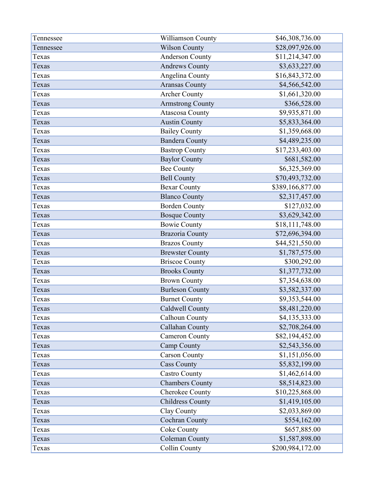| Tennessee | Williamson County       | \$46,308,736.00  |
|-----------|-------------------------|------------------|
| Tennessee | <b>Wilson County</b>    | \$28,097,926.00  |
| Texas     | Anderson County         | \$11,214,347.00  |
| Texas     | <b>Andrews County</b>   | \$3,633,227.00   |
| Texas     | Angelina County         | \$16,843,372.00  |
| Texas     | <b>Aransas County</b>   | \$4,566,542.00   |
| Texas     | <b>Archer County</b>    | \$1,661,320.00   |
| Texas     | <b>Armstrong County</b> | \$366,528.00     |
| Texas     | <b>Atascosa County</b>  | \$9,935,871.00   |
| Texas     | <b>Austin County</b>    | \$5,833,364.00   |
| Texas     | <b>Bailey County</b>    | \$1,359,668.00   |
| Texas     | <b>Bandera County</b>   | \$4,489,235.00   |
| Texas     | <b>Bastrop County</b>   | \$17,233,403.00  |
| Texas     | <b>Baylor County</b>    | \$681,582.00     |
| Texas     | <b>Bee County</b>       | \$6,325,369.00   |
| Texas     | <b>Bell County</b>      | \$70,493,732.00  |
| Texas     | <b>Bexar County</b>     | \$389,166,877.00 |
| Texas     | <b>Blanco County</b>    | \$2,317,457.00   |
| Texas     | <b>Borden County</b>    | \$127,032.00     |
| Texas     | <b>Bosque County</b>    | \$3,629,342.00   |
| Texas     | <b>Bowie County</b>     | \$18,111,748.00  |
| Texas     | <b>Brazoria County</b>  | \$72,696,394.00  |
| Texas     | <b>Brazos County</b>    | \$44,521,550.00  |
| Texas     | <b>Brewster County</b>  | \$1,787,575.00   |
| Texas     | <b>Briscoe County</b>   | \$300,292.00     |
| Texas     | <b>Brooks County</b>    | \$1,377,732.00   |
| Texas     | <b>Brown County</b>     | \$7,354,638.00   |
| Texas     | <b>Burleson County</b>  | \$3,582,337.00   |
| Texas     | <b>Burnet County</b>    | \$9,353,544.00   |
| Texas     | Caldwell County         | \$8,481,220.00   |
| Texas     | Calhoun County          | \$4,135,333.00   |
| Texas     | Callahan County         | \$2,708,264.00   |
| Texas     | <b>Cameron County</b>   | \$82,194,452.00  |
| Texas     | Camp County             | \$2,543,356.00   |
| Texas     | <b>Carson County</b>    | \$1,151,056.00   |
| Texas     | <b>Cass County</b>      | \$5,832,199.00   |
| Texas     | <b>Castro County</b>    | \$1,462,614.00   |
| Texas     | <b>Chambers County</b>  | \$8,514,823.00   |
| Texas     | Cherokee County         | \$10,225,868.00  |
| Texas     | <b>Childress County</b> | \$1,419,105.00   |
| Texas     | Clay County             | \$2,033,869.00   |
| Texas     | <b>Cochran County</b>   | \$554,162.00     |
| Texas     | Coke County             | \$657,885.00     |
| Texas     | <b>Coleman County</b>   | \$1,587,898.00   |
| Texas     | Collin County           | \$200,984,172.00 |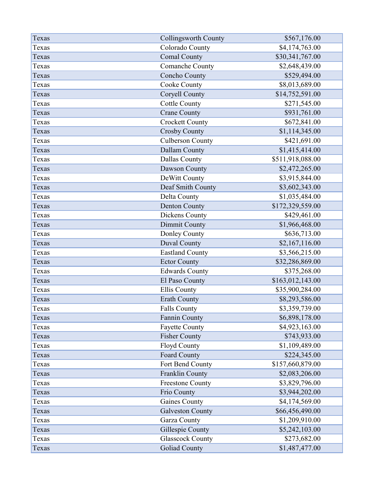| Texas | <b>Collingsworth County</b> | \$567,176.00     |
|-------|-----------------------------|------------------|
| Texas | Colorado County             | \$4,174,763.00   |
| Texas | <b>Comal County</b>         | \$30,341,767.00  |
| Texas | Comanche County             | \$2,648,439.00   |
| Texas | Concho County               | \$529,494.00     |
| Texas | Cooke County                | \$8,013,689.00   |
| Texas | Coryell County              | \$14,752,591.00  |
| Texas | <b>Cottle County</b>        | \$271,545.00     |
| Texas | <b>Crane County</b>         | \$931,761.00     |
| Texas | <b>Crockett County</b>      | \$672,841.00     |
| Texas | <b>Crosby County</b>        | \$1,114,345.00   |
| Texas | <b>Culberson County</b>     | \$421,691.00     |
| Texas | Dallam County               | \$1,415,414.00   |
| Texas | <b>Dallas County</b>        | \$511,918,088.00 |
| Texas | Dawson County               | \$2,472,265.00   |
| Texas | DeWitt County               | \$3,915,844.00   |
| Texas | Deaf Smith County           | \$3,602,343.00   |
| Texas | Delta County                | \$1,035,484.00   |
| Texas | Denton County               | \$172,329,559.00 |
| Texas | Dickens County              | \$429,461.00     |
| Texas | Dimmit County               | \$1,966,468.00   |
| Texas | Donley County               | \$636,713.00     |
| Texas | Duval County                | \$2,167,116.00   |
| Texas | <b>Eastland County</b>      | \$3,566,215.00   |
| Texas | <b>Ector County</b>         | \$32,286,869.00  |
| Texas | <b>Edwards County</b>       | \$375,268.00     |
| Texas | El Paso County              | \$163,012,143.00 |
| Texas | <b>Ellis County</b>         | \$35,900,284.00  |
| Texas | <b>Erath County</b>         | \$8,293,586.00   |
| Texas | <b>Falls County</b>         | \$3,359,739.00   |
| Texas | Fannin County               | \$6,898,178.00   |
| Texas | <b>Fayette County</b>       | \$4,923,163.00   |
| Texas | <b>Fisher County</b>        | \$743,933.00     |
| Texas | <b>Floyd County</b>         | \$1,109,489.00   |
| Texas | Foard County                | \$224,345.00     |
| Texas | Fort Bend County            | \$157,660,879.00 |
| Texas | Franklin County             | \$2,083,206.00   |
| Texas | <b>Freestone County</b>     | \$3,829,796.00   |
| Texas | Frio County                 | \$3,944,202.00   |
| Texas | <b>Gaines County</b>        | \$4,174,569.00   |
| Texas | <b>Galveston County</b>     | \$66,456,490.00  |
| Texas | Garza County                | \$1,209,910.00   |
| Texas | Gillespie County            | \$5,242,103.00   |
| Texas | <b>Glasscock County</b>     | \$273,682.00     |
| Texas | <b>Goliad County</b>        | \$1,487,477.00   |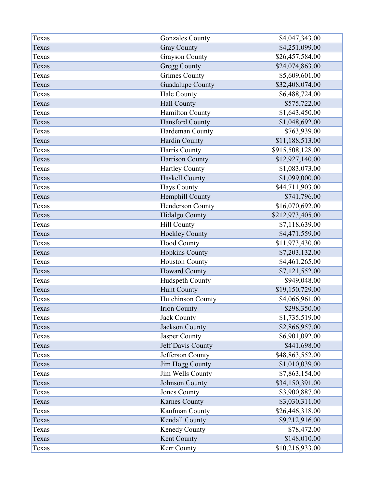| Texas | <b>Gonzales County</b>   | \$4,047,343.00   |
|-------|--------------------------|------------------|
| Texas | <b>Gray County</b>       | \$4,251,099.00   |
| Texas | <b>Grayson County</b>    | \$26,457,584.00  |
| Texas | <b>Gregg County</b>      | \$24,074,863.00  |
| Texas | <b>Grimes County</b>     | \$5,609,601.00   |
| Texas | <b>Guadalupe County</b>  | \$32,408,074.00  |
| Texas | Hale County              | \$6,488,724.00   |
| Texas | Hall County              | \$575,722.00     |
| Texas | Hamilton County          | \$1,643,450.00   |
| Texas | Hansford County          | \$1,048,692.00   |
| Texas | Hardeman County          | \$763,939.00     |
| Texas | Hardin County            | \$11,188,513.00  |
| Texas | Harris County            | \$915,508,128.00 |
| Texas | Harrison County          | \$12,927,140.00  |
| Texas | <b>Hartley County</b>    | \$1,083,073.00   |
| Texas | Haskell County           | \$1,099,000.00   |
| Texas | <b>Hays County</b>       | \$44,711,903.00  |
| Texas | Hemphill County          | \$741,796.00     |
| Texas | Henderson County         | \$16,070,692.00  |
| Texas | Hidalgo County           | \$212,973,405.00 |
| Texas | <b>Hill County</b>       | \$7,118,639.00   |
| Texas | <b>Hockley County</b>    | \$4,471,559.00   |
| Texas | Hood County              | \$11,973,430.00  |
| Texas | <b>Hopkins County</b>    | \$7,203,132.00   |
| Texas | <b>Houston County</b>    | \$4,461,265.00   |
| Texas | Howard County            | \$7,121,552.00   |
| Texas | Hudspeth County          | \$949,048.00     |
| Texas | Hunt County              | \$19,150,729.00  |
| Texas | <b>Hutchinson County</b> | \$4,066,961.00   |
| Texas | <b>Irion County</b>      | \$298,350.00     |
| Texas | Jack County              | \$1,735,519.00   |
| Texas | <b>Jackson County</b>    | \$2,866,957.00   |
| Texas | Jasper County            | \$6,901,092.00   |
| Texas | Jeff Davis County        | \$441,698.00     |
| Texas | Jefferson County         | \$48,863,552.00  |
| Texas | Jim Hogg County          | \$1,010,039.00   |
| Texas | Jim Wells County         | \$7,863,154.00   |
| Texas | Johnson County           | \$34,150,391.00  |
| Texas | <b>Jones County</b>      | \$3,900,887.00   |
| Texas | <b>Karnes County</b>     | \$3,030,311.00   |
| Texas | Kaufman County           | \$26,446,318.00  |
| Texas | Kendall County           | \$9,212,916.00   |
| Texas | Kenedy County            | \$78,472.00      |
| Texas | Kent County              | \$148,010.00     |
| Texas | Kerr County              | \$10,216,933.00  |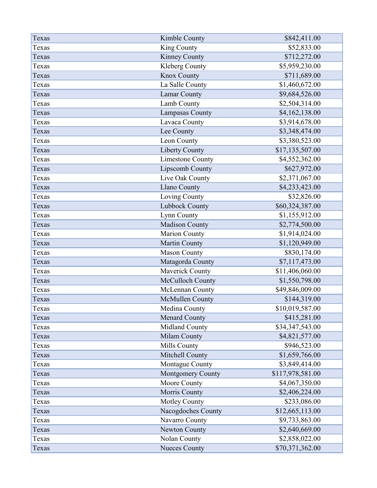| Texas | Kimble County            | \$842,411.00     |
|-------|--------------------------|------------------|
| Texas | King County              | \$52,833.00      |
| Texas | Kinney County            | \$712,272.00     |
| Texas | Kleberg County           | \$5,959,230.00   |
| Texas | Knox County              | \$711,689.00     |
| Texas | La Salle County          | \$1,460,672.00   |
| Texas | Lamar County             | \$9,684,526.00   |
| Texas | Lamb County              | \$2,504,314.00   |
| Texas | Lampasas County          | \$4,162,138.00   |
| Texas | Lavaca County            | \$3,914,678.00   |
| Texas | Lee County               | \$3,348,474.00   |
| Texas | Leon County              | \$3,380,523.00   |
| Texas | <b>Liberty County</b>    | \$17,135,507.00  |
| Texas | <b>Limestone County</b>  | \$4,552,362.00   |
| Texas | Lipscomb County          | \$627,972.00     |
| Texas | Live Oak County          | \$2,371,067.00   |
| Texas | <b>Llano County</b>      | \$4,233,423.00   |
| Texas | Loving County            | \$32,826.00      |
| Texas | Lubbock County           | \$60,324,387.00  |
| Texas | Lynn County              | \$1,155,912.00   |
| Texas | Madison County           | \$2,774,500.00   |
| Texas | <b>Marion County</b>     | \$1,914,024.00   |
| Texas | Martin County            | \$1,120,949.00   |
| Texas | <b>Mason County</b>      | \$830,174.00     |
| Texas | Matagorda County         | \$7,117,473.00   |
| Texas | Maverick County          | \$11,406,060.00  |
| Texas | McCulloch County         | \$1,550,798.00   |
| Texas | McLennan County          | \$49,846,009.00  |
| Texas | <b>McMullen County</b>   | \$144,319.00     |
| Texas | Medina County            | \$10,019,587.00  |
| Texas | <b>Menard County</b>     | \$415,281.00     |
| Texas | Midland County           | \$34,347,543.00  |
| Texas | Milam County             | \$4,821,577.00   |
| Texas | Mills County             | \$946,523.00     |
| Texas | Mitchell County          | \$1,659,766.00   |
| Texas | Montague County          | \$3,849,414.00   |
| Texas | <b>Montgomery County</b> | \$117,978,581.00 |
| Texas | Moore County             | \$4,067,350.00   |
| Texas | Morris County            | \$2,406,224.00   |
| Texas | <b>Motley County</b>     | \$233,086.00     |
| Texas | Nacogdoches County       | \$12,665,113.00  |
| Texas | Navarro County           | \$9,733,863.00   |
| Texas | Newton County            | \$2,640,669.00   |
| Texas | Nolan County             | \$2,858,022.00   |
| Texas | <b>Nueces County</b>     | \$70,371,362.00  |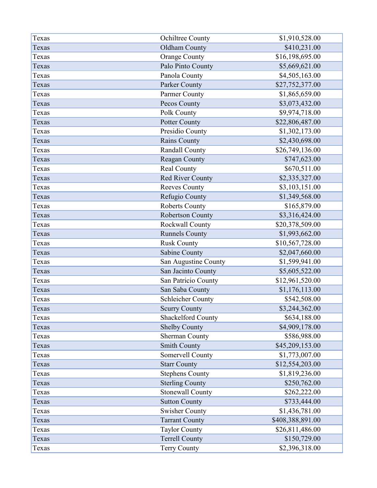| Texas | Ochiltree County        | \$1,910,528.00   |
|-------|-------------------------|------------------|
| Texas | Oldham County           | \$410,231.00     |
| Texas | <b>Orange County</b>    | \$16,198,695.00  |
| Texas | Palo Pinto County       | \$5,669,621.00   |
| Texas | Panola County           | \$4,505,163.00   |
| Texas | Parker County           | \$27,752,377.00  |
| Texas | Parmer County           | \$1,865,659.00   |
| Texas | Pecos County            | \$3,073,432.00   |
| Texas | Polk County             | \$9,974,718.00   |
| Texas | Potter County           | \$22,806,487.00  |
| Texas | Presidio County         | \$1,302,173.00   |
| Texas | <b>Rains County</b>     | \$2,430,698.00   |
| Texas | Randall County          | \$26,749,136.00  |
| Texas | Reagan County           | \$747,623.00     |
| Texas | Real County             | \$670,511.00     |
| Texas | <b>Red River County</b> | \$2,335,327.00   |
| Texas | <b>Reeves County</b>    | \$3,103,151.00   |
| Texas | Refugio County          | \$1,349,568.00   |
| Texas | <b>Roberts County</b>   | \$165,879.00     |
| Texas | Robertson County        | \$3,316,424.00   |
| Texas | Rockwall County         | \$20,378,509.00  |
| Texas | <b>Runnels County</b>   | \$1,993,662.00   |
| Texas | <b>Rusk County</b>      | \$10,567,728.00  |
| Texas | Sabine County           | \$2,047,660.00   |
| Texas | San Augustine County    | \$1,599,941.00   |
| Texas | San Jacinto County      | \$5,605,522.00   |
| Texas | San Patricio County     | \$12,961,520.00  |
| Texas | San Saba County         | \$1,176,113.00   |
| Texas | Schleicher County       | \$542,508.00     |
| Texas | <b>Scurry County</b>    | \$3,244,362.00   |
| Texas | Shackelford County      | \$634,188.00     |
| Texas | <b>Shelby County</b>    | \$4,909,178.00   |
| Texas | <b>Sherman County</b>   | \$586,988.00     |
| Texas | <b>Smith County</b>     | \$45,209,153.00  |
| Texas | Somervell County        | \$1,773,007.00   |
| Texas | <b>Starr County</b>     | \$12,554,203.00  |
| Texas | <b>Stephens County</b>  | \$1,819,236.00   |
| Texas | <b>Sterling County</b>  | \$250,762.00     |
| Texas | <b>Stonewall County</b> | \$262,222.00     |
| Texas | <b>Sutton County</b>    | \$733,444.00     |
| Texas | <b>Swisher County</b>   | \$1,436,781.00   |
| Texas | <b>Tarrant County</b>   | \$408,388,891.00 |
| Texas | <b>Taylor County</b>    | \$26,811,486.00  |
| Texas | <b>Terrell County</b>   | \$150,729.00     |
| Texas | Terry County            | \$2,396,318.00   |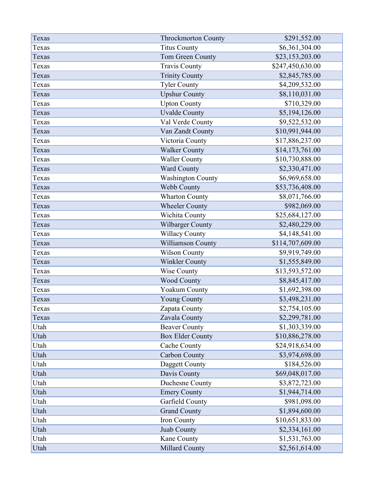| Texas | <b>Throckmorton County</b> | \$291,552.00     |
|-------|----------------------------|------------------|
| Texas | <b>Titus County</b>        | \$6,361,304.00   |
| Texas | Tom Green County           | \$23,153,203.00  |
| Texas | <b>Travis County</b>       | \$247,450,630.00 |
| Texas | <b>Trinity County</b>      | \$2,845,785.00   |
| Texas | <b>Tyler County</b>        | \$4,209,532.00   |
| Texas | <b>Upshur County</b>       | \$8,110,031.00   |
| Texas | <b>Upton County</b>        | \$710,329.00     |
| Texas | <b>Uvalde County</b>       | \$5,194,126.00   |
| Texas | Val Verde County           | \$9,522,532.00   |
| Texas | Van Zandt County           | \$10,991,944.00  |
| Texas | Victoria County            | \$17,886,237.00  |
| Texas | <b>Walker County</b>       | \$14,173,761.00  |
| Texas | <b>Waller County</b>       | \$10,730,888.00  |
| Texas | Ward County                | \$2,330,471.00   |
| Texas | <b>Washington County</b>   | \$6,969,658.00   |
| Texas | Webb County                | \$53,736,408.00  |
| Texas | <b>Wharton County</b>      | \$8,071,766.00   |
| Texas | <b>Wheeler County</b>      | \$982,069.00     |
| Texas | Wichita County             | \$25,684,127.00  |
| Texas | Wilbarger County           | \$2,480,229.00   |
| Texas | <b>Willacy County</b>      | \$4,148,541.00   |
| Texas | Williamson County          | \$114,707,609.00 |
| Texas | Wilson County              | \$9,919,749.00   |
| Texas | Winkler County             | \$1,555,849.00   |
| Texas | Wise County                | \$13,593,572.00  |
| Texas | <b>Wood County</b>         | \$8,845,417.00   |
| Texas | Yoakum County              | \$1,692,398.00   |
| Texas | <b>Young County</b>        | \$3,498,231.00   |
| Texas | Zapata County              | \$2,754,105.00   |
| Texas | Zavala County              | \$2,299,781.00   |
| Utah  | <b>Beaver County</b>       | \$1,303,339.00   |
| Utah  | <b>Box Elder County</b>    | \$10,886,278.00  |
| Utah  | Cache County               | \$24,918,634.00  |
| Utah  | <b>Carbon County</b>       | \$3,974,698.00   |
| Utah  | Daggett County             | \$184,526.00     |
| Utah  | Davis County               | \$69,048,017.00  |
| Utah  | Duchesne County            | \$3,872,723.00   |
| Utah  | <b>Emery County</b>        | \$1,944,714.00   |
| Utah  | Garfield County            | \$981,098.00     |
| Utah  | <b>Grand County</b>        | \$1,894,600.00   |
| Utah  | Iron County                | \$10,651,833.00  |
| Utah  | Juab County                | \$2,334,161.00   |
| Utah  | Kane County                | \$1,531,763.00   |
| Utah  | Millard County             | \$2,561,614.00   |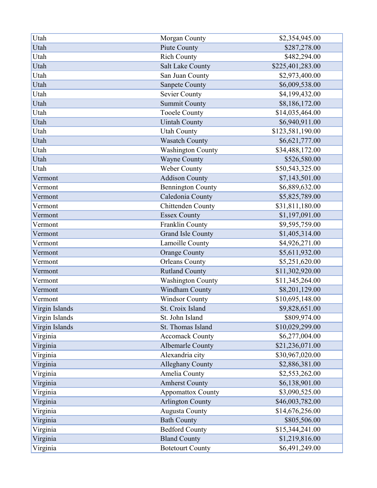| Utah           | Morgan County            | \$2,354,945.00   |
|----------------|--------------------------|------------------|
| Utah           | Piute County             | \$287,278.00     |
| Utah           | <b>Rich County</b>       | \$482,294.00     |
| Utah           | <b>Salt Lake County</b>  | \$225,401,283.00 |
| Utah           | San Juan County          | \$2,973,400.00   |
| Utah           | <b>Sanpete County</b>    | \$6,009,538.00   |
| Utah           | <b>Sevier County</b>     | \$4,199,432.00   |
| Utah           | <b>Summit County</b>     | \$8,186,172.00   |
| Utah           | <b>Tooele County</b>     | \$14,035,464.00  |
| Utah           | <b>Uintah County</b>     | \$6,940,911.00   |
| Utah           | <b>Utah County</b>       | \$123,581,190.00 |
| Utah           | <b>Wasatch County</b>    | \$6,621,777.00   |
| Utah           | <b>Washington County</b> | \$34,488,172.00  |
| Utah           | <b>Wayne County</b>      | \$526,580.00     |
| Utah           | Weber County             | \$50,543,325.00  |
| Vermont        | <b>Addison County</b>    | \$7,143,501.00   |
| Vermont        | <b>Bennington County</b> | \$6,889,632.00   |
| Vermont        | Caledonia County         | \$5,825,789.00   |
| Vermont        | Chittenden County        | \$31,811,180.00  |
| Vermont        | <b>Essex County</b>      | \$1,197,091.00   |
| Vermont        | Franklin County          | \$9,595,759.00   |
| Vermont        | <b>Grand Isle County</b> | \$1,405,314.00   |
| Vermont        | Lamoille County          | \$4,926,271.00   |
| Vermont        | <b>Orange County</b>     | \$5,611,932.00   |
| Vermont        | <b>Orleans County</b>    | \$5,251,620.00   |
| Vermont        | <b>Rutland County</b>    | \$11,302,920.00  |
| Vermont        | <b>Washington County</b> | \$11,345,264.00  |
| Vermont        | Windham County           | \$8,201,129.00   |
| Vermont        | <b>Windsor County</b>    | \$10,695,148.00  |
| Virgin Islands | St. Croix Island         | \$9,828,651.00   |
| Virgin Islands | St. John Island          | \$809,974.00     |
| Virgin Islands | St. Thomas Island        | \$10,029,299.00  |
| Virginia       | <b>Accomack County</b>   | \$6,277,004.00   |
| Virginia       | <b>Albemarle County</b>  | \$21,236,071.00  |
| Virginia       | Alexandria city          | \$30,967,020.00  |
| Virginia       | <b>Alleghany County</b>  | \$2,886,381.00   |
| Virginia       | Amelia County            | \$2,553,262.00   |
| Virginia       | <b>Amherst County</b>    | \$6,138,901.00   |
| Virginia       | <b>Appomattox County</b> | \$3,090,525.00   |
| Virginia       | <b>Arlington County</b>  | \$46,003,782.00  |
| Virginia       | <b>Augusta County</b>    | \$14,676,256.00  |
| Virginia       | <b>Bath County</b>       | \$805,506.00     |
| Virginia       | <b>Bedford County</b>    | \$15,344,241.00  |
| Virginia       | <b>Bland County</b>      | \$1,219,816.00   |
| Virginia       | <b>Botetourt County</b>  | \$6,491,249.00   |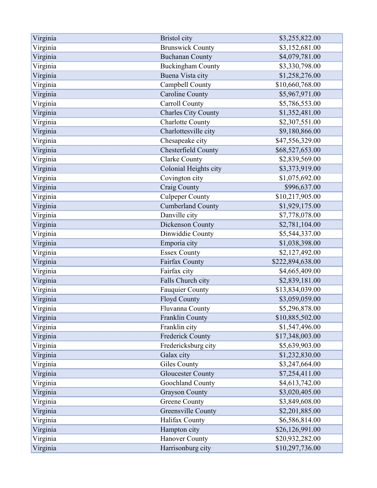| Virginia | <b>Bristol</b> city        | \$3,255,822.00   |
|----------|----------------------------|------------------|
| Virginia | <b>Brunswick County</b>    | \$3,152,681.00   |
| Virginia | <b>Buchanan County</b>     | \$4,079,781.00   |
| Virginia | <b>Buckingham County</b>   | \$3,330,798.00   |
| Virginia | Buena Vista city           | \$1,258,276.00   |
| Virginia | Campbell County            | \$10,660,768.00  |
| Virginia | <b>Caroline County</b>     | \$5,967,971.00   |
| Virginia | Carroll County             | \$5,786,553.00   |
| Virginia | <b>Charles City County</b> | \$1,352,481.00   |
| Virginia | <b>Charlotte County</b>    | \$2,307,551.00   |
| Virginia | Charlottesville city       | \$9,180,866.00   |
| Virginia | Chesapeake city            | \$47,556,329.00  |
| Virginia | Chesterfield County        | \$68,527,653.00  |
| Virginia | <b>Clarke County</b>       | \$2,839,569.00   |
| Virginia | Colonial Heights city      | \$3,373,919.00   |
| Virginia | Covington city             | \$1,075,692.00   |
| Virginia | Craig County               | \$996,637.00     |
| Virginia | <b>Culpeper County</b>     | \$10,217,905.00  |
| Virginia | <b>Cumberland County</b>   | \$1,929,175.00   |
| Virginia | Danville city              | \$7,778,078.00   |
| Virginia | Dickenson County           | \$2,781,104.00   |
| Virginia | Dinwiddie County           | \$5,544,337.00   |
| Virginia | Emporia city               | \$1,038,398.00   |
| Virginia | <b>Essex County</b>        | \$2,127,492.00   |
| Virginia | Fairfax County             | \$222,894,638.00 |
| Virginia | Fairfax city               | \$4,665,409.00   |
| Virginia | Falls Church city          | \$2,839,181.00   |
| Virginia | <b>Fauquier County</b>     | \$13,834,039.00  |
| Virginia | <b>Floyd County</b>        | \$3,059,059.00   |
| Virginia | Fluvanna County            | \$5,296,878.00   |
| Virginia | Franklin County            | \$10,885,502.00  |
| Virginia | Franklin city              | \$1,547,496.00   |
| Virginia | <b>Frederick County</b>    | \$17,348,003.00  |
| Virginia | Fredericksburg city        | \$5,639,903.00   |
| Virginia | Galax city                 | \$1,232,830.00   |
| Virginia | Giles County               | \$3,247,664.00   |
| Virginia | <b>Gloucester County</b>   | \$7,254,411.00   |
| Virginia | Goochland County           | \$4,613,742.00   |
| Virginia | <b>Grayson County</b>      | \$3,020,405.00   |
| Virginia | <b>Greene County</b>       | \$3,849,608.00   |
| Virginia | Greensville County         | \$2,201,885.00   |
| Virginia | Halifax County             | \$6,586,814.00   |
| Virginia | Hampton city               | \$26,126,991.00  |
| Virginia | <b>Hanover County</b>      | \$20,932,282.00  |
| Virginia | Harrisonburg city          | \$10,297,736.00  |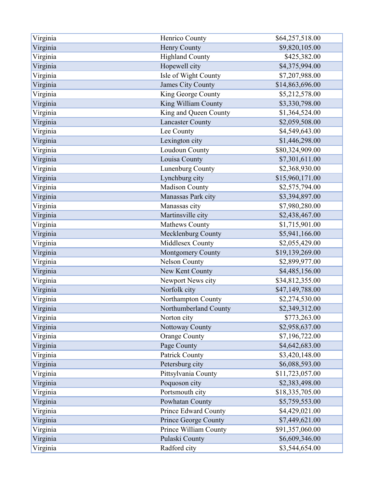| Virginia | Henrico County              | \$64,257,518.00 |
|----------|-----------------------------|-----------------|
| Virginia | Henry County                | \$9,820,105.00  |
| Virginia | <b>Highland County</b>      | \$425,382.00    |
| Virginia | Hopewell city               | \$4,375,994.00  |
| Virginia | Isle of Wight County        | \$7,207,988.00  |
| Virginia | <b>James City County</b>    | \$14,863,696.00 |
| Virginia | King George County          | \$5,212,578.00  |
| Virginia | King William County         | \$3,330,798.00  |
| Virginia | King and Queen County       | \$1,364,524.00  |
| Virginia | <b>Lancaster County</b>     | \$2,059,508.00  |
| Virginia | Lee County                  | \$4,549,643.00  |
| Virginia | Lexington city              | \$1,446,298.00  |
| Virginia | Loudoun County              | \$80,324,909.00 |
| Virginia | Louisa County               | \$7,301,611.00  |
| Virginia | Lunenburg County            | \$2,368,930.00  |
| Virginia | Lynchburg city              | \$15,960,171.00 |
| Virginia | Madison County              | \$2,575,794.00  |
| Virginia | Manassas Park city          | \$3,394,897.00  |
| Virginia | Manassas city               | \$7,980,280.00  |
| Virginia | Martinsville city           | \$2,438,467.00  |
| Virginia | Mathews County              | \$1,715,901.00  |
| Virginia | Mecklenburg County          | \$5,941,166.00  |
| Virginia | Middlesex County            | \$2,055,429.00  |
| Virginia | <b>Montgomery County</b>    | \$19,139,269.00 |
| Virginia | <b>Nelson County</b>        | \$2,899,977.00  |
| Virginia | New Kent County             | \$4,485,156.00  |
| Virginia | Newport News city           | \$34,812,355.00 |
| Virginia | Norfolk city                | \$47,149,788.00 |
| Virginia | Northampton County          | \$2,274,530.00  |
| Virginia | Northumberland County       | \$2,349,312.00  |
| Virginia | Norton city                 | \$773,263.00    |
| Virginia | Nottoway County             | \$2,958,637.00  |
| Virginia | <b>Orange County</b>        | \$7,196,722.00  |
| Virginia | Page County                 | \$4,642,683.00  |
| Virginia | Patrick County              | \$3,420,148.00  |
| Virginia | Petersburg city             | \$6,088,593.00  |
| Virginia | Pittsylvania County         | \$11,723,057.00 |
| Virginia | Poquoson city               | \$2,383,498.00  |
| Virginia | Portsmouth city             | \$18,335,705.00 |
| Virginia | Powhatan County             | \$5,759,553.00  |
| Virginia | Prince Edward County        | \$4,429,021.00  |
| Virginia | <b>Prince George County</b> | \$7,449,621.00  |
| Virginia | Prince William County       | \$91,357,060.00 |
| Virginia | Pulaski County              | \$6,609,346.00  |
| Virginia | Radford city                | \$3,544,654.00  |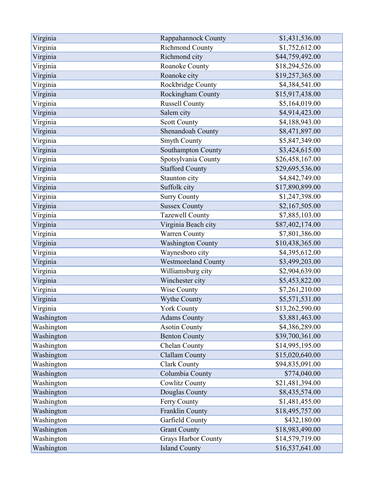| Virginia   | Rappahannock County        | \$1,431,536.00  |
|------------|----------------------------|-----------------|
| Virginia   | Richmond County            | \$1,752,612.00  |
| Virginia   | Richmond city              | \$44,759,492.00 |
| Virginia   | Roanoke County             | \$18,294,526.00 |
| Virginia   | Roanoke city               | \$19,257,365.00 |
| Virginia   | Rockbridge County          | \$4,384,541.00  |
| Virginia   | Rockingham County          | \$15,917,438.00 |
| Virginia   | <b>Russell County</b>      | \$5,164,019.00  |
| Virginia   | Salem city                 | \$4,914,423.00  |
| Virginia   | <b>Scott County</b>        | \$4,188,943.00  |
| Virginia   | Shenandoah County          | \$8,471,897.00  |
| Virginia   | <b>Smyth County</b>        | \$5,847,349.00  |
| Virginia   | Southampton County         | \$3,424,615.00  |
| Virginia   | Spotsylvania County        | \$26,458,167.00 |
| Virginia   | <b>Stafford County</b>     | \$29,695,536.00 |
| Virginia   | Staunton city              | \$4,842,749.00  |
| Virginia   | Suffolk city               | \$17,890,899.00 |
| Virginia   | <b>Surry County</b>        | \$1,247,398.00  |
| Virginia   | <b>Sussex County</b>       | \$2,167,505.00  |
| Virginia   | <b>Tazewell County</b>     | \$7,885,103.00  |
| Virginia   | Virginia Beach city        | \$87,402,174.00 |
| Virginia   | Warren County              | \$7,801,386.00  |
| Virginia   | <b>Washington County</b>   | \$10,438,365.00 |
| Virginia   | Waynesboro city            | \$4,395,612.00  |
| Virginia   | <b>Westmoreland County</b> | \$3,499,203.00  |
| Virginia   | Williamsburg city          | \$2,904,639.00  |
| Virginia   | Winchester city            | \$5,453,822.00  |
| Virginia   | Wise County                | \$7,261,210.00  |
| Virginia   | Wythe County               | \$5,571,531.00  |
| Virginia   | <b>York County</b>         | \$13,262,590.00 |
| Washington | <b>Adams County</b>        | \$3,881,463.00  |
| Washington | <b>Asotin County</b>       | \$4,386,289.00  |
| Washington | <b>Benton County</b>       | \$39,700,361.00 |
| Washington | Chelan County              | \$14,995,195.00 |
| Washington | <b>Clallam County</b>      | \$15,020,640.00 |
| Washington | <b>Clark County</b>        | \$94,835,091.00 |
| Washington | Columbia County            | \$774,040.00    |
| Washington | <b>Cowlitz County</b>      | \$21,481,394.00 |
| Washington | Douglas County             | \$8,435,574.00  |
| Washington | Ferry County               | \$1,481,455.00  |
| Washington | Franklin County            | \$18,495,757.00 |
| Washington | Garfield County            | \$432,180.00    |
| Washington | <b>Grant County</b>        | \$18,983,490.00 |
| Washington | <b>Grays Harbor County</b> | \$14,579,719.00 |
| Washington | <b>Island County</b>       | \$16,537,641.00 |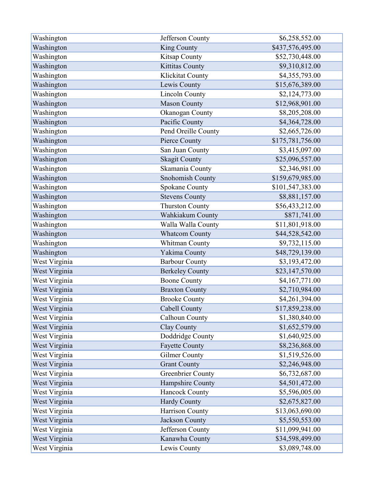| Washington    | Jefferson County         | \$6,258,552.00   |
|---------------|--------------------------|------------------|
| Washington    | King County              | \$437,576,495.00 |
| Washington    | Kitsap County            | \$52,730,448.00  |
| Washington    | Kittitas County          | \$9,310,812.00   |
| Washington    | Klickitat County         | \$4,355,793.00   |
| Washington    | Lewis County             | \$15,676,389.00  |
| Washington    | Lincoln County           | \$2,124,773.00   |
| Washington    | <b>Mason County</b>      | \$12,968,901.00  |
| Washington    | Okanogan County          | \$8,205,208.00   |
| Washington    | Pacific County           | \$4,364,728.00   |
| Washington    | Pend Oreille County      | \$2,665,726.00   |
| Washington    | Pierce County            | \$175,781,756.00 |
| Washington    | San Juan County          | \$3,415,097.00   |
| Washington    | <b>Skagit County</b>     | \$25,096,557.00  |
| Washington    | Skamania County          | \$2,346,981.00   |
| Washington    | <b>Snohomish County</b>  | \$159,679,985.00 |
| Washington    | Spokane County           | \$101,547,383.00 |
| Washington    | <b>Stevens County</b>    | \$8,881,157.00   |
| Washington    | <b>Thurston County</b>   | \$56,433,212.00  |
| Washington    | Wahkiakum County         | \$871,741.00     |
| Washington    | Walla Walla County       | \$11,801,918.00  |
| Washington    | <b>Whatcom County</b>    | \$44,528,542.00  |
| Washington    | Whitman County           | \$9,732,115.00   |
| Washington    | Yakima County            | \$48,729,139.00  |
| West Virginia | <b>Barbour County</b>    | \$3,193,472.00   |
| West Virginia | <b>Berkeley County</b>   | \$23,147,570.00  |
| West Virginia | <b>Boone County</b>      | \$4,167,771.00   |
| West Virginia | <b>Braxton County</b>    | \$2,710,984.00   |
| West Virginia | <b>Brooke County</b>     | \$4,261,394.00   |
| West Virginia | Cabell County            | \$17,859,238.00  |
| West Virginia | Calhoun County           | \$1,380,840.00   |
| West Virginia | Clay County              | \$1,652,579.00   |
| West Virginia | Doddridge County         | \$1,640,925.00   |
| West Virginia | <b>Fayette County</b>    | \$8,236,868.00   |
| West Virginia | <b>Gilmer County</b>     | \$1,519,526.00   |
| West Virginia | <b>Grant County</b>      | \$2,246,948.00   |
| West Virginia | <b>Greenbrier County</b> | \$6,732,687.00   |
| West Virginia | Hampshire County         | \$4,501,472.00   |
| West Virginia | <b>Hancock County</b>    | \$5,596,005.00   |
| West Virginia | <b>Hardy County</b>      | \$2,675,827.00   |
| West Virginia | Harrison County          | \$13,063,690.00  |
| West Virginia | Jackson County           | \$5,550,553.00   |
| West Virginia | Jefferson County         | \$11,099,941.00  |
| West Virginia | Kanawha County           | \$34,598,499.00  |
| West Virginia | Lewis County             | \$3,089,748.00   |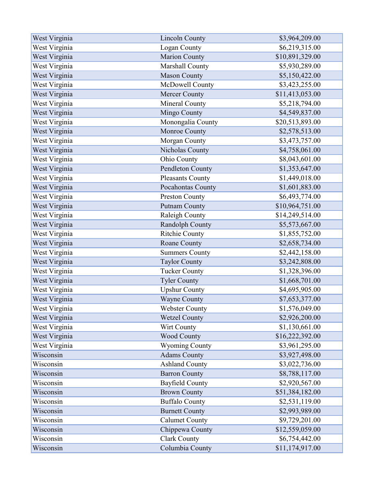| West Virginia | Lincoln County         | \$3,964,209.00  |
|---------------|------------------------|-----------------|
| West Virginia | Logan County           | \$6,219,315.00  |
| West Virginia | <b>Marion County</b>   | \$10,891,329.00 |
| West Virginia | Marshall County        | \$5,930,289.00  |
| West Virginia | <b>Mason County</b>    | \$5,150,422.00  |
| West Virginia | McDowell County        | \$3,423,255.00  |
| West Virginia | <b>Mercer County</b>   | \$11,413,053.00 |
| West Virginia | <b>Mineral County</b>  | \$5,218,794.00  |
| West Virginia | Mingo County           | \$4,549,837.00  |
| West Virginia | Monongalia County      | \$20,513,893.00 |
| West Virginia | Monroe County          | \$2,578,513.00  |
| West Virginia | Morgan County          | \$3,473,757.00  |
| West Virginia | Nicholas County        | \$4,758,061.00  |
| West Virginia | Ohio County            | \$8,043,601.00  |
| West Virginia | Pendleton County       | \$1,353,647.00  |
| West Virginia | Pleasants County       | \$1,449,018.00  |
| West Virginia | Pocahontas County      | \$1,601,883.00  |
| West Virginia | <b>Preston County</b>  | \$6,493,774.00  |
| West Virginia | <b>Putnam County</b>   | \$10,964,751.00 |
| West Virginia | Raleigh County         | \$14,249,514.00 |
| West Virginia | Randolph County        | \$5,573,667.00  |
| West Virginia | <b>Ritchie County</b>  | \$1,855,752.00  |
| West Virginia | Roane County           | \$2,658,734.00  |
| West Virginia | <b>Summers County</b>  | \$2,442,158.00  |
| West Virginia | <b>Taylor County</b>   | \$3,242,808.00  |
| West Virginia | <b>Tucker County</b>   | \$1,328,396.00  |
| West Virginia | <b>Tyler County</b>    | \$1,668,701.00  |
| West Virginia | <b>Upshur County</b>   | \$4,695,905.00  |
| West Virginia | <b>Wayne County</b>    | \$7,653,377.00  |
| West Virginia | <b>Webster County</b>  | \$1,576,049.00  |
| West Virginia | <b>Wetzel County</b>   | \$2,926,200.00  |
| West Virginia | Wirt County            | \$1,130,661.00  |
| West Virginia | Wood County            | \$16,222,392.00 |
| West Virginia | <b>Wyoming County</b>  | \$3,961,295.00  |
| Wisconsin     | <b>Adams County</b>    | \$3,927,498.00  |
| Wisconsin     | <b>Ashland County</b>  | \$3,022,736.00  |
| Wisconsin     | <b>Barron County</b>   | \$8,788,117.00  |
| Wisconsin     | <b>Bayfield County</b> | \$2,920,567.00  |
| Wisconsin     | <b>Brown County</b>    | \$51,384,182.00 |
| Wisconsin     | <b>Buffalo County</b>  | \$2,531,119.00  |
| Wisconsin     | <b>Burnett County</b>  | \$2,993,989.00  |
| Wisconsin     | <b>Calumet County</b>  | \$9,729,201.00  |
| Wisconsin     | Chippewa County        | \$12,559,059.00 |
| Wisconsin     | <b>Clark County</b>    | \$6,754,442.00  |
| Wisconsin     | Columbia County        | \$11,174,917.00 |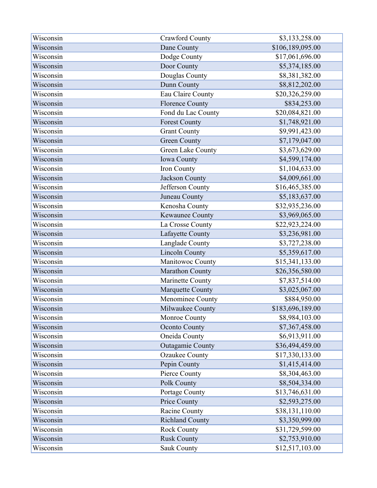| Wisconsin | <b>Crawford County</b>  | \$3,133,258.00   |
|-----------|-------------------------|------------------|
| Wisconsin | Dane County             | \$106,189,095.00 |
| Wisconsin | Dodge County            | \$17,061,696.00  |
| Wisconsin | Door County             | \$5,374,185.00   |
| Wisconsin | Douglas County          | \$8,381,382.00   |
| Wisconsin | Dunn County             | \$8,812,202.00   |
| Wisconsin | Eau Claire County       | \$20,326,259.00  |
| Wisconsin | <b>Florence County</b>  | \$834,253.00     |
| Wisconsin | Fond du Lac County      | \$20,084,821.00  |
| Wisconsin | <b>Forest County</b>    | \$1,748,921.00   |
| Wisconsin | <b>Grant County</b>     | \$9,991,423.00   |
| Wisconsin | <b>Green County</b>     | \$7,179,047.00   |
| Wisconsin | Green Lake County       | \$3,673,629.00   |
| Wisconsin | Iowa County             | \$4,599,174.00   |
| Wisconsin | Iron County             | \$1,104,633.00   |
| Wisconsin | <b>Jackson County</b>   | \$4,009,661.00   |
| Wisconsin | Jefferson County        | \$16,465,385.00  |
| Wisconsin | Juneau County           | \$5,183,637.00   |
| Wisconsin | Kenosha County          | \$32,935,236.00  |
| Wisconsin | <b>Kewaunee County</b>  | \$3,969,065.00   |
| Wisconsin | La Crosse County        | \$22,923,224.00  |
| Wisconsin | Lafayette County        | \$3,236,981.00   |
| Wisconsin | Langlade County         | \$3,727,238.00   |
| Wisconsin | <b>Lincoln County</b>   | \$5,359,617.00   |
| Wisconsin | Manitowoc County        | \$15,341,133.00  |
| Wisconsin | Marathon County         | \$26,356,580.00  |
| Wisconsin | Marinette County        | \$7,837,514.00   |
| Wisconsin | Marquette County        | \$3,025,067.00   |
| Wisconsin | Menominee County        | \$884,950.00     |
| Wisconsin | Milwaukee County        | \$183,696,189.00 |
| Wisconsin | Monroe County           | \$8,984,103.00   |
| Wisconsin | <b>Oconto County</b>    | \$7,367,458.00   |
| Wisconsin | Oneida County           | \$6,913,911.00   |
| Wisconsin | <b>Outagamie County</b> | \$36,494,459.00  |
| Wisconsin | <b>Ozaukee County</b>   | \$17,330,133.00  |
| Wisconsin | Pepin County            | \$1,415,414.00   |
| Wisconsin | Pierce County           | \$8,304,463.00   |
| Wisconsin | Polk County             | \$8,504,334.00   |
| Wisconsin | Portage County          | \$13,746,631.00  |
| Wisconsin | Price County            | \$2,593,275.00   |
| Wisconsin | Racine County           | \$38,131,110.00  |
| Wisconsin | <b>Richland County</b>  | \$3,350,999.00   |
| Wisconsin | <b>Rock County</b>      | \$31,729,599.00  |
| Wisconsin | <b>Rusk County</b>      | \$2,753,910.00   |
| Wisconsin | Sauk County             | \$12,517,103.00  |